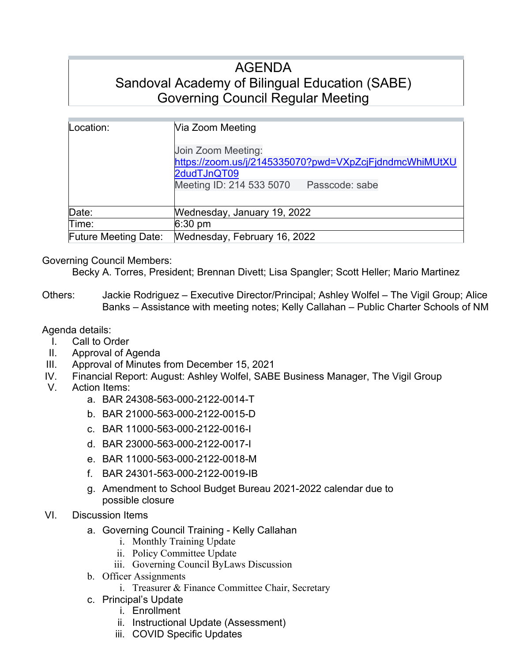# AGENDA Sandoval Academy of Bilingual Education (SABE) Governing Council Regular Meeting

| Location:                   | Via Zoom Meeting<br>Join Zoom Meeting:                 |  |  |  |  |  |
|-----------------------------|--------------------------------------------------------|--|--|--|--|--|
|                             |                                                        |  |  |  |  |  |
|                             | https://zoom.us/j/2145335070?pwd=VXpZcjFjdndmcWhiMUtXU |  |  |  |  |  |
|                             | 2dudTJnQT09                                            |  |  |  |  |  |
|                             | Meeting ID: 214 533 5070<br>Passcode: sabe             |  |  |  |  |  |
| Date:                       | Wednesday, January 19, 2022                            |  |  |  |  |  |
| Time:                       | $6:30$ pm                                              |  |  |  |  |  |
| <b>Future Meeting Date:</b> | Wednesday, February 16, 2022                           |  |  |  |  |  |

## Governing Council Members:

Becky A. Torres, President; Brennan Divett; Lisa Spangler; Scott Heller; Mario Martinez

Others: Jackie Rodriguez – Executive Director/Principal; Ashley Wolfel – The Vigil Group; Alice Banks – Assistance with meeting notes; Kelly Callahan – Public Charter Schools of NM

## Agenda details:

- I. Call to Order
- II. Approval of Agenda
- III. Approval of Minutes from December 15, 2021
- IV. Financial Report: August: Ashley Wolfel, SABE Business Manager, The Vigil Group
- V. Action Items:
	- a. BAR 24308-563-000-2122-0014-T
	- b. BAR 21000-563-000-2122-0015-D
	- c. BAR 11000-563-000-2122-0016-I
	- d. BAR 23000-563-000-2122-0017-I
	- e. BAR 11000-563-000-2122-0018-M
	- f. BAR 24301-563-000-2122-0019-IB
	- g. Amendment to School Budget Bureau 2021-2022 calendar due to possible closure

## VI. Discussion Items

- a. Governing Council Training Kelly Callahan
	- i. Monthly Training Update
	- ii. Policy Committee Update
	- iii. Governing Council ByLaws Discussion
- b. Officer Assignments
	- i. Treasurer & Finance Committee Chair, Secretary
- c. Principal's Update
	- i. Enrollment
	- ii. Instructional Update (Assessment)
	- iii. COVID Specific Updates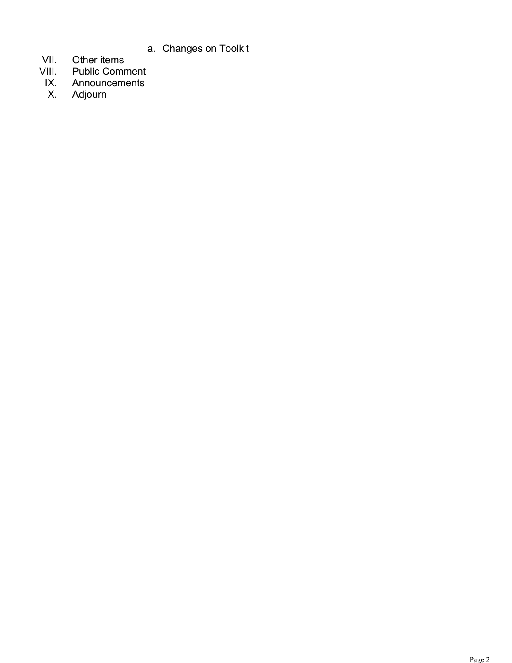- a. Changes on Toolkit
- VII. Other items<br>VIII. Public Comr
- VIII. Public Comment
- IX. Announcements<br>X. Adjourn
- Adjourn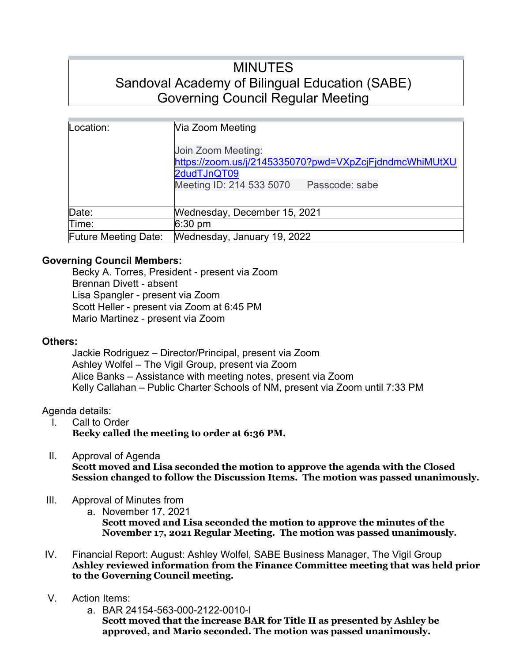# MINUTES Sandoval Academy of Bilingual Education (SABE) Governing Council Regular Meeting

| Location:                   | Via Zoom Meeting                                       |  |  |  |  |  |
|-----------------------------|--------------------------------------------------------|--|--|--|--|--|
|                             | Join Zoom Meeting:                                     |  |  |  |  |  |
|                             | https://zoom.us/j/2145335070?pwd=VXpZcjFjdndmcWhiMUtXU |  |  |  |  |  |
|                             | 2dudTJnQT09                                            |  |  |  |  |  |
|                             | Meeting ID: 214 533 5070<br>Passcode: sabe             |  |  |  |  |  |
|                             |                                                        |  |  |  |  |  |
| Date:                       | Wednesday, December 15, 2021                           |  |  |  |  |  |
| Time:                       | $6:30 \text{ pm}$                                      |  |  |  |  |  |
| <b>Future Meeting Date:</b> | Wednesday, January 19, 2022                            |  |  |  |  |  |

## **Governing Council Members:**

Becky A. Torres, President - present via Zoom Brennan Divett - absent Lisa Spangler - present via Zoom Scott Heller - present via Zoom at 6:45 PM Mario Martinez - present via Zoom

## **Others:**

Jackie Rodriguez – Director/Principal, present via Zoom Ashley Wolfel – The Vigil Group, present via Zoom Alice Banks – Assistance with meeting notes, present via Zoom Kelly Callahan – Public Charter Schools of NM, present via Zoom until 7:33 PM

## Agenda details:

- I. Call to Order **Becky called the meeting to order at 6:36 PM.**
- II. Approval of Agenda

**Scott moved and Lisa seconded the motion to approve the agenda with the Closed Session changed to follow the Discussion Items. The motion was passed unanimously.**

- III. Approval of Minutes from
	- a. November 17, 2021

**Scott moved and Lisa seconded the motion to approve the minutes of the November 17, 2021 Regular Meeting. The motion was passed unanimously.** 

- IV. Financial Report: August: Ashley Wolfel, SABE Business Manager, The Vigil Group **Ashley reviewed information from the Finance Committee meeting that was held prior to the Governing Council meeting.**
- V. Action Items:
	- a. BAR 24154-563-000-2122-0010-I **Scott moved that the increase BAR for Title II as presented by Ashley be approved, and Mario seconded. The motion was passed unanimously.**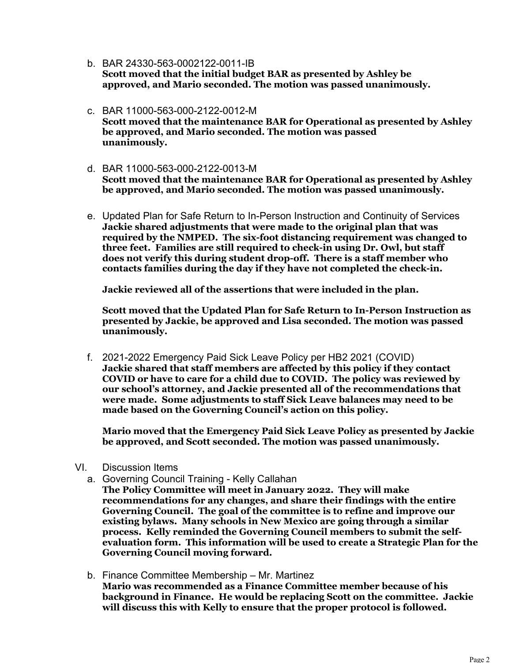- b. BAR 24330-563-0002122-0011-IB **Scott moved that the initial budget BAR as presented by Ashley be approved, and Mario seconded. The motion was passed unanimously.**
- c. BAR 11000-563-000-2122-0012-M **Scott moved that the maintenance BAR for Operational as presented by Ashley be approved, and Mario seconded. The motion was passed unanimously.**
- d. BAR 11000-563-000-2122-0013-M **Scott moved that the maintenance BAR for Operational as presented by Ashley be approved, and Mario seconded. The motion was passed unanimously.**
- e. Updated Plan for Safe Return to In-Person Instruction and Continuity of Services **Jackie shared adjustments that were made to the original plan that was required by the NMPED. The six-foot distancing requirement was changed to three feet. Families are still required to check-in using Dr. Owl, but staff does not verify this during student drop-off. There is a staff member who contacts families during the day if they have not completed the check-in.**

**Jackie reviewed all of the assertions that were included in the plan.**

**Scott moved that the Updated Plan for Safe Return to In-Person Instruction as presented by Jackie, be approved and Lisa seconded. The motion was passed unanimously.**

f. 2021-2022 Emergency Paid Sick Leave Policy per HB2 2021 (COVID) **Jackie shared that staff members are affected by this policy if they contact COVID or have to care for a child due to COVID. The policy was reviewed by our school's attorney, and Jackie presented all of the recommendations that were made. Some adjustments to staff Sick Leave balances may need to be made based on the Governing Council's action on this policy.**

**Mario moved that the Emergency Paid Sick Leave Policy as presented by Jackie be approved, and Scott seconded. The motion was passed unanimously.**

- VI. Discussion Items
	- a. Governing Council Training Kelly Callahan

**The Policy Committee will meet in January 2022. They will make recommendations for any changes, and share their findings with the entire Governing Council. The goal of the committee is to refine and improve our existing bylaws. Many schools in New Mexico are going through a similar process. Kelly reminded the Governing Council members to submit the selfevaluation form. This information will be used to create a Strategic Plan for the Governing Council moving forward.**

b. Finance Committee Membership – Mr. Martinez **Mario was recommended as a Finance Committee member because of his background in Finance. He would be replacing Scott on the committee. Jackie will discuss this with Kelly to ensure that the proper protocol is followed.**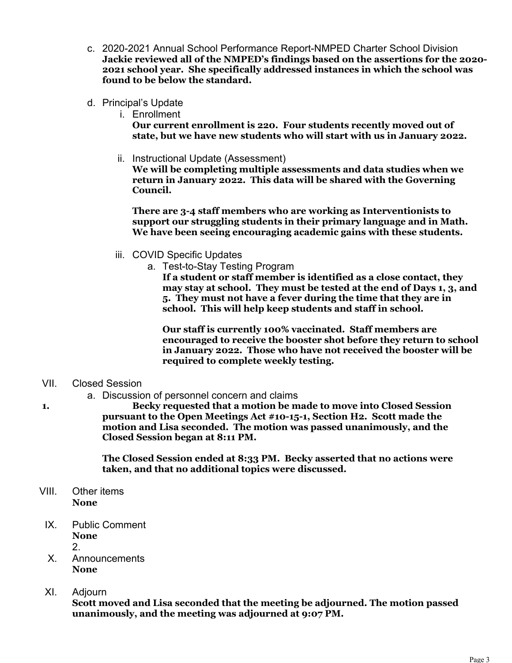- c. 2020-2021 Annual School Performance Report-NMPED Charter School Division **Jackie reviewed all of the NMPED's findings based on the assertions for the 2020- 2021 school year. She specifically addressed instances in which the school was found to be below the standard.**
- d. Principal's Update
	- i. Enrollment

**Our current enrollment is 220. Four students recently moved out of state, but we have new students who will start with us in January 2022.**

ii. Instructional Update (Assessment)

**We will be completing multiple assessments and data studies when we return in January 2022. This data will be shared with the Governing Council.**

**There are 3-4 staff members who are working as Interventionists to support our struggling students in their primary language and in Math. We have been seeing encouraging academic gains with these students.** 

- iii. COVID Specific Updates
	- a. Test-to-Stay Testing Program

**If a student or staff member is identified as a close contact, they may stay at school. They must be tested at the end of Days 1, 3, and 5. They must not have a fever during the time that they are in school. This will help keep students and staff in school.**

**Our staff is currently 100% vaccinated. Staff members are encouraged to receive the booster shot before they return to school in January 2022. Those who have not received the booster will be required to complete weekly testing.**

## VII. Closed Session

a. Discussion of personnel concern and claims

**1. Becky requested that a motion be made to move into Closed Session pursuant to the Open Meetings Act #10-15-1, Section H2. Scott made the motion and Lisa seconded. The motion was passed unanimously, and the Closed Session began at 8:11 PM.**

> **The Closed Session ended at 8:33 PM. Becky asserted that no actions were taken, and that no additional topics were discussed.**

- VIII. Other items **None**
- IX. Public Comment **None** 2.
- X. Announcements **None**
- XI. Adjourn

**Scott moved and Lisa seconded that the meeting be adjourned. The motion passed unanimously, and the meeting was adjourned at 9:07 PM.**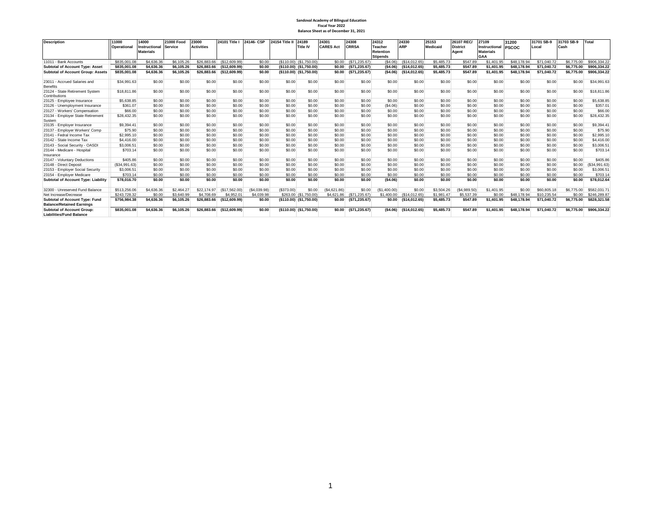#### **Sandoval Academy of Bilingual Education Fiscal Year 2022 Balance Sheet as of December 31, 2021**

| <b>Description</b>                                                   | 11000         | 14000            | 21000 Food     | 23000             | 24101 Title I | 24146-CSP   | 24154 Title II | 24189                   | 24301            | 24308           | 24312           | 24330         | 25153      | 26107 REC/      | 27109                | 31200        | 31701 SB-9  | 31703 SB-9 | Total         |
|----------------------------------------------------------------------|---------------|------------------|----------------|-------------------|---------------|-------------|----------------|-------------------------|------------------|-----------------|-----------------|---------------|------------|-----------------|----------------------|--------------|-------------|------------|---------------|
|                                                                      | Operational   | Instructional    | <b>Service</b> | <b>Activities</b> |               |             |                | <b>Title IV</b>         | <b>CARES Act</b> | <b>CRRSA</b>    | <b>Teacher</b>  | <b>ARP</b>    | Medicaid   | <b>District</b> | <b>Instructional</b> | <b>PSCOC</b> | Local       | Cash       |               |
|                                                                      |               | <b>Materials</b> |                |                   |               |             |                |                         |                  |                 | Retention       |               |            | Agent           | <b>Materials</b>     |              |             |            |               |
|                                                                      |               |                  |                |                   |               |             |                |                         |                  |                 | <b>Stipends</b> |               |            |                 | GAA                  |              |             |            |               |
| 11011 - Bank Accounts                                                | \$835,001.08  | \$4,636,36       | \$6,105.26     | \$26,883,66       | (S12.609.99)  | \$0.00      |                | (\$110.00) (\$1,750.00) | \$0.00           | (S71.235.67)    | (S4.06)         | (\$14.012.65) | \$5,485.73 | \$547.89        | \$1,401.95           | \$48,178.94  | \$71,040,72 | \$6,775.00 | \$906,334.22  |
| <b>Subtotal of Account Type: Asset</b>                               | \$835,001.08  | \$4,636.36       | \$6,105.26     | \$26,883.66       | (\$12,609.99) | \$0.00      |                | (\$110.00) (\$1,750.00) | \$0.00           | ( \$71, 235.67) | (\$4.06)        | (\$14.012.65) | \$5,485.73 | \$547.89        | \$1,401.95           | \$48,178.94  | \$71.040.72 | \$6,775.00 | \$906,334.22  |
| <b>Subtotal of Account Group: Assets</b>                             | \$835,001.08  | \$4,636.36       | \$6,105.26     | \$26,883.66       | (\$12,609.99) | \$0.00      |                | (\$110.00) (\$1,750.00) | \$0.00           | ( \$71, 235.67) | (\$4.06)        | (\$14,012.65) | \$5,485.73 | \$547.89        | \$1,401.95           | \$48,178.94  | \$71,040.72 | \$6,775.00 | \$906,334.22  |
| 23011 - Accrued Salaries and<br><b>Benefits</b>                      | \$34,991.63   | \$0.00           | \$0.00         | \$0.00            | \$0.00        | \$0.00      | \$0.00         | \$0.00                  | \$0.00           | \$0.00          | \$0.00          | \$0.00        | \$0.00     | \$0.00          | \$0.00               | \$0.00       | \$0.00      | \$0.00     | \$34,991.63   |
| 23124 - State Retirement System<br>Contributions                     | \$18,811.86   | \$0.00           | \$0.00         | \$0.00            | \$0.00        | \$0.00      | \$0.00         | \$0.00                  | \$0.00           | \$0.00          | \$0.00          | \$0.00        | \$0.00     | \$0.00          | \$0.00               | \$0.00       | \$0.00      | \$0.00     | \$18,811.86   |
| 23125 - Employee Insurance                                           | \$5,638.85    | \$0.00           | \$0.00         | \$0.00            | \$0.00        | \$0.00      | \$0.00         | \$0.00                  | \$0.00           | \$0.00          | \$0.00          | \$0.00        | \$0.00     | \$0.00          | \$0.00               | \$0.00       | \$0.00      | \$0.00     | \$5,638.85    |
| 23126 - Unemployment Insurance                                       | \$361.07      | \$0.00           | \$0.00         | \$0.00            | \$0.00        | \$0.00      | \$0.00         | \$0.00                  | \$0.00           | \$0.00          | (S4.06)         | \$0.00        | \$0.00     | \$0.00          | \$0.00               | \$0.00       | \$0.00      | \$0.00     | \$357.01      |
| 23127 - Workers' Compensation                                        | \$66.00       | \$0.00           | \$0.00         | \$0.00            | \$0.00        | \$0.00      | \$0.00         | \$0.00                  | \$0.00           | \$0.00          | \$0.00          | \$0.00        | \$0.00     | \$0.00          | \$0.00               | \$0.00       | \$0.00      | \$0.00     | \$66.00       |
| 23134 - Employer State Retirement<br>System                          | \$28,432.35   | \$0.00           | \$0.00         | \$0.00            | \$0.00        | \$0.00      | \$0.00         | \$0.00                  | \$0.00           | \$0.00          | \$0.00          | \$0.00        | \$0.00     | \$0.00          | \$0.00               | \$0.00       | \$0.00      | \$0.00     | \$28,432.35   |
| 23135 - Emplover Insurance                                           | \$9,394.41    | \$0.00           | \$0.00         | \$0.00            | \$0.00        | \$0.00      | \$0.00         | \$0.00                  | \$0.00           | \$0.00          | \$0.00          | \$0.00        | \$0.00     | \$0.00          | \$0.00               | \$0.00       | \$0.00      | \$0.00     | \$9,394.41    |
| 23137 - Emplover Workers' Comp                                       | \$75.90       | \$0.00           | \$0.00         | \$0.00            | \$0.00        | \$0.00      | \$0.00         | \$0.00                  | \$0.00           | \$0.00          | \$0.00          | \$0.00        | \$0.00     | \$0.00          | \$0.00               | \$0.00       | \$0.00      | \$0.00     | \$75.90       |
| 23141 - Fedral Income Tax                                            | \$2,995.10    | \$0.00           | \$0.00         | \$0.00            | \$0.00        | \$0.00      | \$0.00         | \$0.00                  | \$0.00           | \$0.00          | \$0.00          | \$0.00        | \$0.00     | \$0.00          | \$0.00               | \$0.00       | \$0.00      | \$0.00     | \$2,995.10    |
| 23142 - State Income Tax                                             | \$4,416.00    | \$0.00           | \$0.00         | \$0.00            | \$0.00        | \$0.00      | \$0.00         | \$0.00                  | \$0.00           | \$0.00          | \$0.00          | \$0.00        | \$0.00     | \$0.00          | \$0.00               | \$0.00       | \$0.00      | \$0.00     | \$4,416.00    |
| 23143 - Social Security - OASDI                                      | \$3,006.51    | \$0.00           | \$0.00         | \$0.00            | \$0.00        | \$0.00      | \$0.00         | \$0.00                  | \$0.00           | \$0.00          | \$0.00          | \$0.00        | \$0.00     | \$0.00          | \$0.00               | \$0.00       | \$0.00      | \$0.00     | \$3,006.51    |
| 23144 - Medicare - Hospital<br>Insurance                             | \$703.14      | \$0.00           | \$0.00         | \$0.00            | \$0.00        | \$0.00      | \$0.00         | \$0.00                  | \$0.00           | \$0.00          | \$0.00          | \$0.00        | \$0.00     | \$0.00          | \$0.00               | \$0.00       | \$0.00      | \$0.00     | \$703.14      |
| 23147 - Voluntary Deductions                                         | \$405.86      | \$0.00           | \$0.00         | \$0.00            | \$0.00        | \$0.00      | \$0.00         | \$0.00                  | \$0.00           | \$0.00          | \$0.00          | \$0.00        | \$0.00     | \$0.00          | \$0.00               | \$0.00       | \$0.00      | \$0.00     | \$405.86      |
| 23148 - Direct Deposit                                               | (\$34,991.63) | \$0.00           | \$0.00         | \$0.00            | \$0.00        | \$0.00      | \$0.00         | \$0.00                  | \$0.00           | \$0.00          | \$0.00          | \$0.00        | \$0.00     | \$0.00          | \$0.00               | \$0.00       | \$0.00      | \$0.00     | (\$34,991.63) |
| 23153 - Employer Social Security                                     | \$3,006.51    | \$0.00           | \$0.00         | \$0.00            | \$0.00        | \$0.00      | \$0.00         | \$0.00                  | \$0.00           | \$0.00          | \$0.00          | \$0.00        | \$0.00     | \$0.00          | \$0.00               | \$0.00       | \$0.00      | \$0.00     | \$3,006.51    |
| 23154 - Employer Medicare                                            | \$703.14      | \$0.00           | \$0.00         | \$0.00            | \$0.00        | \$0.00      | \$0.00         | \$0.00                  | \$0.00           | \$0.00          | \$0.00          | \$0.00        | \$0.00     | \$0.00          | \$0.00               | \$0.00       | \$0.00      | \$0.00     | \$703.14      |
| Subtotal of Account Type: Liability                                  | \$78,016.70   | \$0.00           | \$0.00         | \$0.00            | \$0.00        | \$0.00      | \$0.00         | \$0.00                  | \$0.00           | \$0.00          | (\$4.06)        | \$0.00        | \$0.00     | \$0.00          | \$0.00               | \$0.00       | \$0.00      | \$0.00     | \$78,012.64   |
| 32300 - Unreserved Fund Balance                                      | \$513,256.06  | \$4,636.36       | \$2,464.27     | \$22.174.97       | (S17.562.00)  | (S4.039.98) | (S373,00)      | \$0.00                  | (S4.621.86)      | \$0.00          | (S1.400.00)     | \$0.00        | \$3,504.26 | (\$4,989.50)    | \$1,401.95           | \$0.00       | \$60,805.18 | \$6,775.00 | \$582,031.7   |
| Net Increase/Decrease                                                | \$243,728.32  | \$0.00           | \$3,640.99     | \$4,708.69        | \$4,952.01    | \$4,039.98  |                | \$263.00 (\$1,750.00)   | \$4,621.86       | (\$71,235.67)   | \$1,400.00      | (\$14,012,65) | \$1,981.47 | \$5,537.39      | \$0.00               | \$48,178,94  | \$10,235.54 | \$0.00     | \$246,289.87  |
| Subtotal of Account Type: Fund<br><b>Balance/Retained Earnings</b>   | \$756,984.38  | \$4,636.36       | \$6,105.26     | \$26,883.66       | (\$12,609.99) | \$0.00      |                | (\$110.00) (\$1,750.00) | \$0.00           | ( \$71, 235.67) | \$0.00          | (\$14,012.65) | \$5,485.73 | \$547.89        | \$1,401.95           | \$48,178.94  | \$71,040.72 | \$6,775.00 | \$828,321.58  |
| <b>Subtotal of Account Group:</b><br><b>Liabilities/Fund Balance</b> | \$835,001.08  | \$4,636.36       | \$6,105.26     | \$26,883.66       | (\$12,609.99) | \$0.00      |                | (\$110.00) (\$1,750.00) | \$0.00           | ( \$71, 235.67) | (\$4.06)        | (\$14,012.65) | \$5,485.73 | \$547.89        | \$1,401.95           | \$48,178.94  | \$71,040.72 | \$6,775.00 | \$906,334.22  |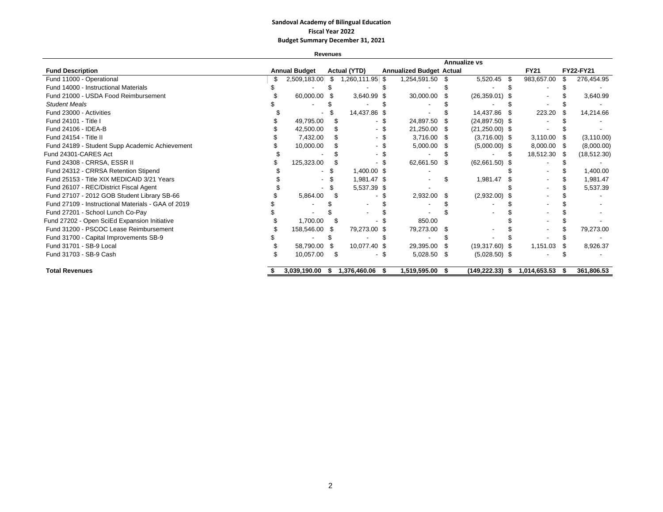## **Sandoval Academy of Bilingual Education Fiscal Year 2022 Budget Summary December 31, 2021**

**Revenues**

|                                                    |                      |      |                     |                                 |      | <b>Annualize vs</b> |      |              |      |              |
|----------------------------------------------------|----------------------|------|---------------------|---------------------------------|------|---------------------|------|--------------|------|--------------|
| <b>Fund Description</b>                            | <b>Annual Budget</b> |      | <b>Actual (YTD)</b> | <b>Annualized Budget Actual</b> |      |                     |      | <b>FY21</b>  |      | FY22-FY21    |
| Fund 11000 - Operational                           | 2,509,183.00         | \$.  | 1,260,111.95 \$     | 1,254,591.50                    | \$.  | 5,520.45            | - \$ | 983,657.00   | ß.   | 276,454.95   |
| Fund 14000 - Instructional Materials               |                      |      |                     |                                 |      |                     |      |              |      |              |
| Fund 21000 - USDA Food Reimbursement               | 60,000.00 \$         |      | 3,640.99 \$         | 30,000.00                       |      | $(26,359.01)$ \$    |      |              |      | 3,640.99     |
| <b>Student Meals</b>                               |                      |      |                     |                                 |      |                     |      |              |      |              |
| Fund 23000 - Activities                            |                      |      | 14,437.86 \$        |                                 |      | 14,437.86           | - \$ | 223.20       |      | 14,214.66    |
| Fund 24101 - Title I                               | 49,795.00            |      |                     | 24,897.50                       |      | $(24,897.50)$ \$    |      |              |      |              |
| Fund 24106 - IDEA-B                                | 42,500.00            |      |                     | 21,250.00                       |      | $(21,250.00)$ \$    |      |              |      |              |
| Fund 24154 - Title II                              | 7,432.00             |      |                     | 3,716.00                        | - 35 | $(3,716.00)$ \$     |      | 3,110.00     |      | (3, 110.00)  |
| Fund 24189 - Student Supp Academic Achievement     | 10,000.00            |      |                     | 5,000.00                        |      | $(5,000.00)$ \$     |      | 8,000.00     |      | (8,000.00)   |
| Fund 24301-CARES Act                               |                      |      |                     |                                 |      |                     |      | 18,512.30    | - SS | (18, 512.30) |
| Fund 24308 - CRRSA, ESSR II                        | 125,323.00           |      |                     | 62,661.50                       | - \$ | $(62,661.50)$ \$    |      |              |      |              |
| Fund 24312 - CRRSA Retention Stipend               |                      |      | 1,400.00 \$         |                                 |      |                     |      |              |      | 1,400.00     |
| Fund 25153 - Title XIX MEDICAID 3/21 Years         |                      |      | 1,981.47 \$         |                                 |      | 1,981.47            |      |              |      | 1,981.47     |
| Fund 26107 - REC/District Fiscal Agent             |                      |      | 5,537.39 \$         |                                 |      |                     |      |              |      | 5,537.39     |
| Fund 27107 - 2012 GOB Student Library SB-66        | 5,864.00             |      |                     | 2,932.00                        | \$.  | $(2,932.00)$ \$     |      |              |      |              |
| Fund 27109 - Instructional Materials - GAA of 2019 |                      |      |                     |                                 |      |                     |      |              |      |              |
| Fund 27201 - School Lunch Co-Pay                   |                      |      |                     |                                 |      |                     |      |              |      |              |
| Fund 27202 - Open SciEd Expansion Initiative       | 1,700.00             |      |                     | 850.00                          |      |                     |      |              |      |              |
| Fund 31200 - PSCOC Lease Reimbursement             | 158,546.00           | - \$ | 79,273.00 \$        | 79,273.00                       | ß.   |                     |      |              |      | 79,273.00    |
| Fund 31700 - Capital Improvements SB-9             |                      |      |                     |                                 |      |                     |      |              |      |              |
| Fund 31701 - SB-9 Local                            | 58,790.00            | - \$ | 10,077.40 \$        | 29,395.00                       |      | $(19,317.60)$ \$    |      | 1,151.03     |      | 8,926.37     |
| Fund 31703 - SB-9 Cash                             | 10,057.00            | \$.  |                     | 5,028.50                        | - \$ | $(5,028.50)$ \$     |      |              |      |              |
| <b>Total Revenues</b>                              | 3,039,190.00         | S    | 1,376,460.06        | 1,519,595.00                    | -SS  | $(149, 222.33)$ \$  |      | 1,014,653.53 | - 56 | 361,806.53   |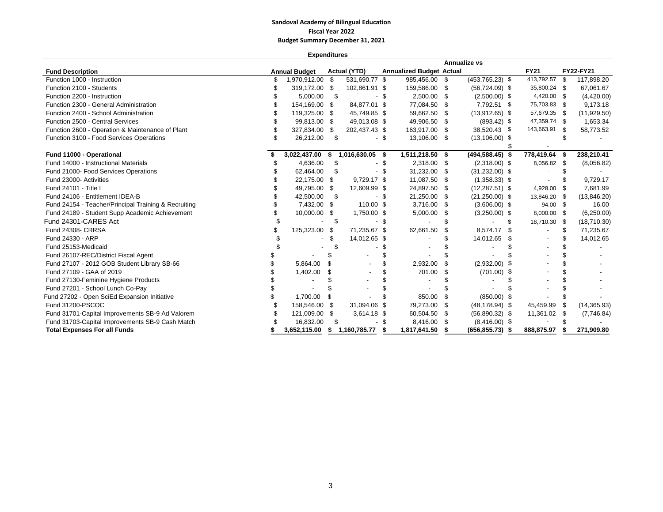## **Sandoval Academy of Bilingual Education Fiscal Year 2022 Budget Summary December 31, 2021**

**Expenditures**

|                                                      |                      |      |                     |      |                                 |      | Annualize vs       |      |               |      |              |
|------------------------------------------------------|----------------------|------|---------------------|------|---------------------------------|------|--------------------|------|---------------|------|--------------|
| <b>Fund Description</b>                              | <b>Annual Budget</b> |      | <b>Actual (YTD)</b> |      | <b>Annualized Budget Actual</b> |      |                    |      | <b>FY21</b>   |      | FY22-FY21    |
| Function 1000 - Instruction                          | 1,970,912.00 \$      |      | 531,690.77 \$       |      | 985,456.00 \$                   |      | $(453, 765.23)$ \$ |      | 413,792.57    | - \$ | 117,898.20   |
| Function 2100 - Students                             | 319,172.00 \$        |      | 102,861.91 \$       |      | 159,586.00 \$                   |      | $(56, 724.09)$ \$  |      | 35,800.24 \$  |      | 67,061.67    |
| Function 2200 - Instruction                          | 5,000.00             | S    |                     | - \$ | 2,500.00 \$                     |      | $(2,500.00)$ \$    |      | 4,420.00 \$   |      | (4,420.00)   |
| Function 2300 - General Administration               | 154,169.00 \$        |      | 84,877.01 \$        |      | 77,084.50 \$                    |      | 7,792.51 \$        |      | 75,703.83 \$  |      | 9,173.18     |
| Function 2400 - School Administration                | 119,325.00 \$        |      | 45,749.85 \$        |      | 59,662.50 \$                    |      | $(13,912.65)$ \$   |      | 57,679.35 \$  |      | (11, 929.50) |
| Function 2500 - Central Services                     | 99,813.00 \$         |      | 49,013.08 \$        |      | 49,906.50 \$                    |      | $(893.42)$ \$      |      | 47,359.74 \$  |      | 1,653.34     |
| Function 2600 - Operation & Maintenance of Plant     | 327,834.00 \$        |      | 202,437.43 \$       |      | 163,917.00 \$                   |      | 38,520.43 \$       |      | 143,663.91 \$ |      | 58,773.52    |
| Function 3100 - Food Services Operations             | 26,212.00            | -S   |                     | - \$ | 13,106.00 \$                    |      | $(13, 106.00)$ \$  |      |               |      |              |
|                                                      |                      |      |                     |      |                                 |      |                    |      |               |      |              |
| Fund 11000 - Operational                             | 3,022,437.00         | - \$ | 1,016,630.05 \$     |      | 1,511,218.50 \$                 |      | $(494, 588.45)$ \$ |      | 778,419.64    | -\$  | 238,210.41   |
| Fund 14000 - Instructional Materials                 | 4,636.00             | \$   |                     | - \$ | 2,318.00 \$                     |      | $(2,318.00)$ \$    |      | 8,056.82      | - \$ | (8,056.82)   |
| Fund 21000- Food Services Operations                 | 62,464.00            | S    |                     |      | 31,232.00                       | - 5  | $(31,232.00)$ \$   |      |               |      |              |
| Fund 23000- Activities                               | 22,175.00 \$         |      | 9,729.17 \$         |      | 11,087.50 \$                    |      | $(1,358.33)$ \$    |      |               |      | 9,729.17     |
| Fund 24101 - Title I                                 | 49,795.00 \$         |      | 12,609.99 \$        |      | 24,897.50 \$                    |      | $(12, 287.51)$ \$  |      | 4,928.00      | - \$ | 7,681.99     |
| Fund 24106 - Entitlement IDEA-B                      | 42,500.00            | \$   |                     | - \$ | 21,250.00 \$                    |      | $(21,250.00)$ \$   |      | 13,846.20 \$  |      | (13,846.20)  |
| Fund 24154 - Teacher/Principal Training & Recruiting | 7,432.00 \$          |      | 110.00 \$           |      | 3,716.00 \$                     |      | $(3,606.00)$ \$    |      | 94.00 \$      |      | 16.00        |
| Fund 24189 - Student Supp Academic Achievement       | 10,000.00 \$         |      | 1,750.00 \$         |      | $5,000.00$ \$                   |      | $(3,250.00)$ \$    |      | $8,000.00$ \$ |      | (6,250.00)   |
| Fund 24301-CARES Act                                 |                      | \$   |                     | - \$ |                                 |      |                    | \$   | 18,710.30 \$  |      | (18,710.30)  |
| Fund 24308- CRRSA                                    | 125,323.00 \$        |      | 71,235.67 \$        |      | 62,661.50                       | - \$ | 8,574.17           | - \$ |               | \$   | 71,235.67    |
| Fund 24330 - ARP                                     |                      |      | 14,012.65 \$        |      |                                 |      | 14,012.65          | S    |               |      | 14,012.65    |
| Fund 25153-Medicaid                                  |                      |      |                     |      |                                 |      |                    |      |               |      |              |
| Fund 26107-REC/District Fiscal Agent                 |                      |      |                     |      |                                 |      |                    |      |               |      |              |
| Fund 27107 - 2012 GOB Student Library SB-66          | 5,864.00             | \$   |                     |      | 2,932.00                        |      | $(2,932.00)$ \$    |      |               |      |              |
| Fund 27109 - GAA of 2019                             | 1,402.00             | \$   |                     |      | 701.00                          | - \$ | $(701.00)$ \$      |      |               |      |              |
| Fund 27130-Feminine Hygiene Products                 |                      |      |                     |      |                                 |      |                    |      |               |      |              |
| Fund 27201 - School Lunch Co-Pay                     |                      |      |                     |      |                                 |      |                    |      |               |      |              |
| Fund 27202 - Open SciEd Expansion Initiative         | 1,700.00             | \$   |                     |      | 850.00                          | -S   | $(850.00)$ \$      |      |               |      |              |
| Fund 31200-PSCOC                                     | 158,546.00 \$        |      | 31,094.06 \$        |      | 79,273.00 \$                    |      | $(48, 178.94)$ \$  |      | 45,459.99     | - \$ | (14, 365.93) |
| Fund 31701-Capital Improvements SB-9 Ad Valorem      | 121,009.00 \$        |      | $3,614.18$ \$       |      | 60,504.50 \$                    |      | $(56,890.32)$ \$   |      | 11,361.02 \$  |      | (7,746.84)   |
| Fund 31703-Capital Improvements SB-9 Cash Match      | 16,832.00            | \$   |                     | - \$ | 8,416.00 \$                     |      | $(8,416.00)$ \$    |      |               |      |              |
| <b>Total Expenses For all Funds</b>                  | 3,652,115.00         | s.   | 1,160,785.77        | - \$ | 1,817,641.50                    | - \$ | $(656, 855.73)$ \$ |      | 888,875.97    | S    | 271,909.80   |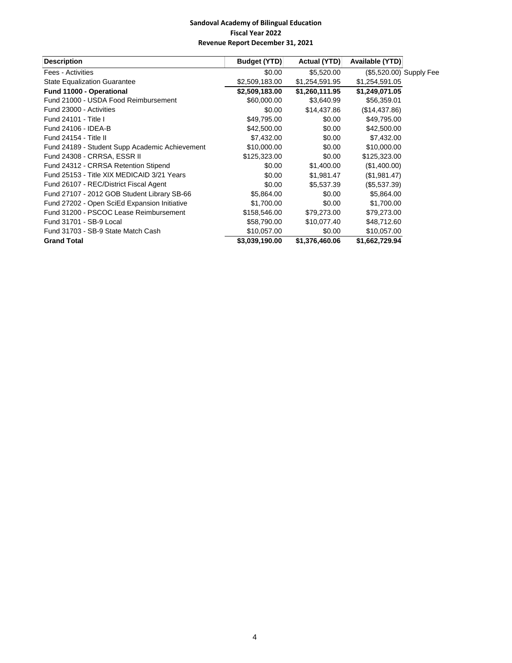| <b>Description</b>                             | Budget (YTD)   | Actual (YTD)   | Available (YTD)         |  |
|------------------------------------------------|----------------|----------------|-------------------------|--|
| Fees - Activities                              | \$0.00         | \$5,520.00     | (\$5,520.00) Supply Fee |  |
| <b>State Equalization Guarantee</b>            | \$2,509,183.00 | \$1,254,591.95 | \$1,254,591.05          |  |
| Fund 11000 - Operational                       | \$2,509,183.00 | \$1,260,111.95 | \$1,249,071.05          |  |
| Fund 21000 - USDA Food Reimbursement           | \$60,000.00    | \$3,640.99     | \$56,359.01             |  |
| Fund 23000 - Activities                        | \$0.00         | \$14,437.86    | (\$14,437.86)           |  |
| Fund 24101 - Title I                           | \$49,795.00    | \$0.00         | \$49,795.00             |  |
| Fund 24106 - IDEA-B                            | \$42,500.00    | \$0.00         | \$42,500.00             |  |
| Fund 24154 - Title II                          | \$7,432.00     | \$0.00         | \$7,432.00              |  |
| Fund 24189 - Student Supp Academic Achievement | \$10,000.00    | \$0.00         | \$10,000.00             |  |
| Fund 24308 - CRRSA, ESSR II                    | \$125,323.00   | \$0.00         | \$125,323.00            |  |
| Fund 24312 - CRRSA Retention Stipend           | \$0.00         | \$1,400.00     | (\$1,400.00)            |  |
| Fund 25153 - Title XIX MEDICAID 3/21 Years     | \$0.00         | \$1,981.47     | (\$1,981.47)            |  |
| Fund 26107 - REC/District Fiscal Agent         | \$0.00         | \$5,537.39     | (\$5,537.39)            |  |
| Fund 27107 - 2012 GOB Student Library SB-66    | \$5,864.00     | \$0.00         | \$5,864.00              |  |
| Fund 27202 - Open SciEd Expansion Initiative   | \$1,700.00     | \$0.00         | \$1,700.00              |  |
| Fund 31200 - PSCOC Lease Reimbursement         | \$158,546.00   | \$79,273.00    | \$79,273.00             |  |
| Fund 31701 - SB-9 Local                        | \$58,790.00    | \$10,077.40    | \$48,712.60             |  |
| Fund 31703 - SB-9 State Match Cash             | \$10,057.00    | \$0.00         | \$10,057.00             |  |
| <b>Grand Total</b>                             | \$3,039,190.00 | \$1,376,460.06 | \$1,662,729.94          |  |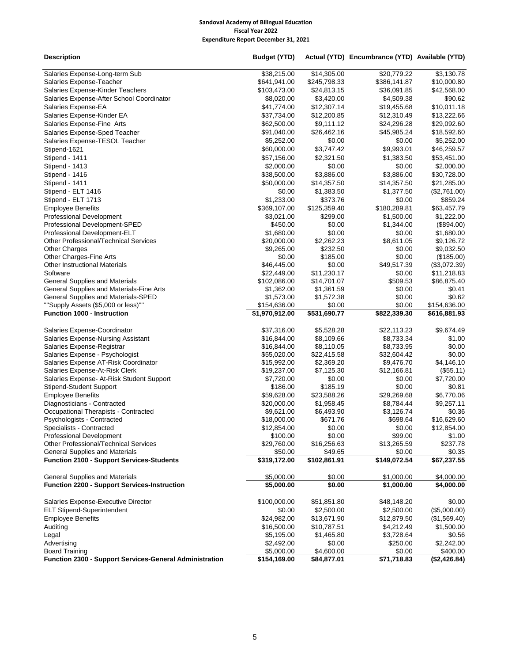| <b>Description</b>                                      | <b>Budget (YTD)</b> |              | Actual (YTD) Encumbrance (YTD) Available (YTD) |              |
|---------------------------------------------------------|---------------------|--------------|------------------------------------------------|--------------|
| Salaries Expense-Long-term Sub                          | \$38,215.00         | \$14,305.00  | \$20,779.22                                    | \$3,130.78   |
| Salaries Expense-Teacher                                | \$641,941.00        | \$245,798.33 | \$386,141.87                                   | \$10,000.80  |
| Salaries Expense-Kinder Teachers                        | \$103,473.00        | \$24,813.15  | \$36,091.85                                    | \$42,568.00  |
| Salaries Expense-After School Coordinator               | \$8,020.00          | \$3,420.00   | \$4,509.38                                     | \$90.62      |
| Salaries Expense-EA                                     | \$41,774.00         | \$12,307.14  | \$19,455.68                                    | \$10,011.18  |
| Salaries Expense-Kinder EA                              | \$37,734.00         | \$12,200.85  | \$12,310.49                                    | \$13,222.66  |
| Salaries Expense-Fine Arts                              | \$62,500.00         | \$9,111.12   | \$24,296.28                                    | \$29,092.60  |
| Salaries Expense-Sped Teacher                           | \$91,040.00         | \$26,462.16  | \$45,985.24                                    | \$18,592.60  |
| Salaries Expense-TESOL Teacher                          | \$5,252.00          | \$0.00       | \$0.00                                         | \$5,252.00   |
| Stipend-1621                                            | \$60,000.00         | \$3,747.42   | \$9,993.01                                     | \$46,259.57  |
| Stipend - 1411                                          | \$57,156.00         | \$2,321.50   | \$1,383.50                                     | \$53,451.00  |
| Stipend - 1413                                          | \$2,000.00          | \$0.00       | \$0.00                                         | \$2,000.00   |
| Stipend - 1416                                          | \$38,500.00         | \$3,886.00   | \$3,886.00                                     | \$30,728.00  |
| Stipend - 1411                                          | \$50,000.00         | \$14,357.50  | \$14,357.50                                    | \$21,285.00  |
| Stipend - ELT 1416                                      | \$0.00              | \$1,383.50   | \$1,377.50                                     | (\$2,761.00) |
| Stipend - ELT 1713                                      | \$1,233.00          | \$373.76     | \$0.00                                         | \$859.24     |
| <b>Employee Benefits</b>                                | \$369,107.00        | \$125,359.40 | \$180,289.81                                   | \$63,457.79  |
| <b>Professional Development</b>                         | \$3,021.00          | \$299.00     | \$1,500.00                                     | \$1,222.00   |
| Professional Development-SPED                           | \$450.00            | \$0.00       | \$1,344.00                                     | (\$894.00)   |
| Professional Development-ELT                            | \$1,680.00          | \$0.00       | \$0.00                                         | \$1,680.00   |
| <b>Other Professional/Technical Services</b>            | \$20,000.00         | \$2,262.23   | \$8,611.05                                     | \$9,126.72   |
| <b>Other Charges</b>                                    | \$9,265.00          | \$232.50     | \$0.00                                         | \$9,032.50   |
| Other Charges-Fine Arts                                 | \$0.00              | \$185.00     | \$0.00                                         | (\$185.00)   |
| <b>Other Instructional Materials</b>                    | \$46,445.00         | \$0.00       | \$49,517.39                                    | (\$3,072.39) |
| Software                                                | \$22,449.00         | \$11,230.17  | \$0.00                                         | \$11,218.83  |
| <b>General Supplies and Materials</b>                   | \$102,086.00        | \$14,701.07  | \$509.53                                       | \$86,875.40  |
| General Supplies and Materials-Fine Arts                | \$1,362.00          | \$1,361.59   | \$0.00                                         | \$0.41       |
| General Supplies and Materials-SPED                     | \$1,573.00          | \$1,572.38   | \$0.00                                         | \$0.62       |
| ""Supply Assets (\$5,000 or less)""                     | \$154,636.00        | \$0.00       | \$0.00                                         | \$154,636.00 |
| <b>Function 1000 - Instruction</b>                      | \$1,970,912.00      | \$531,690.77 | \$822,339.30                                   | \$616,881.93 |
| Salaries Expense-Coordinator                            | \$37,316.00         | \$5,528.28   | \$22,113.23                                    | \$9,674.49   |
| <b>Salaries Expense-Nursing Assistant</b>               | \$16,844.00         | \$8,109.66   | \$8,733.34                                     | \$1.00       |
| Salaries Expense-Registrar                              | \$16,844.00         | \$8,110.05   | \$8,733.95                                     | \$0.00       |
| Salaries Expense - Psychologist                         | \$55,020.00         | \$22,415.58  | \$32,604.42                                    | \$0.00       |
| Salaries Expense AT-Risk Coordinator                    | \$15,992.00         | \$2,369.20   | \$9,476.70                                     | \$4,146.10   |
| Salaries Expense-At-Risk Clerk                          | \$19,237.00         | \$7,125.30   | \$12,166.81                                    | (\$55.11)    |
| Salaries Expense- At-Risk Student Support               | \$7,720.00          | \$0.00       | \$0.00                                         | \$7,720.00   |
| <b>Stipend-Student Support</b>                          | \$186.00            | \$185.19     | \$0.00                                         | \$0.81       |
| <b>Employee Benefits</b>                                | \$59,628.00         | \$23,588.26  | \$29,269.68                                    | \$6,770.06   |
| Diagnosticians - Contracted                             | \$20,000.00         | \$1,958.45   | \$8,784.44                                     | \$9,257.11   |
| Occupational Therapists - Contracted                    | \$9,621.00          | \$6,493.90   | \$3,126.74                                     | \$0.36       |
| Psychologists - Contracted                              | \$18,000.00         | \$671.76     | \$698.64                                       | \$16,629.60  |
| Specialists - Contracted                                | \$12,854.00         | \$0.00       | \$0.00                                         | \$12,854.00  |
| <b>Professional Development</b>                         | \$100.00            | \$0.00       | \$99.00                                        | \$1.00       |
| <b>Other Professional/Technical Services</b>            | \$29,760.00         | \$16,256.63  | \$13,265.59                                    | \$237.78     |
| <b>General Supplies and Materials</b>                   | \$50.00             | \$49.65      | \$0.00                                         | \$0.35       |
| <b>Function 2100 - Support Services-Students</b>        | \$319,172.00        | \$102,861.91 | \$149,072.54                                   | \$67,237.55  |
| <b>General Supplies and Materials</b>                   | \$5,000.00          | \$0.00       | \$1,000.00                                     | \$4,000.00   |
| <b>Function 2200 - Support Services-Instruction</b>     | \$5,000.00          | \$0.00       | \$1,000.00                                     | \$4,000.00   |
| Salaries Expense-Executive Director                     | \$100,000.00        | \$51,851.80  | \$48,148.20                                    | \$0.00       |
| <b>ELT Stipend-Superintendent</b>                       | \$0.00              | \$2,500.00   | \$2,500.00                                     | (\$5,000.00) |
| <b>Employee Benefits</b>                                | \$24,982.00         | \$13,671.90  | \$12,879.50                                    | (\$1,569.40) |
| Auditing                                                | \$16,500.00         | \$10,787.51  | \$4,212.49                                     | \$1,500.00   |
| Legal                                                   | \$5,195.00          | \$1,465.80   | \$3,728.64                                     | \$0.56       |
| Advertising                                             | \$2,492.00          | \$0.00       | \$250.00                                       | \$2,242.00   |
| <b>Board Training</b>                                   | \$5,000.00          | \$4,600.00   | \$0.00                                         | \$400.00     |
| Function 2300 - Support Services-General Administration | \$154,169.00        | \$84,877.01  | \$71,718.83                                    | (\$2,426.84) |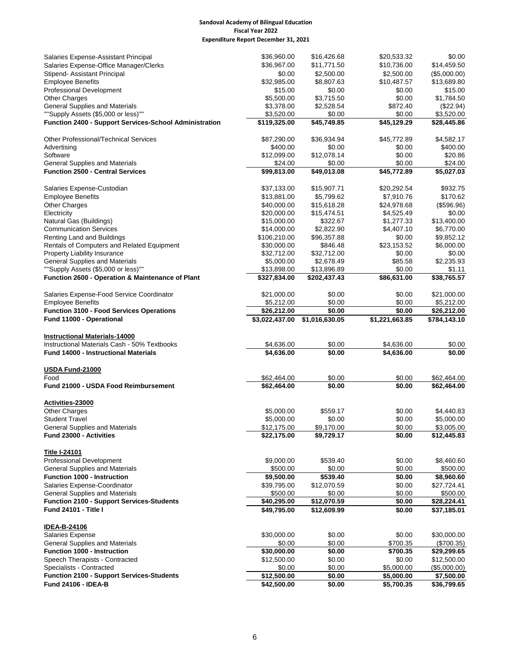| Salaries Expense-Assistant Principal                                           | \$36,960.00                | \$16,426.68              | \$20,533.32              | \$0.00                    |
|--------------------------------------------------------------------------------|----------------------------|--------------------------|--------------------------|---------------------------|
| Salaries Expense-Office Manager/Clerks                                         | \$36,967.00                | \$11,771.50              | \$10,736.00              | \$14,459.50               |
| Stipend- Assistant Principal                                                   | \$0.00                     | \$2,500.00               | \$2,500.00               | (\$5,000.00)              |
| <b>Employee Benefits</b>                                                       | \$32,985.00                | \$8,807.63               | \$10,487.57              | \$13,689.80               |
| Professional Development                                                       | \$15.00                    | \$0.00                   | \$0.00                   | \$15.00                   |
| <b>Other Charges</b>                                                           | \$5,500.00                 | \$3,715.50               | \$0.00                   | \$1,784.50                |
| <b>General Supplies and Materials</b>                                          | \$3,378.00                 | \$2,528.54               | \$872.40                 | (\$22.94)                 |
| ""Supply Assets (\$5,000 or less)""                                            | \$3,520.00                 | \$0.00                   | \$0.00                   | \$3,520.00                |
| Function 2400 - Support Services-School Administration                         | \$119,325.00               | \$45,749.85              | \$45,129.29              | \$28,445.86               |
| <b>Other Professional/Technical Services</b>                                   | \$87,290.00                | \$36,934.94              | \$45,772.89              | \$4,582.17                |
| Advertising                                                                    | \$400.00                   | \$0.00                   | \$0.00                   | \$400.00                  |
| Software                                                                       | \$12,099.00                | \$12,078.14              | \$0.00                   | \$20.86                   |
| <b>General Supplies and Materials</b>                                          | \$24.00                    | \$0.00                   | \$0.00                   | \$24.00                   |
| <b>Function 2500 - Central Services</b>                                        | \$99,813.00                | \$49,013.08              | \$45,772.89              | \$5,027.03                |
| Salaries Expense-Custodian                                                     | \$37,133.00                | \$15,907.71              | \$20,292.54              | \$932.75                  |
| <b>Employee Benefits</b>                                                       | \$13,881.00                | \$5,799.62               | \$7,910.76               | \$170.62                  |
| <b>Other Charges</b>                                                           | \$40,000.00                | \$15,618.28              | \$24,978.68              | (\$596.96)                |
| Electricity                                                                    | \$20,000.00                | \$15,474.51              | \$4,525.49               | \$0.00                    |
| Natural Gas (Buildings)                                                        | \$15,000.00                | \$322.67                 | \$1,277.33               | \$13,400.00               |
| <b>Communication Services</b>                                                  | \$14,000.00                | \$2,822.90               | \$4,407.10               | \$6,770.00                |
| Renting Land and Buildings                                                     | \$106,210.00               | \$96,357.88              | \$0.00                   | \$9,852.12                |
| Rentals of Computers and Related Equipment                                     | \$30,000.00                | \$846.48                 | \$23,153.52              | \$6,000.00                |
| <b>Property Liability Insurance</b>                                            | \$32,712.00                | \$32,712.00              | \$0.00                   | \$0.00                    |
| <b>General Supplies and Materials</b>                                          | \$5,000.00                 | \$2,678.49               | \$85.58                  | \$2,235.93                |
| ""Supply Assets (\$5,000 or less)""                                            | \$13,898.00                | \$13,896.89              | \$0.00                   | \$1.11                    |
| Function 2600 - Operation & Maintenance of Plant                               | \$327,834.00               | \$202,437.43             | \$86,631.00              | \$38,765.57               |
| Salaries Expense-Food Service Coordinator                                      | \$21,000.00                | \$0.00                   | \$0.00                   | \$21,000.00               |
| <b>Employee Benefits</b>                                                       | \$5,212.00                 | \$0.00                   | \$0.00                   | \$5,212.00                |
| <b>Function 3100 - Food Services Operations</b>                                | \$26,212.00                | \$0.00                   | \$0.00                   | \$26,212.00               |
| Fund 11000 - Operational                                                       | \$3,022,437.00             | \$1,016,630.05           | \$1,221,663.85           | \$784,143.10              |
| <b>Instructional Materials-14000</b>                                           |                            |                          |                          |                           |
| Instructional Materials Cash - 50% Textbooks                                   | \$4,636.00                 | \$0.00                   | \$4,636.00               | \$0.00                    |
| <b>Fund 14000 - Instructional Materials</b>                                    | \$4,636.00                 | \$0.00                   | \$4,636.00               | \$0.00                    |
| USDA Fund-21000                                                                |                            |                          |                          |                           |
| Food                                                                           | \$62,464.00                | \$0.00                   | \$0.00                   | \$62,464.00               |
| Fund 21000 - USDA Food Reimbursement                                           | \$62,464.00                | \$0.00                   | \$0.00                   | \$62,464.00               |
| Activities-23000                                                               |                            |                          |                          |                           |
| <b>Other Charges</b>                                                           |                            |                          |                          |                           |
|                                                                                |                            |                          |                          |                           |
| <b>Student Travel</b>                                                          | \$5,000.00<br>\$5,000.00   | \$559.17<br>\$0.00       | \$0.00<br>\$0.00         | \$4,440.83<br>\$5,000.00  |
|                                                                                | \$12,175.00                |                          |                          |                           |
| <b>General Supplies and Materials</b><br><b>Fund 23000 - Activities</b>        | \$22,175.00                | \$9,170.00<br>\$9,729.17 | \$0.00<br>\$0.00         | \$3,005.00<br>\$12,445.83 |
|                                                                                |                            |                          |                          |                           |
| <b>Title I-24101</b><br><b>Professional Development</b>                        | \$9,000.00                 | \$539.40                 | \$0.00                   | \$8,460.60                |
| <b>General Supplies and Materials</b>                                          | \$500.00                   | \$0.00                   | \$0.00                   | \$500.00                  |
| <b>Function 1000 - Instruction</b>                                             | \$9,500.00                 | \$539.40                 | \$0.00                   | \$8,960.60                |
| Salaries Expense-Coordinator                                                   | \$39,795.00                | \$12,070.59              | \$0.00                   | \$27,724.41               |
| <b>General Supplies and Materials</b>                                          | \$500.00                   | \$0.00                   | \$0.00                   | \$500.00                  |
| <b>Function 2100 - Support Services-Students</b>                               | \$40,295.00                | \$12,070.59              | \$0.00                   | \$28,224.41               |
| Fund 24101 - Title I                                                           | \$49,795.00                | \$12,609.99              | \$0.00                   | \$37,185.01               |
| <b>IDEA-B-24106</b>                                                            |                            |                          |                          |                           |
| Salaries Expense                                                               | \$30,000.00                | \$0.00                   | \$0.00                   | \$30,000.00               |
| <b>General Supplies and Materials</b>                                          | \$0.00                     | \$0.00                   | \$700.35                 | $(\$700.35)$              |
| Function 1000 - Instruction                                                    | \$30,000.00                | \$0.00                   | \$700.35                 | \$29,299.65               |
| Speech Therapists - Contracted                                                 | \$12,500.00                | \$0.00                   | \$0.00                   | \$12,500.00               |
| Specialists - Contracted                                                       | \$0.00                     | \$0.00                   | \$5,000.00               | (\$5,000.00)              |
| <b>Function 2100 - Support Services-Students</b><br><b>Fund 24106 - IDEA-B</b> | \$12,500.00<br>\$42,500.00 | \$0.00<br>\$0.00         | \$5,000.00<br>\$5,700.35 | \$7,500.00<br>\$36,799.65 |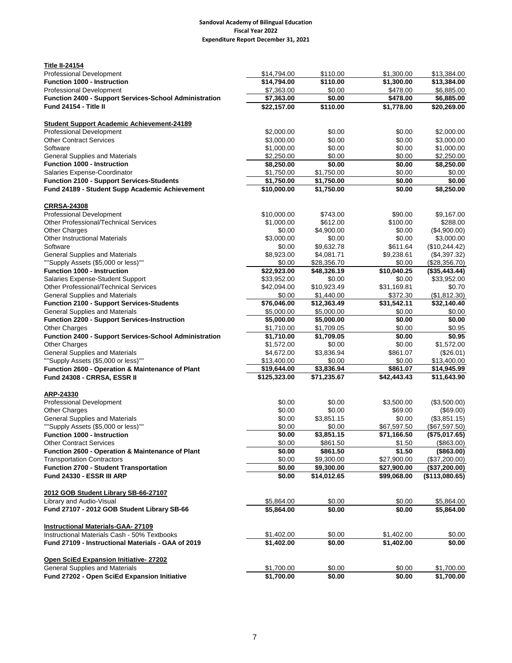| <b>Title II-24154</b>                                                           |                             |                           |                         |                            |
|---------------------------------------------------------------------------------|-----------------------------|---------------------------|-------------------------|----------------------------|
| Professional Development                                                        | \$14,794.00                 | \$110.00                  | \$1,300.00              | \$13,384.00                |
| <b>Function 1000 - Instruction</b>                                              | \$14,794.00                 | \$110.00                  | \$1,300.00              | \$13,384.00                |
| Professional Development                                                        | \$7,363.00                  | \$0.00                    | \$478.00                | \$6,885.00                 |
| Function 2400 - Support Services-School Administration                          | \$7,363.00                  | \$0.00                    | \$478.00                | \$6,885.00                 |
| Fund 24154 - Title II                                                           | \$22,157.00                 | \$110.00                  | \$1,778.00              | \$20,269.00                |
| <b>Student Support Academic Achievement-24189</b>                               |                             |                           |                         |                            |
| <b>Professional Development</b>                                                 | \$2,000.00                  | \$0.00                    | \$0.00                  | \$2,000.00                 |
| <b>Other Contract Services</b>                                                  | \$3,000.00                  | \$0.00                    | \$0.00                  | \$3,000.00                 |
| Software                                                                        | \$1,000.00                  | \$0.00                    | \$0.00                  | \$1,000.00                 |
| <b>General Supplies and Materials</b>                                           | \$2,250.00                  | \$0.00                    | \$0.00                  | \$2,250.00                 |
| <b>Function 1000 - Instruction</b>                                              | \$8,250.00                  | \$0.00                    | \$0.00                  | \$8,250.00                 |
| Salaries Expense-Coordinator                                                    | \$1,750.00                  | \$1,750.00                | \$0.00                  | \$0.00                     |
| Function 2100 - Support Services-Students                                       | \$1,750.00                  | \$1,750.00                | \$0.00                  | \$0.00                     |
| Fund 24189 - Student Supp Academic Achievement                                  | \$10,000.00                 | \$1,750.00                | \$0.00                  | \$8,250.00                 |
|                                                                                 |                             |                           |                         |                            |
| <b>CRRSA-24308</b>                                                              |                             |                           |                         |                            |
| <b>Professional Development</b>                                                 | \$10,000.00                 | \$743.00                  | \$90.00                 | \$9,167.00                 |
| Other Professional/Technical Services                                           | \$1,000.00                  | \$612.00                  | \$100.00                | \$288.00                   |
| <b>Other Charges</b>                                                            | \$0.00                      | \$4,900.00                | \$0.00                  | (\$4,900.00)               |
| <b>Other Instructional Materials</b>                                            | \$3,000.00                  | \$0.00                    | \$0.00                  | \$3,000.00                 |
| Software                                                                        | \$0.00                      | \$9,632.78                | \$611.64                | (\$10,244.42)              |
| <b>General Supplies and Materials</b>                                           | \$8,923.00                  | \$4,081.71                | \$9,238.61              | (\$4,397.32)               |
| ""Supply Assets (\$5,000 or less)""                                             | \$0.00                      | \$28,356.70               | \$0.00                  | (\$28,356.70)              |
| <b>Function 1000 - Instruction</b>                                              | \$22,923.00                 | \$48,326.19               | \$10,040.25             | $(*35,443.44)$             |
| Salaries Expense-Student Support                                                | \$33,952.00                 | \$0.00                    | \$0.00                  | \$33,952.00                |
| Other Professional/Technical Services                                           | \$42,094.00                 | \$10,923.49               | \$31,169.81             | \$0.70                     |
| <b>General Supplies and Materials</b>                                           | \$0.00                      | \$1,440.00                | \$372.30                | (\$1,812.30)               |
| <b>Function 2100 - Support Services-Students</b>                                | \$76,046.00                 | \$12,363.49               | \$31,542.11             | \$32,140.40                |
| <b>General Supplies and Materials</b>                                           | \$5,000.00                  | \$5,000.00                | \$0.00                  | \$0.00                     |
| <b>Function 2200 - Support Services-Instruction</b>                             | \$5,000.00                  | \$5,000.00                | \$0.00                  | \$0.00                     |
| Other Charges                                                                   | \$1,710.00                  | \$1,709.05                | \$0.00                  | \$0.95                     |
| <b>Function 2400 - Support Services-School Administration</b>                   | \$1,710.00                  | \$1,709.05                | \$0.00                  | \$0.95                     |
| <b>Other Charges</b>                                                            | \$1,572.00                  | \$0.00                    | \$0.00                  | \$1,572.00                 |
|                                                                                 |                             |                           |                         |                            |
| <b>General Supplies and Materials</b>                                           | \$4,672.00                  | \$3,836.94                | \$861.07                | (\$26.01)                  |
| ""Supply Assets (\$5,000 or less)""                                             | \$13,400.00                 | \$0.00                    | \$0.00                  | \$13,400.00                |
| Function 2600 - Operation & Maintenance of Plant<br>Fund 24308 - CRRSA, ESSR II | \$19,644.00<br>\$125,323.00 | \$3,836.94<br>\$71,235.67 | \$861.07<br>\$42,443.43 | \$14,945.99<br>\$11,643.90 |
|                                                                                 |                             |                           |                         |                            |
| ARP-24330                                                                       |                             |                           |                         |                            |
| Professional Development                                                        | \$0.00                      | \$0.00                    | \$3,500.00              | (\$3,500.00)               |
| <b>Other Charges</b>                                                            | \$0.00                      | \$0.00                    | \$69.00                 | (\$69.00)                  |
| <b>General Supplies and Materials</b>                                           | \$0.00                      | \$3,851.15                | \$0.00                  | (\$3,851.15)               |
| ""Supply Assets (\$5,000 or less)""                                             | \$0.00                      | \$0.00                    | \$67,597.50             | (\$67,597.50)              |
| <b>Function 1000 - Instruction</b>                                              | \$0.00                      | \$3,851.15                | \$71,166.50             | (\$75,017.65)              |
| <b>Other Contract Services</b>                                                  | \$0.00                      | \$861.50                  | \$1.50                  | (\$863.00)                 |
| Function 2600 - Operation & Maintenance of Plant                                | \$0.00                      | \$861.50                  | \$1.50                  | (\$863.00)                 |
| <b>Transportation Contractors</b>                                               | \$0.00                      | \$9,300.00                | \$27,900.00             | (\$37,200.00)              |
| <b>Function 2700 - Student Transportation</b>                                   | \$0.00                      | \$9,300.00                | \$27,900.00             | (\$37,200.00)              |
| Fund 24330 - ESSR III ARP                                                       | \$0.00                      | \$14,012.65               | \$99,068.00             | (\$113,080.65)             |
| 2012 GOB Student Library SB-66-27107                                            |                             |                           |                         |                            |
| Library and Audio-Visual                                                        | \$5,864.00                  | \$0.00                    | \$0.00                  | \$5,864.00                 |
| Fund 27107 - 2012 GOB Student Library SB-66                                     | \$5,864.00                  | \$0.00                    | \$0.00                  | \$5,864.00                 |
|                                                                                 |                             |                           |                         |                            |
| <b>Instructional Materials-GAA- 27109</b>                                       |                             |                           |                         |                            |
| Instructional Materials Cash - 50% Textbooks                                    | \$1,402.00                  | \$0.00                    | \$1,402.00              | \$0.00                     |
| Fund 27109 - Instructional Materials - GAA of 2019                              | \$1,402.00                  | \$0.00                    | \$1,402.00              | \$0.00                     |
| Open SciEd Expansion Initiative-27202                                           |                             |                           |                         |                            |
| <b>General Supplies and Materials</b>                                           | \$1,700.00                  | \$0.00                    | \$0.00                  | \$1,700.00                 |
| Fund 27202 - Open SciEd Expansion Initiative                                    | \$1,700.00                  | \$0.00                    | \$0.00                  | \$1,700.00                 |
|                                                                                 |                             |                           |                         |                            |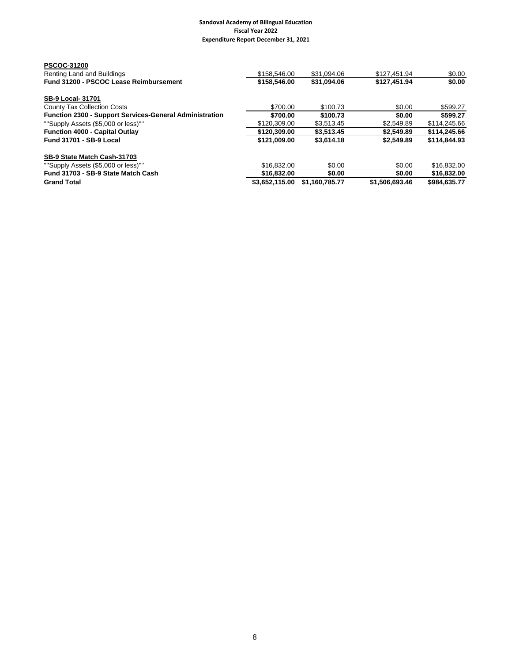| <b>Grand Total</b>                                      | \$3,652,115.00 | \$1.160.785.77 | \$1,506,693.46 | \$984,635.77 |
|---------------------------------------------------------|----------------|----------------|----------------|--------------|
| Fund 31703 - SB-9 State Match Cash                      | \$16,832.00    | \$0.00         | \$0.00         | \$16,832.00  |
| ""Supply Assets (\$5,000 or less)""                     | \$16,832,00    | \$0.00         | \$0.00         | \$16,832.00  |
| SB-9 State Match Cash-31703                             |                |                |                |              |
| <b>Fund 31701 - SB-9 Local</b>                          | \$121.009.00   | \$3.614.18     | \$2.549.89     | \$114,844,93 |
| <b>Function 4000 - Capital Outlay</b>                   | \$120,309,00   | \$3.513.45     | \$2.549.89     | \$114,245.66 |
| ""Supply Assets (\$5,000 or less)""                     | \$120,309.00   | \$3.513.45     | \$2,549.89     | \$114,245.66 |
| Function 2300 - Support Services-General Administration | \$700.00       | \$100.73       | \$0.00         | \$599.27     |
| <b>County Tax Collection Costs</b>                      | \$700.00       | \$100.73       | \$0.00         | \$599.27     |
| <b>SB-9 Local- 31701</b>                                |                |                |                |              |
| Fund 31200 - PSCOC Lease Reimbursement                  | \$158,546.00   | \$31,094.06    | \$127,451.94   | \$0.00       |
| Renting Land and Buildings                              | \$158,546.00   | \$31.094.06    | \$127.451.94   | \$0.00       |
| <b>PSCOC-31200</b>                                      |                |                |                |              |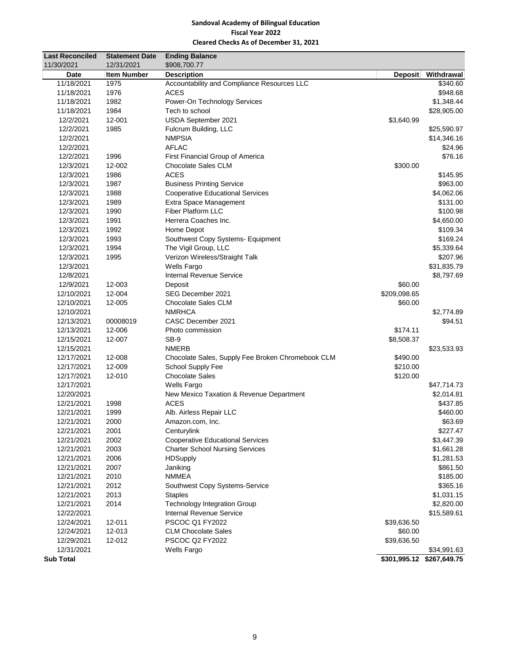## **Sandoval Academy of Bilingual Education Fiscal Year 2022 Cleared Checks As of December 31, 2021**

| <b>Last Reconciled</b> | <b>Statement Date</b> | <b>Ending Balance</b>                             |                |                           |
|------------------------|-----------------------|---------------------------------------------------|----------------|---------------------------|
| 11/30/2021             | 12/31/2021            | \$908,700.77                                      |                |                           |
| Date                   | <b>Item Number</b>    | <b>Description</b>                                | <b>Deposit</b> | Withdrawal                |
| 11/18/2021             | 1975                  | Accountability and Compliance Resources LLC       |                | \$340.60                  |
| 11/18/2021             | 1976                  | <b>ACES</b>                                       |                | \$948.68                  |
| 11/18/2021             | 1982                  | Power-On Technology Services                      |                | \$1,348.44                |
| 11/18/2021             | 1984                  | Tech to school                                    |                | \$28,905.00               |
| 12/2/2021              | 12-001                | USDA September 2021                               | \$3,640.99     |                           |
| 12/2/2021              | 1985                  | Fulcrum Building, LLC                             |                | \$25,590.97               |
| 12/2/2021              |                       | <b>NMPSIA</b>                                     |                | \$14,346.16               |
| 12/2/2021              |                       | <b>AFLAC</b>                                      |                | \$24.96                   |
| 12/2/2021              | 1996                  | First Financial Group of America                  |                | \$76.16                   |
| 12/3/2021              | 12-002                | Chocolate Sales CLM                               | \$300.00       |                           |
| 12/3/2021              | 1986                  | <b>ACES</b>                                       |                | \$145.95                  |
| 12/3/2021              | 1987                  | <b>Business Printing Service</b>                  |                | \$963.00                  |
| 12/3/2021              | 1988                  | <b>Cooperative Educational Services</b>           |                | \$4,062.06                |
| 12/3/2021              | 1989                  | Extra Space Management                            |                | \$131.00                  |
| 12/3/2021              | 1990                  | <b>Fiber Platform LLC</b>                         |                | \$100.98                  |
| 12/3/2021              | 1991                  | Herrera Coaches Inc.                              |                | \$4,650.00                |
| 12/3/2021              | 1992                  | Home Depot                                        |                | \$109.34                  |
| 12/3/2021              | 1993                  | Southwest Copy Systems- Equipment                 |                | \$169.24                  |
| 12/3/2021              | 1994                  | The Vigil Group, LLC                              |                | \$5,339.64                |
| 12/3/2021              | 1995                  | Verizon Wireless/Straight Talk                    |                | \$207.96                  |
| 12/3/2021              |                       | <b>Wells Fargo</b>                                |                | \$31,835.79               |
| 12/8/2021              |                       | <b>Internal Revenue Service</b>                   |                | \$8,797.69                |
| 12/9/2021              | 12-003                | Deposit                                           | \$60.00        |                           |
| 12/10/2021             | 12-004                | SEG December 2021                                 | \$209,098.65   |                           |
| 12/10/2021             | 12-005                | <b>Chocolate Sales CLM</b>                        | \$60.00        |                           |
| 12/10/2021             |                       | <b>NMRHCA</b>                                     |                | \$2,774.89                |
| 12/13/2021             | 00008019              | CASC December 2021                                |                | \$94.51                   |
| 12/13/2021             | 12-006                | Photo commission                                  | \$174.11       |                           |
| 12/15/2021             | 12-007                | SB-9                                              | \$8,508.37     |                           |
| 12/15/2021             |                       | <b>NMERB</b>                                      |                | \$23,533.93               |
| 12/17/2021             | 12-008                | Chocolate Sales, Supply Fee Broken Chromebook CLM | \$490.00       |                           |
| 12/17/2021             | 12-009                | School Supply Fee                                 | \$210.00       |                           |
| 12/17/2021             | 12-010                | <b>Chocolate Sales</b>                            | \$120.00       |                           |
| 12/17/2021             |                       | <b>Wells Fargo</b>                                |                | \$47,714.73               |
| 12/20/2021             |                       | New Mexico Taxation & Revenue Department          |                | \$2,014.81                |
| 12/21/2021             | 1998                  | <b>ACES</b>                                       |                | \$437.85                  |
| 12/21/2021             | 1999                  | Alb. Airless Repair LLC                           |                | \$460.00                  |
| 12/21/2021             | 2000                  | Amazon.com, Inc.                                  |                | \$63.69                   |
| 12/21/2021             | 2001                  | Centurylink                                       |                | \$227.47                  |
| 12/21/2021             | 2002                  | <b>Cooperative Educational Services</b>           |                | \$3,447.39                |
| 12/21/2021             | 2003                  | <b>Charter School Nursing Services</b>            |                | \$1,661.28                |
| 12/21/2021             | 2006                  | <b>HDSupply</b>                                   |                | \$1,281.53                |
| 12/21/2021             | 2007                  | Janiking                                          |                | \$861.50                  |
| 12/21/2021             | 2010                  | <b>NMMEA</b>                                      |                | \$185.00                  |
| 12/21/2021             | 2012                  | Southwest Copy Systems-Service                    |                | \$365.16                  |
| 12/21/2021             | 2013                  | <b>Staples</b>                                    |                | \$1,031.15                |
| 12/21/2021             | 2014                  | <b>Technology Integration Group</b>               |                | \$2,820.00                |
| 12/22/2021             |                       | <b>Internal Revenue Service</b>                   |                | \$15,589.61               |
| 12/24/2021             | 12-011                | <b>PSCOC Q1 FY2022</b>                            | \$39,636.50    |                           |
| 12/24/2021             | 12-013                | <b>CLM Chocolate Sales</b>                        | \$60.00        |                           |
| 12/29/2021             | 12-012                | PSCOC Q2 FY2022                                   | \$39,636.50    |                           |
| 12/31/2021             |                       | <b>Wells Fargo</b>                                |                | \$34,991.63               |
| <b>Sub Total</b>       |                       |                                                   |                | \$301,995.12 \$267,649.75 |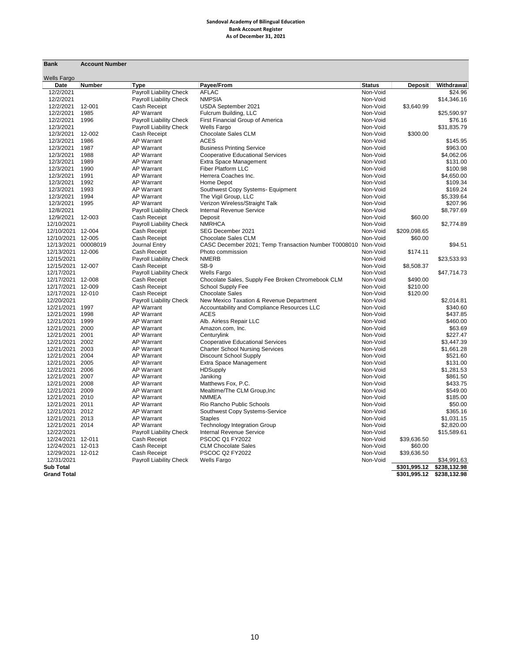#### **Sandoval Academy of Bilingual Education Bank Account Register As of December 31, 2021**

| <b>Bank</b>         | <b>Account Number</b> |                                        |                                                               |                           |                |                       |
|---------------------|-----------------------|----------------------------------------|---------------------------------------------------------------|---------------------------|----------------|-----------------------|
| <b>Wells Fargo</b>  |                       |                                        |                                                               |                           |                |                       |
| Date<br>12/2/2021   | <b>Number</b>         | <b>Type</b><br>Payroll Liability Check | Payee/From<br><b>AFLAC</b>                                    | <b>Status</b><br>Non-Void | <b>Deposit</b> | Withdrawal<br>\$24.96 |
| 12/2/2021           |                       | Payroll Liability Check                | <b>NMPSIA</b>                                                 | Non-Void                  |                | \$14,346.16           |
| 12/2/2021           | 12-001                | Cash Receipt                           | USDA September 2021                                           | Non-Void                  | \$3,640.99     |                       |
| 12/2/2021           | 1985                  | <b>AP Warrant</b>                      | Fulcrum Building, LLC                                         | Non-Void                  |                | \$25,590.97           |
| 12/2/2021           | 1996                  | Payroll Liability Check                | First Financial Group of America                              | Non-Void                  |                | \$76.16               |
| 12/3/2021           |                       | Payroll Liability Check                | <b>Wells Fargo</b>                                            | Non-Void                  |                |                       |
| 12/3/2021           | 12-002                | Cash Receipt                           | Chocolate Sales CLM                                           | Non-Void                  | \$300.00       | \$31,835.79           |
| 12/3/2021           | 1986                  | <b>AP Warrant</b>                      | <b>ACES</b>                                                   | Non-Void                  |                | \$145.95              |
| 12/3/2021           | 1987                  | <b>AP Warrant</b>                      |                                                               | Non-Void                  |                | \$963.00              |
| 12/3/2021           | 1988                  | <b>AP Warrant</b>                      | <b>Business Printing Service</b>                              | Non-Void                  |                | \$4,062.06            |
|                     |                       |                                        | <b>Cooperative Educational Services</b>                       |                           |                |                       |
| 12/3/2021           | 1989                  | <b>AP Warrant</b>                      | Extra Space Management                                        | Non-Void                  |                | \$131.00              |
| 12/3/2021           | 1990                  | <b>AP Warrant</b>                      | Fiber Platform LLC                                            | Non-Void                  |                | \$100.98              |
| 12/3/2021           | 1991                  | <b>AP Warrant</b>                      | Herrera Coaches Inc.                                          | Non-Void                  |                | \$4,650.00            |
| 12/3/2021           | 1992                  | <b>AP Warrant</b>                      | Home Depot                                                    | Non-Void                  |                | \$109.34              |
| 12/3/2021           | 1993                  | <b>AP Warrant</b>                      | Southwest Copy Systems- Equipment                             | Non-Void                  |                | \$169.24              |
| 12/3/2021           | 1994                  | <b>AP Warrant</b>                      | The Vigil Group, LLC                                          | Non-Void                  |                | \$5,339.64            |
| 12/3/2021           | 1995                  | <b>AP Warrant</b>                      | Verizon Wireless/Straight Talk                                | Non-Void                  |                | \$207.96              |
| 12/8/2021           |                       | Payroll Liability Check                | <b>Internal Revenue Service</b>                               | Non-Void                  |                | \$8,797.69            |
| 12/9/2021           | 12-003                | Cash Receipt                           | Deposit                                                       | Non-Void                  | \$60.00        |                       |
| 12/10/2021          |                       | Payroll Liability Check                | <b>NMRHCA</b>                                                 | Non-Void                  |                | \$2,774.89            |
| 12/10/2021 12-004   |                       | Cash Receipt                           | SEG December 2021                                             | Non-Void                  | \$209,098.65   |                       |
| 12/10/2021 12-005   |                       | Cash Receipt                           | <b>Chocolate Sales CLM</b>                                    | Non-Void                  | \$60.00        |                       |
| 12/13/2021 00008019 |                       | Journal Entry                          | CASC December 2021; Temp Transaction Number T0008010 Non-Void |                           |                | \$94.51               |
| 12/13/2021 12-006   |                       | Cash Receipt                           | Photo commission                                              | Non-Void                  | \$174.11       |                       |
| 12/15/2021          |                       | Payroll Liability Check                | <b>NMERB</b>                                                  | Non-Void                  |                | \$23,533.93           |
| 12/15/2021 12-007   |                       | Cash Receipt                           | SB-9                                                          | Non-Void                  | \$8,508.37     |                       |
| 12/17/2021          |                       | <b>Payroll Liability Check</b>         | <b>Wells Fargo</b>                                            | Non-Void                  |                | \$47,714.73           |
| 12/17/2021 12-008   |                       | Cash Receipt                           | Chocolate Sales, Supply Fee Broken Chromebook CLM             | Non-Void                  | \$490.00       |                       |
| 12/17/2021 12-009   |                       | Cash Receipt                           | School Supply Fee                                             | Non-Void                  | \$210.00       |                       |
| 12/17/2021 12-010   |                       | Cash Receipt                           | <b>Chocolate Sales</b>                                        | Non-Void                  | \$120.00       |                       |
| 12/20/2021          |                       | Payroll Liability Check                | New Mexico Taxation & Revenue Department                      | Non-Void                  |                | \$2,014.81            |
| 12/21/2021 1997     |                       | <b>AP Warrant</b>                      | Accountability and Compliance Resources LLC                   | Non-Void                  |                | \$340.60              |
| 12/21/2021 1998     |                       | <b>AP Warrant</b>                      | <b>ACES</b>                                                   | Non-Void                  |                | \$437.85              |
| 12/21/2021 1999     |                       | <b>AP Warrant</b>                      | Alb. Airless Repair LLC                                       | Non-Void                  |                | \$460.00              |
| 12/21/2021 2000     |                       | <b>AP Warrant</b>                      | Amazon.com, Inc.                                              | Non-Void                  |                | \$63.69               |
| 12/21/2021 2001     |                       | <b>AP Warrant</b>                      | Centurylink                                                   | Non-Void                  |                | \$227.47              |
| 12/21/2021 2002     |                       | <b>AP Warrant</b>                      | <b>Cooperative Educational Services</b>                       | Non-Void                  |                | \$3,447.39            |
| 12/21/2021 2003     |                       | <b>AP Warrant</b>                      | <b>Charter School Nursing Services</b>                        | Non-Void                  |                | \$1,661.28            |
| 12/21/2021 2004     |                       | <b>AP Warrant</b>                      | Discount School Supply                                        | Non-Void                  |                | \$521.60              |
| 12/21/2021 2005     |                       | <b>AP Warrant</b>                      | Extra Space Management                                        | Non-Void                  |                | \$131.00              |
| 12/21/2021 2006     |                       | <b>AP Warrant</b>                      | <b>HDSupply</b>                                               | Non-Void                  |                | \$1,281.53            |
| 12/21/2021 2007     |                       | <b>AP Warrant</b>                      | Janiking                                                      | Non-Void                  |                | \$861.50              |
| 12/21/2021 2008     |                       | <b>AP Warrant</b>                      | Matthews Fox, P.C.                                            | Non-Void                  |                | \$433.75              |
| 12/21/2021 2009     |                       | <b>AP Warrant</b>                      | Mealtime/The CLM Group, Inc                                   | Non-Void                  |                | \$549.00              |
| 12/21/2021 2010     |                       | <b>AP Warrant</b>                      | <b>NMMEA</b>                                                  | Non-Void                  |                | \$185.00              |
| 12/21/2021 2011     |                       | <b>AP Warrant</b>                      | Rio Rancho Public Schools                                     | Non-Void                  |                | \$50.00               |
| 12/21/2021 2012     |                       | <b>AP Warrant</b>                      | Southwest Copy Systems-Service                                | Non-Void                  |                | \$365.16              |
| 12/21/2021 2013     |                       | <b>AP Warrant</b>                      | <b>Staples</b>                                                | Non-Void                  |                | \$1,031.15            |
| 12/21/2021 2014     |                       | <b>AP Warrant</b>                      | <b>Technology Integration Group</b>                           | Non-Void                  |                | \$2,820.00            |
| 12/22/2021          |                       | Payroll Liability Check                | Internal Revenue Service                                      | Non-Void                  |                | \$15,589.61           |
| 12/24/2021 12-011   |                       | Cash Receipt                           | PSCOC Q1 FY2022                                               | Non-Void                  | \$39,636.50    |                       |
| 12/24/2021 12-013   |                       | Cash Receipt                           | <b>CLM Chocolate Sales</b>                                    | Non-Void                  | \$60.00        |                       |
| 12/29/2021 12-012   |                       | Cash Receipt                           | PSCOC Q2 FY2022                                               | Non-Void                  | \$39,636.50    |                       |
| 12/31/2021          |                       |                                        | <b>Wells Fargo</b>                                            | Non-Void                  |                | \$34,991.63           |
| <b>Sub Total</b>    |                       | Payroll Liability Check                |                                                               |                           | \$301,995.12   | \$238,132.98          |
| <b>Grand Total</b>  |                       |                                        |                                                               |                           | \$301,995.12   | \$238,132.98          |
|                     |                       |                                        |                                                               |                           |                |                       |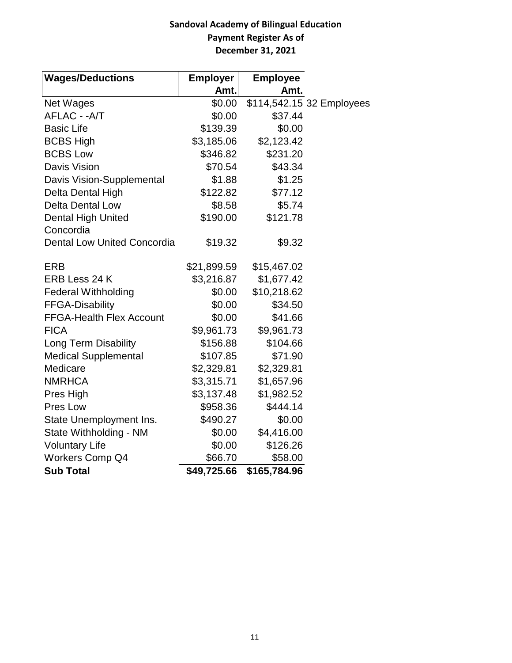## **Sandoval Academy of Bilingual Education Payment Register As of December 31, 2021**

| <b>Wages/Deductions</b>            | <b>Employer</b> | <b>Employee</b> |                           |
|------------------------------------|-----------------|-----------------|---------------------------|
|                                    | Amt.            | Amt.            |                           |
| <b>Net Wages</b>                   | \$0.00          |                 | \$114,542.15 32 Employees |
| AFLAC - - A/T                      | \$0.00          | \$37.44         |                           |
| <b>Basic Life</b>                  | \$139.39        | \$0.00          |                           |
| <b>BCBS High</b>                   | \$3,185.06      | \$2,123.42      |                           |
| <b>BCBS Low</b>                    | \$346.82        | \$231.20        |                           |
| <b>Davis Vision</b>                | \$70.54         | \$43.34         |                           |
| Davis Vision-Supplemental          | \$1.88          | \$1.25          |                           |
| Delta Dental High                  | \$122.82        | \$77.12         |                           |
| <b>Delta Dental Low</b>            | \$8.58          | \$5.74          |                           |
| Dental High United                 | \$190.00        | \$121.78        |                           |
| Concordia                          |                 |                 |                           |
| <b>Dental Low United Concordia</b> | \$19.32         | \$9.32          |                           |
| <b>ERB</b>                         | \$21,899.59     | \$15,467.02     |                           |
| ERB Less 24 K                      | \$3,216.87      | \$1,677.42      |                           |
| <b>Federal Withholding</b>         | \$0.00          | \$10,218.62     |                           |
| <b>FFGA-Disability</b>             | \$0.00          | \$34.50         |                           |
| <b>FFGA-Health Flex Account</b>    | \$0.00          | \$41.66         |                           |
| <b>FICA</b>                        | \$9,961.73      | \$9,961.73      |                           |
| <b>Long Term Disability</b>        | \$156.88        | \$104.66        |                           |
| <b>Medical Supplemental</b>        | \$107.85        | \$71.90         |                           |
| Medicare                           | \$2,329.81      | \$2,329.81      |                           |
| <b>NMRHCA</b>                      | \$3,315.71      | \$1,657.96      |                           |
| Pres High                          | \$3,137.48      | \$1,982.52      |                           |
| Pres Low                           | \$958.36        | \$444.14        |                           |
| State Unemployment Ins.            | \$490.27        | \$0.00          |                           |
| State Withholding - NM             | \$0.00          | \$4,416.00      |                           |
| <b>Voluntary Life</b>              | \$0.00          | \$126.26        |                           |
| <b>Workers Comp Q4</b>             | \$66.70         | \$58.00         |                           |
| <b>Sub Total</b>                   | \$49,725.66     | \$165,784.96    |                           |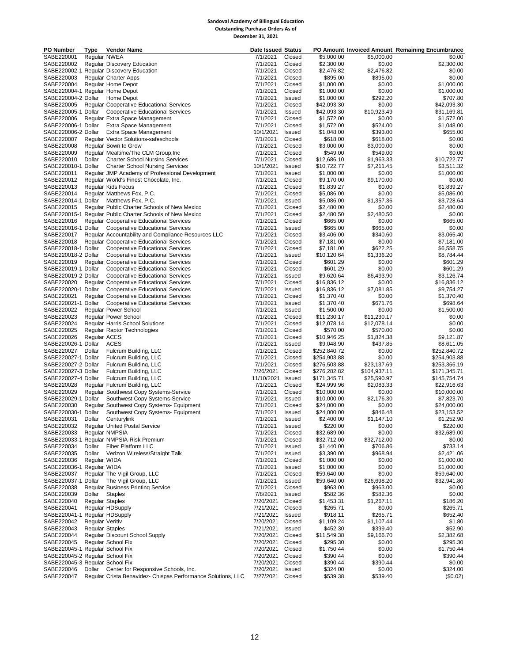#### **Sandoval Academy of Bilingual Education Outstanding Purchase Orders As of December 31, 2021**

| PO Number                                                          | Type                   | <b>Vendor Name</b>                                                                         | <b>Date Issued Status</b> |                  |                              |                             | PO Amount Invoiced Amount Remaining Encumbrance |
|--------------------------------------------------------------------|------------------------|--------------------------------------------------------------------------------------------|---------------------------|------------------|------------------------------|-----------------------------|-------------------------------------------------|
| SABE220001                                                         | Regular NWEA           |                                                                                            | 7/1/2021                  | Closed           | \$5,000.00                   | \$5,000.00                  | \$0.00                                          |
| SABE220002                                                         |                        | Regular Discovery Education                                                                | 7/1/2021                  | Closed           | \$2,300.00                   | \$0.00                      | \$2,300.00                                      |
| SABE220003                                                         |                        | SABE220002-1 Regular Discovery Education<br><b>Regular Charter Apps</b>                    | 7/1/2021<br>7/1/2021      | Closed<br>Closed | \$2,476.82<br>\$895.00       | \$2,476.82<br>\$895.00      | \$0.00<br>\$0.00                                |
| SABE220004                                                         |                        | Regular Home Depot                                                                         | 7/1/2021                  | Closed           | \$1,000.00                   | \$0.00                      | \$1,000.00                                      |
| SABE220004-1 Regular Home Depot                                    |                        |                                                                                            | 7/1/2021                  | Closed           | \$1,000.00                   | \$0.00                      | \$1,000.00                                      |
| SABE220004-2 Dollar                                                |                        | Home Depot                                                                                 | 7/1/2021                  | Issued           | \$1,000.00                   | \$292.20                    | \$707.80                                        |
| SABE220005                                                         |                        | <b>Regular Cooperative Educational Services</b>                                            | 7/1/2021                  | Closed           | \$42,093.30                  | \$0.00                      | \$42,093.30                                     |
| SABE220005-1 Dollar                                                |                        | <b>Cooperative Educational Services</b>                                                    | 7/1/2021                  | Issued           | \$42,093.30                  | \$10,923.49                 | \$31,169.81                                     |
| SABE220006<br>SABE220006-1 Dollar                                  |                        | Regular Extra Space Management                                                             | 7/1/2021                  | Closed           | \$1,572.00                   | \$0.00                      | \$1,572.00                                      |
| SABE220006-2 Dollar                                                |                        | <b>Extra Space Management</b><br>Extra Space Management                                    | 7/1/2021<br>10/1/2021     | Closed<br>Issued | \$1,572.00<br>\$1,048.00     | \$524.00<br>\$393.00        | \$1,048.00<br>\$655.00                          |
| SABE220007                                                         |                        | Regular Vector Solutions-safeschools                                                       | 7/1/2021                  | Closed           | \$618.00                     | \$618.00                    | \$0.00                                          |
| SABE220008                                                         |                        | Regular Sown to Grow                                                                       | 7/1/2021                  | Closed           | \$3,000.00                   | \$3,000.00                  | \$0.00                                          |
| SABE220009                                                         |                        | Regular Mealtime/The CLM Group, Inc.                                                       | 7/1/2021                  | Closed           | \$549.00                     | \$549.00                    | \$0.00                                          |
| SABE220010                                                         | Dollar                 | <b>Charter School Nursing Services</b>                                                     | 7/1/2021                  | Closed           | \$12,686.10                  | \$1,963.33                  | \$10,722.77                                     |
|                                                                    |                        | SABE220010-1 Dollar Charter School Nursing Services                                        | 10/1/2021                 | Issued           | \$10,722.77                  | \$7,211.45                  | \$3,511.32                                      |
| SABE220011<br>SABE220012                                           |                        | Regular JMP Academy of Professional Development<br>Regular World's Finest Chocolate, Inc.  | 7/1/2021<br>7/1/2021      | Issued<br>Closed | \$1,000.00<br>\$9,170.00     | \$0.00<br>\$9,170.00        | \$1,000.00<br>\$0.00                            |
| SABE220013                                                         |                        | <b>Regular Kids Focus</b>                                                                  | 7/1/2021                  | Closed           | \$1,839.27                   | \$0.00                      | \$1,839.27                                      |
| SABE220014                                                         |                        | Regular Matthews Fox, P.C.                                                                 | 7/1/2021                  | Closed           | \$5,086.00                   | \$0.00                      | \$5,086.00                                      |
|                                                                    |                        | SABE220014-1 Dollar Matthews Fox, P.C.                                                     | 7/1/2021                  | Issued           | \$5,086.00                   | \$1,357.36                  | \$3,728.64                                      |
| SABE220015                                                         |                        | Regular Public Charter Schools of New Mexico                                               | 7/1/2021                  | Closed           | \$2,480.00                   | \$0.00                      | \$2,480.00                                      |
|                                                                    |                        | SABE220015-1 Regular Public Charter Schools of New Mexico                                  | 7/1/2021                  | Closed           | \$2,480.50                   | \$2,480.50                  | \$0.00                                          |
| SABE220016                                                         |                        | <b>Regular Cooperative Educational Services</b>                                            | 7/1/2021                  | Closed           | \$665.00                     | \$0.00                      | \$665.00                                        |
|                                                                    |                        | SABE220016-1 Dollar Cooperative Educational Services                                       | 7/1/2021                  | Issued           | \$665.00                     | \$665.00                    | \$0.00                                          |
| SABE220017                                                         |                        | Regular Accountability and Compliance Resources LLC                                        | 7/1/2021                  | Closed           | \$3,406.00                   | \$340.60                    | \$3,065.40                                      |
| SABE220018<br>SABE220018-1 Dollar                                  |                        | <b>Regular Cooperative Educational Services</b><br><b>Cooperative Educational Services</b> | 7/1/2021<br>7/1/2021      | Closed<br>Closed | \$7,181.00<br>\$7,181.00     | \$0.00<br>\$622.25          | \$7,181.00<br>\$6,558.75                        |
| SABE220018-2 Dollar                                                |                        | <b>Cooperative Educational Services</b>                                                    | 7/1/2021                  | Issued           | \$10,120.64                  | \$1,336.20                  | \$8,784.44                                      |
| SABE220019                                                         |                        | <b>Regular Cooperative Educational Services</b>                                            | 7/1/2021                  | Closed           | \$601.29                     | \$0.00                      | \$601.29                                        |
| SABE220019-1 Dollar                                                |                        | <b>Cooperative Educational Services</b>                                                    | 7/1/2021                  | Closed           | \$601.29                     | \$0.00                      | \$601.29                                        |
| SABE220019-2 Dollar                                                |                        | <b>Cooperative Educational Services</b>                                                    | 7/1/2021                  | Issued           | \$9,620.64                   | \$6,493.90                  | \$3,126.74                                      |
| SABE220020                                                         |                        | <b>Regular Cooperative Educational Services</b>                                            | 7/1/2021                  | Closed           | \$16,836.12                  | \$0.00                      | \$16,836.12                                     |
| SABE220020-1 Dollar                                                |                        | <b>Cooperative Educational Services</b>                                                    | 7/1/2021                  | Issued           | \$16,836.12                  | \$7,081.85                  | \$9,754.27                                      |
| SABE220021                                                         |                        | <b>Regular Cooperative Educational Services</b>                                            | 7/1/2021                  | Closed           | \$1,370.40                   | \$0.00                      | \$1,370.40                                      |
| SABE220021-1 Dollar<br>SABE220022                                  |                        | <b>Cooperative Educational Services</b><br><b>Regular Power School</b>                     | 7/1/2021<br>7/1/2021      | Issued<br>Issued | \$1,370.40<br>\$1,500.00     | \$671.76<br>\$0.00          | \$698.64<br>\$1,500.00                          |
| SABE220023                                                         |                        | <b>Regular Power School</b>                                                                | 7/1/2021                  | Closed           | \$11,230.17                  | \$11,230.17                 | \$0.00                                          |
| SABE220024                                                         |                        | <b>Regular Harris School Solutions</b>                                                     | 7/1/2021                  | Closed           | \$12,078.14                  | \$12,078.14                 | \$0.00                                          |
| SABE220025                                                         |                        | Regular Raptor Technologies                                                                | 7/1/2021                  | Closed           | \$570.00                     | \$570.00                    | \$0.00                                          |
| SABE220026                                                         | Regular ACES           |                                                                                            | 7/1/2021                  | Closed           | \$10,946.25                  | \$1,824.38                  | \$9,121.87                                      |
| SABE220026-1 Dollar                                                |                        | ACES                                                                                       | 7/1/2021                  | Issued           | \$9,048.90                   | \$437.85                    | \$8,611.05                                      |
| SABE220027                                                         | Dollar                 | Fulcrum Building, LLC                                                                      | 7/1/2021                  | Closed           | \$252,840.72                 | \$0.00                      | \$252,840.72                                    |
| SABE220027-1 Dollar                                                |                        | Fulcrum Building, LLC                                                                      | 7/1/2021                  | Closed           | \$254,903.88                 | \$0.00                      | \$254,903.88                                    |
| SABE220027-2 Dollar<br>SABE220027-3 Dollar                         |                        | Fulcrum Building, LLC<br>Fulcrum Building, LLC                                             | 7/1/2021<br>7/26/2021     | Closed<br>Closed | \$276,503.88<br>\$276,282.82 | \$23,137.69<br>\$104,937.11 | \$253,366.19<br>\$171,345.71                    |
| SABE220027-4 Dollar                                                |                        | Fulcrum Building, LLC                                                                      | 11/10/2021                | Issued           | \$171,345.71                 | \$25,590.97                 | \$145,754.74                                    |
| SABE220028                                                         |                        | Regular Fulcrum Building, LLC                                                              | 7/1/2021                  | Closed           | \$24,999.96                  | \$2,083.33                  | \$22,916.63                                     |
| SABE220029                                                         |                        | Regular Southwest Copy Systems-Service                                                     | 7/1/2021                  | Closed           | \$10,000.00                  | \$0.00                      | \$10,000.00                                     |
| SABE220029-1 Dollar                                                |                        | Southwest Copy Systems-Service                                                             | 7/1/2021                  | Issued           | \$10,000.00                  | \$2,176.30                  | \$7,823.70                                      |
| SABE220030                                                         |                        | Regular Southwest Copy Systems- Equipment                                                  | 7/1/2021                  | Closed           | \$24,000.00                  | \$0.00                      | \$24,000.00                                     |
| SABE220030-1 Dollar                                                |                        | Southwest Copy Systems- Equipment                                                          | 7/1/2021                  | Issued           | \$24,000.00                  | \$846.48                    | \$23,153.52                                     |
| SABE220031                                                         |                        | Dollar Centurylink                                                                         | 7/1/2021                  | Issued           | \$2,400.00                   | \$1,147.10                  | \$1,252.90                                      |
| SABE220032<br>SABE220033                                           |                        | <b>Regular United Postal Service</b><br>Regular NMPSIA                                     | 7/1/2021<br>7/1/2021      | Issued<br>Closed | \$220.00<br>\$32,689.00      | \$0.00<br>\$0.00            | \$220.00<br>\$32,689.00                         |
|                                                                    |                        | SABE220033-1 Reqular NMPSIA-Risk Premium                                                   | 7/1/2021                  | Closed           | \$32,712.00                  | \$32,712.00                 | \$0.00                                          |
| SABE220034                                                         |                        | Dollar Fiber Platform LLC                                                                  | 7/1/2021                  | Issued           | \$1,440.00                   | \$706.86                    | \$733.14                                        |
| SABE220035                                                         |                        | Dollar Verizon Wireless/Straight Talk                                                      | 7/1/2021                  | Issued           | \$3,390.00                   | \$968.94                    | \$2,421.06                                      |
| SABE220036                                                         | Regular WIDA           |                                                                                            | 7/1/2021                  | Closed           | \$1,000.00                   | \$0.00                      | \$1,000.00                                      |
| SABE220036-1 Regular WIDA                                          |                        |                                                                                            | 7/1/2021                  | Issued           | \$1,000.00                   | \$0.00                      | \$1,000.00                                      |
| SABE220037                                                         |                        | Regular The Vigil Group, LLC                                                               | 7/1/2021                  | Closed           | \$59,640.00                  | \$0.00                      | \$59,640.00                                     |
|                                                                    |                        | SABE220037-1 Dollar The Vigil Group, LLC                                                   | 7/1/2021                  | Issued           | \$59,640.00                  | \$26,698.20                 | \$32,941.80                                     |
| SABE220038<br>SABE220039                                           | Dollar Staples         | <b>Regular Business Printing Service</b>                                                   | 7/1/2021<br>7/8/2021      | Closed<br>Issued | \$963.00<br>\$582.36         | \$963.00<br>\$582.36        | \$0.00<br>\$0.00                                |
| SABE220040                                                         | <b>Regular Staples</b> |                                                                                            | 7/20/2021                 | Closed           | \$1,453.31                   | \$1,267.11                  | \$186.20                                        |
| SABE220041                                                         |                        | Regular HDSupply                                                                           | 7/21/2021                 | Closed           | \$265.71                     | \$0.00                      | \$265.71                                        |
| SABE220041-1 Regular HDSupply                                      |                        |                                                                                            | 7/21/2021                 | Issued           | \$918.11                     | \$265.71                    | \$652.40                                        |
| SABE220042                                                         | Regular Veritiv        |                                                                                            | 7/20/2021                 | Closed           | \$1,109.24                   | \$1,107.44                  | \$1.80                                          |
| SABE220043                                                         | <b>Regular Staples</b> |                                                                                            | 7/21/2021                 | Issued           | \$452.30                     | \$399.40                    | \$52.90                                         |
| SABE220044                                                         |                        | Regular Discount School Supply                                                             | 7/20/2021                 | Closed           | \$11,549.38                  | \$9,166.70                  | \$2,382.68                                      |
| SABE220045                                                         |                        | Regular School Fix                                                                         | 7/20/2021                 | Closed           | \$295.30                     | \$0.00                      | \$295.30                                        |
| SABE220045-1 Regular School Fix<br>SABE220045-2 Regular School Fix |                        |                                                                                            | 7/20/2021<br>7/20/2021    | Closed           | \$1,750.44<br>\$390.44       | \$0.00<br>\$0.00            | \$1,750.44<br>\$390.44                          |
| SABE220045-3 Regular School Fix                                    |                        |                                                                                            | 7/20/2021                 | Closed<br>Closed | \$390.44                     | \$390.44                    | \$0.00                                          |
| SABE220046                                                         |                        | Dollar Center for Responsive Schools, Inc.                                                 | 7/20/2021                 | Issued           | \$324.00                     | \$0.00                      | \$324.00                                        |
| SABE220047                                                         |                        | Regular Crista Benavidez-Chispas Performance Solutions, LLC                                | 7/27/2021                 | Closed           | \$539.38                     | \$539.40                    | (\$0.02)                                        |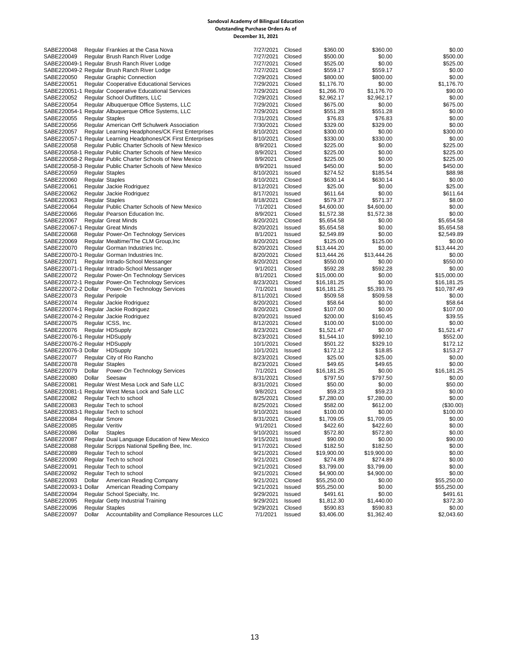#### **Sandoval Academy of Bilingual Education Outstanding Purchase Orders As of December 31, 2021**

| SABE220048                          |                        | Regular Frankies at the Casa Nova                             | 7/27/2021 | Closed | \$360.00    | \$360.00    | \$0.00      |
|-------------------------------------|------------------------|---------------------------------------------------------------|-----------|--------|-------------|-------------|-------------|
| SABE220049                          |                        | Regular Brush Ranch River Lodge                               | 7/27/2021 | Closed | \$500.00    | \$0.00      | \$500.00    |
|                                     |                        | SABE220049-1 Regular Brush Ranch River Lodge                  | 7/27/2021 | Closed | \$525.00    | \$0.00      | \$525.00    |
|                                     |                        | SABE220049-2 Regular Brush Ranch River Lodge                  | 7/27/2021 | Closed | \$559.17    | \$559.17    | \$0.00      |
| SABE220050                          |                        | <b>Regular Graphic Connection</b>                             | 7/29/2021 | Closed | \$800.00    | \$800.00    | \$0.00      |
| SABE220051                          |                        | Regular Cooperative Educational Services                      | 7/29/2021 | Closed | \$1,176.70  | \$0.00      | \$1,176.70  |
|                                     |                        | SABE220051-1 Regular Cooperative Educational Services         | 7/29/2021 | Closed | \$1,266.70  | \$1,176.70  | \$90.00     |
| SABE220052                          |                        | Regular School Outfitters, LLC                                | 7/29/2021 | Closed | \$2,962.17  | \$2,962.17  | \$0.00      |
| SABE220054                          |                        | Regular Albuquerque Office Systems, LLC                       | 7/29/2021 | Closed | \$675.00    | \$0.00      | \$675.00    |
|                                     |                        | SABE220054-1 Regular Albuquerque Office Systems, LLC          | 7/29/2021 | Closed | \$551.28    | \$551.28    | \$0.00      |
| SABE220055                          | <b>Regular Staples</b> |                                                               | 7/31/2021 | Closed | \$76.83     | \$76.83     | \$0.00      |
| SABE220056                          |                        | Regular American Orff Schulwerk Association                   | 7/30/2021 | Closed | \$329.00    | \$329.00    | \$0.00      |
| SABE220057                          |                        | Regular Learning Headphones/CK First Enterprises              | 8/10/2021 | Closed | \$300.00    | \$0.00      | \$300.00    |
|                                     |                        | SABE220057-1 Regular Learning Headphones/CK First Enterprises | 8/10/2021 | Closed | \$330.00    | \$330.00    | \$0.00      |
| SABE220058                          |                        | Regular Public Charter Schools of New Mexico                  | 8/9/2021  | Closed | \$225.00    | \$0.00      | \$225.00    |
|                                     |                        | SABE220058-1 Regular Public Charter Schools of New Mexico     | 8/9/2021  | Closed | \$225.00    | \$0.00      | \$225.00    |
|                                     |                        | SABE220058-2 Regular Public Charter Schools of New Mexico     | 8/9/2021  | Closed | \$225.00    | \$0.00      | \$225.00    |
|                                     |                        | SABE220058-3 Regular Public Charter Schools of New Mexico     | 8/9/2021  | Issued | \$450.00    | \$0.00      | \$450.00    |
| SABE220059                          | <b>Regular Staples</b> |                                                               | 8/10/2021 | Issued | \$274.52    | \$185.54    | \$88.98     |
| SABE220060                          | <b>Regular Staples</b> |                                                               | 8/10/2021 | Closed | \$630.14    | \$630.14    | \$0.00      |
| SABE220061                          |                        | Regular Jackie Rodriguez                                      | 8/12/2021 | Closed | \$25.00     | \$0.00      | \$25.00     |
| SABE220062                          |                        | Regular Jackie Rodriguez                                      | 8/17/2021 | Issued | \$611.64    | \$0.00      | \$611.64    |
| SABE220063                          | <b>Regular Staples</b> |                                                               | 8/18/2021 | Closed | \$579.37    | \$571.37    | \$8.00      |
| SABE220064                          |                        | Regular Public Charter Schools of New Mexico                  | 7/1/2021  | Closed | \$4,600.00  | \$4,600.00  | \$0.00      |
| SABE220066                          |                        | Regular Pearson Education Inc.                                | 8/9/2021  | Closed | \$1,572.38  | \$1,572.38  | \$0.00      |
| SABE220067                          |                        | <b>Regular Great Minds</b>                                    | 8/20/2021 | Closed | \$5,654.58  | \$0.00      | \$5,654.58  |
| SABE220067-1 Regular Great Minds    |                        |                                                               | 8/20/2021 | Issued | \$5,654.58  | \$0.00      | \$5,654.58  |
| SABE220068                          |                        | Regular Power-On Technology Services                          | 8/1/2021  | Issued | \$2,549.89  | \$0.00      | \$2,549.89  |
| SABE220069                          |                        | Regular Mealtime/The CLM Group, Inc.                          | 8/20/2021 | Closed | \$125.00    | \$125.00    | \$0.00      |
| SABE220070                          |                        | Regular Gorman Industries Inc.                                | 8/20/2021 | Closed | \$13,444.20 | \$0.00      | \$13,444.20 |
|                                     |                        | SABE220070-1 Regular Gorman Industries Inc.                   | 8/20/2021 | Closed | \$13,444.26 | \$13,444.26 | \$0.00      |
| SABE220071                          |                        | Regular Intrado-School Messanger                              | 8/20/2021 | Closed | \$550.00    | \$0.00      | \$550.00    |
|                                     |                        | SABE220071-1 Regular Intrado-School Messanger                 | 9/1/2021  | Closed | \$592.28    | \$592.28    | \$0.00      |
| SABE220072                          |                        | Regular Power-On Technology Services                          | 8/1/2021  | Closed | \$15,000.00 | \$0.00      | \$15,000.00 |
|                                     |                        | SABE220072-1 Regular Power-On Technology Services             | 8/23/2021 | Closed | \$16,181.25 | \$0.00      | \$16,181.25 |
|                                     |                        | SABE220072-2 Dollar Power-On Technology Services              | 7/1/2021  | Issued | \$16,181.25 | \$5,393.76  | \$10,787.49 |
| SABE220073                          |                        | <b>Regular Peripole</b>                                       | 8/11/2021 | Closed | \$509.58    | \$509.58    | \$0.00      |
| SABE220074                          |                        | Regular Jackie Rodriguez                                      | 8/20/2021 | Closed | \$58.64     | \$0.00      | \$58.64     |
|                                     |                        | SABE220074-1 Regular Jackie Rodriguez                         | 8/20/2021 | Closed | \$107.00    | \$0.00      | \$107.00    |
|                                     |                        | SABE220074-2 Regular Jackie Rodriguez                         | 8/20/2021 | Issued | \$200.00    | \$160.45    | \$39.55     |
| SABE220075                          |                        | Regular ICSS, Inc.                                            | 8/12/2021 | Closed | \$100.00    | \$100.00    | \$0.00      |
| SABE220076                          |                        | <b>Regular HDSupply</b>                                       | 8/23/2021 | Closed | \$1,521.47  | \$0.00      | \$1,521.47  |
| SABE220076-1 Regular HDSupply       |                        |                                                               | 8/23/2021 | Closed | \$1,544.10  | \$992.10    | \$552.00    |
| SABE220076-2 Regular HDSupply       |                        |                                                               | 10/1/2021 | Closed | \$501.22    | \$329.10    | \$172.12    |
| SABE220076-3 Dollar HDSupply        |                        |                                                               | 10/1/2021 | Issued | \$172.12    | \$18.85     | \$153.27    |
| SABE220077                          |                        | Regular City of Rio Rancho                                    | 8/23/2021 | Closed | \$25.00     | \$25.00     | \$0.00      |
| SABE220078                          | <b>Regular Staples</b> |                                                               | 8/23/2021 | Closed | \$49.65     | \$49.65     | \$0.00      |
| SABE220079                          | Dollar                 | Power-On Technology Services                                  | 7/1/2021  | Closed | \$16,181.25 | \$0.00      | \$16,181.25 |
| SABE220080                          | Dollar                 | Seesaw                                                        | 8/31/2021 | Closed | \$797.50    | \$797.50    | \$0.00      |
| SABE220081                          |                        | Regular West Mesa Lock and Safe LLC                           | 8/31/2021 | Closed | \$50.00     | \$0.00      | \$50.00     |
|                                     |                        | SABE220081-1 Regular West Mesa Lock and Safe LLC              | 9/8/2021  | Closed | \$59.23     | \$59.23     | \$0.00      |
| SABE220082                          |                        | Regular Tech to school                                        | 8/25/2021 | Closed | \$7,280.00  | \$7,280.00  | \$0.00      |
| SABE220083                          |                        | Regular Tech to school                                        | 8/25/2021 | Closed | \$582.00    | \$612.00    | (\$30.00)   |
| SABE220083-1 Regular Tech to school |                        |                                                               | 9/10/2021 | Issued | \$100.00    | \$0.00      | \$100.00    |
| SABE220084                          | <b>Regular Smore</b>   |                                                               | 8/31/2021 | Closed | \$1,709.05  | \$1,709.05  | \$0.00      |
| SABE220085                          | Regular Veritiv        |                                                               | 9/1/2021  | Closed | \$422.60    | \$422.60    | \$0.00      |
| SABE220086                          | Dollar Staples         |                                                               | 9/10/2021 | Issued | \$572.80    | \$572.80    | \$0.00      |
| SABE220087                          |                        | Regular Dual Language Education of New Mexico                 | 9/15/2021 | Issued | \$90.00     | \$0.00      | \$90.00     |
| SABE220088                          |                        | Regular Scripps National Spelling Bee, Inc.                   | 9/17/2021 | Closed | \$182.50    | \$182.50    | \$0.00      |
| SABE220089                          |                        | Regular Tech to school                                        | 9/21/2021 | Closed | \$19,900.00 | \$19,900.00 | \$0.00      |
| SABE220090                          |                        | Regular Tech to school                                        | 9/21/2021 | Closed | \$274.89    | \$274.89    | \$0.00      |
| SABE220091                          |                        | Regular Tech to school                                        | 9/21/2021 | Closed | \$3,799.00  | \$3,799.00  | \$0.00      |
| SABE220092                          |                        | Regular Tech to school                                        | 9/21/2021 | Closed | \$4,900.00  | \$4,900.00  | \$0.00      |
| SABE220093                          | Dollar                 | American Reading Company                                      | 9/21/2021 | Closed | \$55,250.00 | \$0.00      | \$55,250.00 |
| SABE220093-1 Dollar                 |                        | American Reading Company                                      | 9/21/2021 | Issued | \$55,250.00 | \$0.00      | \$55,250.00 |
| SABE220094                          |                        | Regular School Specialty, Inc.                                | 9/29/2021 | Issued | \$491.61    | \$0.00      | \$491.61    |
| SABE220095                          |                        | Regular Getty Industrial Training                             | 9/29/2021 | Issued | \$1,812.30  | \$1,440.00  | \$372.30    |
| SABE220096                          | <b>Regular Staples</b> |                                                               | 9/29/2021 | Closed | \$590.83    | \$590.83    | \$0.00      |
| SABE220097                          | Dollar                 | Accountability and Compliance Resources LLC                   | 7/1/2021  | Issued | \$3,406.00  | \$1,362.40  | \$2,043.60  |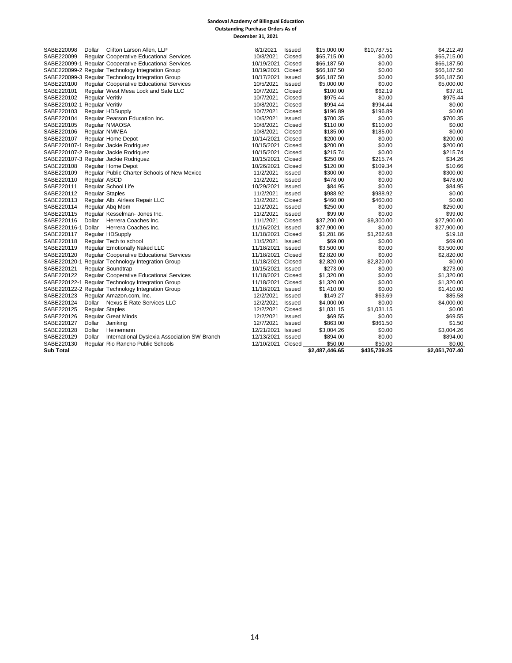#### **Sandoval Academy of Bilingual Education Outstanding Purchase Orders As of December 31, 2021**

| 10/8/2021<br>Closed<br>\$65,715.00<br>SABE220099<br><b>Regular Cooperative Educational Services</b><br>\$65,715.00<br>\$0.00<br>SABE220099-1 Regular Cooperative Educational Services<br>10/19/2021<br>Closed<br>\$66,187.50<br>\$0.00<br>\$66,187.50<br>SABE220099-2 Reqular Technology Integration Group<br>10/19/2021 Closed<br>\$66,187.50<br>\$66,187.50<br>\$0.00<br>SABE220099-3 Regular Technology Integration Group<br>10/17/2021<br>\$66,187.50<br>\$0.00<br>\$66,187.50<br>Issued<br>10/5/2021<br>\$5,000.00<br>\$0.00<br>\$5,000.00<br>SABE220100<br>Regular Cooperative Educational Services<br>Issued<br>SABE220101<br>Regular West Mesa Lock and Safe LLC<br>10/7/2021<br>Closed<br>\$100.00<br>\$62.19<br>\$37.81<br>\$0.00<br>SABE220102<br><b>Regular Veritiv</b><br>10/7/2021<br>Closed<br>\$975.44<br>\$975.44<br>Closed<br>\$994.44<br>SABE220102-1 Regular Veritiv<br>10/8/2021<br>\$994.44<br>\$0.00<br>\$0.00<br>SABE220103<br>10/7/2021<br>Closed<br>\$196.89<br>\$196.89<br>Regular HDSupply<br>\$0.00<br>\$700.35<br>SABE220104<br>Regular Pearson Education Inc.<br>10/5/2021<br>Issued<br>\$700.35<br>SABE220105<br>Regular NMAOSA<br>10/8/2021<br>Closed<br>\$110.00<br>\$110.00<br>\$0.00<br>Regular NMMEA<br>10/8/2021<br>Closed<br>\$185.00<br>\$185.00<br>\$0.00<br>SABE220106<br>10/14/2021 Closed<br>SABE220107<br>\$200.00<br>\$0.00<br>\$200.00<br><b>Regular Home Depot</b><br>SABE220107-1 Regular Jackie Rodriguez<br>10/15/2021 Closed<br>\$0.00<br>\$200.00<br>\$200.00<br>SABE220107-2 Regular Jackie Rodriguez<br>10/15/2021<br>\$0.00<br>\$215.74<br>Closed<br>\$215.74<br>\$34.26<br>SABE220107-3 Regular Jackie Rodriguez<br>10/15/2021<br>Closed<br>\$250.00<br>\$215.74<br>10/26/2021 Closed<br>\$109.34<br>\$10.66<br>SABE220108<br><b>Regular Home Depot</b><br>\$120.00<br>SABE220109<br>Regular Public Charter Schools of New Mexico<br>11/2/2021<br><b>Issued</b><br>\$300.00<br>\$0.00<br>\$300.00<br>SABE220110<br>Regular ASCD<br>11/2/2021<br>Issued<br>\$0.00<br>\$478.00<br>\$478.00<br>SABE220111<br>Regular School Life<br>10/29/2021<br>Issued<br>\$84.95<br>\$0.00<br>\$84.95<br>\$988.92<br>\$988.92<br>\$0.00<br>SABE220112<br><b>Regular Staples</b><br>11/2/2021<br>Issued<br>Regular Alb. Airless Repair LLC<br>11/2/2021<br>\$460.00<br>\$0.00<br>SABE220113<br>Closed<br>\$460.00<br>SABE220114<br>Regular Abg Mom<br>11/2/2021<br>Issued<br>\$250.00<br>\$0.00<br>\$250.00<br>Regular Kesselman- Jones Inc.<br>\$99.00<br>\$0.00<br>\$99.00<br>SABE220115<br>11/2/2021<br>Issued<br>SABE220116<br>Dollar<br>Herrera Coaches Inc.<br>11/1/2021<br>Closed<br>\$37,200.00<br>\$9,300.00<br>\$27,900.00<br>SABE220116-1 Dollar<br>Herrera Coaches Inc.<br>11/16/2021<br>\$0.00<br>\$27,900.00<br>Issued<br>\$27,900.00<br>\$1,262.68<br>SABE220117<br>Regular HDSupply<br>11/18/2021<br>Closed<br>\$1,281.86<br>\$19.18<br>SABE220118<br>Regular Tech to school<br>\$69.00<br>11/5/2021<br>Issued<br>\$69.00<br>\$0.00<br>SABE220119<br>11/18/2021<br>\$0.00<br>\$3,500.00<br>Regular Emotionally Naked LLC<br>Issued<br>\$3,500.00<br>SABE220120<br>Regular Cooperative Educational Services<br>11/18/2021 Closed<br>\$0.00<br>\$2,820.00<br>\$2,820.00<br>\$2,820.00<br>SABE220120-1 Regular Technology Integration Group<br>11/18/2021<br>Closed<br>\$2,820.00<br>\$0.00<br>SABE220121<br>Regular Soundtrap<br>10/15/2021<br>Issued<br>\$273.00<br>\$0.00<br>\$273.00<br>Regular Cooperative Educational Services<br>\$0.00<br>\$1,320.00<br>SABE220122<br>11/18/2021<br>Closed<br>\$1,320.00<br>SABE220122-1 Regular Technology Integration Group<br>11/18/2021<br>Closed<br>\$1,320.00<br>\$0.00<br>\$1,320.00<br>11/18/2021<br>\$1,410.00<br>SABE220122-2 Regular Technology Integration Group<br>Issued<br>\$1,410.00<br>\$0.00<br>SABE220123<br>\$63.69<br>\$85.58<br>Regular Amazon.com. Inc.<br>12/2/2021<br>Issued<br>\$149.27<br>SABE220124<br>Dollar<br>Nexus E Rate Services LLC<br>12/2/2021<br><b>Issued</b><br>\$0.00<br>\$4,000.00<br>\$4,000.00<br>\$1,031.15<br>SABE220125<br><b>Reqular Staples</b><br>12/2/2021<br>Closed<br>\$1,031.15<br>\$0.00<br>SABE220126<br>\$0.00<br>\$69.55<br><b>Regular Great Minds</b><br>12/2/2021<br>Issued<br>\$69.55<br>SABE220127<br>12/7/2021<br>\$863.00<br>\$861.50<br>\$1.50<br>Dollar<br>Janiking<br>Issued<br>SABE220128<br>Dollar<br>Heinemann<br>12/21/2021<br>Issued<br>\$3,004.26<br>\$0.00<br>\$3.004.26<br>\$894.00<br>\$0.00<br>\$894.00<br>SABE220129<br>Dollar<br>International Dyslexia Association SW Branch<br>12/13/2021<br>Issued<br>\$0.00<br>SABE220130<br>Regular Rio Rancho Public Schools<br>12/10/2021 Closed<br>\$50.00<br>\$50.00<br><b>Sub Total</b><br>\$2,487,446.65<br>\$435,739.25<br>\$2,051,707.40 | SABE220098 | Clifton Larson Allen, LLP<br>Dollar | 8/1/2021 | Issued | \$15,000.00 | \$10,787.51 | \$4,212.49 |
|-------------------------------------------------------------------------------------------------------------------------------------------------------------------------------------------------------------------------------------------------------------------------------------------------------------------------------------------------------------------------------------------------------------------------------------------------------------------------------------------------------------------------------------------------------------------------------------------------------------------------------------------------------------------------------------------------------------------------------------------------------------------------------------------------------------------------------------------------------------------------------------------------------------------------------------------------------------------------------------------------------------------------------------------------------------------------------------------------------------------------------------------------------------------------------------------------------------------------------------------------------------------------------------------------------------------------------------------------------------------------------------------------------------------------------------------------------------------------------------------------------------------------------------------------------------------------------------------------------------------------------------------------------------------------------------------------------------------------------------------------------------------------------------------------------------------------------------------------------------------------------------------------------------------------------------------------------------------------------------------------------------------------------------------------------------------------------------------------------------------------------------------------------------------------------------------------------------------------------------------------------------------------------------------------------------------------------------------------------------------------------------------------------------------------------------------------------------------------------------------------------------------------------------------------------------------------------------------------------------------------------------------------------------------------------------------------------------------------------------------------------------------------------------------------------------------------------------------------------------------------------------------------------------------------------------------------------------------------------------------------------------------------------------------------------------------------------------------------------------------------------------------------------------------------------------------------------------------------------------------------------------------------------------------------------------------------------------------------------------------------------------------------------------------------------------------------------------------------------------------------------------------------------------------------------------------------------------------------------------------------------------------------------------------------------------------------------------------------------------------------------------------------------------------------------------------------------------------------------------------------------------------------------------------------------------------------------------------------------------------------------------------------------------------------------------------------------------------------------------------------------------------------------------------------------------------------------------------------------------------------------------------------------------------------------------------------------------------------------------------------------------------------------------------------------------------------------------------------------------------------------------------------------------------------------------------------------------------------------------------------------------------------------------------------------------------------------------------------------------------------------------------|------------|-------------------------------------|----------|--------|-------------|-------------|------------|
|                                                                                                                                                                                                                                                                                                                                                                                                                                                                                                                                                                                                                                                                                                                                                                                                                                                                                                                                                                                                                                                                                                                                                                                                                                                                                                                                                                                                                                                                                                                                                                                                                                                                                                                                                                                                                                                                                                                                                                                                                                                                                                                                                                                                                                                                                                                                                                                                                                                                                                                                                                                                                                                                                                                                                                                                                                                                                                                                                                                                                                                                                                                                                                                                                                                                                                                                                                                                                                                                                                                                                                                                                                                                                                                                                                                                                                                                                                                                                                                                                                                                                                                                                                                                                                                                                                                                                                                                                                                                                                                                                                                                                                                                                                                                                                   |            |                                     |          |        |             |             |            |
|                                                                                                                                                                                                                                                                                                                                                                                                                                                                                                                                                                                                                                                                                                                                                                                                                                                                                                                                                                                                                                                                                                                                                                                                                                                                                                                                                                                                                                                                                                                                                                                                                                                                                                                                                                                                                                                                                                                                                                                                                                                                                                                                                                                                                                                                                                                                                                                                                                                                                                                                                                                                                                                                                                                                                                                                                                                                                                                                                                                                                                                                                                                                                                                                                                                                                                                                                                                                                                                                                                                                                                                                                                                                                                                                                                                                                                                                                                                                                                                                                                                                                                                                                                                                                                                                                                                                                                                                                                                                                                                                                                                                                                                                                                                                                                   |            |                                     |          |        |             |             |            |
|                                                                                                                                                                                                                                                                                                                                                                                                                                                                                                                                                                                                                                                                                                                                                                                                                                                                                                                                                                                                                                                                                                                                                                                                                                                                                                                                                                                                                                                                                                                                                                                                                                                                                                                                                                                                                                                                                                                                                                                                                                                                                                                                                                                                                                                                                                                                                                                                                                                                                                                                                                                                                                                                                                                                                                                                                                                                                                                                                                                                                                                                                                                                                                                                                                                                                                                                                                                                                                                                                                                                                                                                                                                                                                                                                                                                                                                                                                                                                                                                                                                                                                                                                                                                                                                                                                                                                                                                                                                                                                                                                                                                                                                                                                                                                                   |            |                                     |          |        |             |             |            |
|                                                                                                                                                                                                                                                                                                                                                                                                                                                                                                                                                                                                                                                                                                                                                                                                                                                                                                                                                                                                                                                                                                                                                                                                                                                                                                                                                                                                                                                                                                                                                                                                                                                                                                                                                                                                                                                                                                                                                                                                                                                                                                                                                                                                                                                                                                                                                                                                                                                                                                                                                                                                                                                                                                                                                                                                                                                                                                                                                                                                                                                                                                                                                                                                                                                                                                                                                                                                                                                                                                                                                                                                                                                                                                                                                                                                                                                                                                                                                                                                                                                                                                                                                                                                                                                                                                                                                                                                                                                                                                                                                                                                                                                                                                                                                                   |            |                                     |          |        |             |             |            |
|                                                                                                                                                                                                                                                                                                                                                                                                                                                                                                                                                                                                                                                                                                                                                                                                                                                                                                                                                                                                                                                                                                                                                                                                                                                                                                                                                                                                                                                                                                                                                                                                                                                                                                                                                                                                                                                                                                                                                                                                                                                                                                                                                                                                                                                                                                                                                                                                                                                                                                                                                                                                                                                                                                                                                                                                                                                                                                                                                                                                                                                                                                                                                                                                                                                                                                                                                                                                                                                                                                                                                                                                                                                                                                                                                                                                                                                                                                                                                                                                                                                                                                                                                                                                                                                                                                                                                                                                                                                                                                                                                                                                                                                                                                                                                                   |            |                                     |          |        |             |             |            |
|                                                                                                                                                                                                                                                                                                                                                                                                                                                                                                                                                                                                                                                                                                                                                                                                                                                                                                                                                                                                                                                                                                                                                                                                                                                                                                                                                                                                                                                                                                                                                                                                                                                                                                                                                                                                                                                                                                                                                                                                                                                                                                                                                                                                                                                                                                                                                                                                                                                                                                                                                                                                                                                                                                                                                                                                                                                                                                                                                                                                                                                                                                                                                                                                                                                                                                                                                                                                                                                                                                                                                                                                                                                                                                                                                                                                                                                                                                                                                                                                                                                                                                                                                                                                                                                                                                                                                                                                                                                                                                                                                                                                                                                                                                                                                                   |            |                                     |          |        |             |             |            |
|                                                                                                                                                                                                                                                                                                                                                                                                                                                                                                                                                                                                                                                                                                                                                                                                                                                                                                                                                                                                                                                                                                                                                                                                                                                                                                                                                                                                                                                                                                                                                                                                                                                                                                                                                                                                                                                                                                                                                                                                                                                                                                                                                                                                                                                                                                                                                                                                                                                                                                                                                                                                                                                                                                                                                                                                                                                                                                                                                                                                                                                                                                                                                                                                                                                                                                                                                                                                                                                                                                                                                                                                                                                                                                                                                                                                                                                                                                                                                                                                                                                                                                                                                                                                                                                                                                                                                                                                                                                                                                                                                                                                                                                                                                                                                                   |            |                                     |          |        |             |             |            |
|                                                                                                                                                                                                                                                                                                                                                                                                                                                                                                                                                                                                                                                                                                                                                                                                                                                                                                                                                                                                                                                                                                                                                                                                                                                                                                                                                                                                                                                                                                                                                                                                                                                                                                                                                                                                                                                                                                                                                                                                                                                                                                                                                                                                                                                                                                                                                                                                                                                                                                                                                                                                                                                                                                                                                                                                                                                                                                                                                                                                                                                                                                                                                                                                                                                                                                                                                                                                                                                                                                                                                                                                                                                                                                                                                                                                                                                                                                                                                                                                                                                                                                                                                                                                                                                                                                                                                                                                                                                                                                                                                                                                                                                                                                                                                                   |            |                                     |          |        |             |             |            |
|                                                                                                                                                                                                                                                                                                                                                                                                                                                                                                                                                                                                                                                                                                                                                                                                                                                                                                                                                                                                                                                                                                                                                                                                                                                                                                                                                                                                                                                                                                                                                                                                                                                                                                                                                                                                                                                                                                                                                                                                                                                                                                                                                                                                                                                                                                                                                                                                                                                                                                                                                                                                                                                                                                                                                                                                                                                                                                                                                                                                                                                                                                                                                                                                                                                                                                                                                                                                                                                                                                                                                                                                                                                                                                                                                                                                                                                                                                                                                                                                                                                                                                                                                                                                                                                                                                                                                                                                                                                                                                                                                                                                                                                                                                                                                                   |            |                                     |          |        |             |             |            |
|                                                                                                                                                                                                                                                                                                                                                                                                                                                                                                                                                                                                                                                                                                                                                                                                                                                                                                                                                                                                                                                                                                                                                                                                                                                                                                                                                                                                                                                                                                                                                                                                                                                                                                                                                                                                                                                                                                                                                                                                                                                                                                                                                                                                                                                                                                                                                                                                                                                                                                                                                                                                                                                                                                                                                                                                                                                                                                                                                                                                                                                                                                                                                                                                                                                                                                                                                                                                                                                                                                                                                                                                                                                                                                                                                                                                                                                                                                                                                                                                                                                                                                                                                                                                                                                                                                                                                                                                                                                                                                                                                                                                                                                                                                                                                                   |            |                                     |          |        |             |             |            |
|                                                                                                                                                                                                                                                                                                                                                                                                                                                                                                                                                                                                                                                                                                                                                                                                                                                                                                                                                                                                                                                                                                                                                                                                                                                                                                                                                                                                                                                                                                                                                                                                                                                                                                                                                                                                                                                                                                                                                                                                                                                                                                                                                                                                                                                                                                                                                                                                                                                                                                                                                                                                                                                                                                                                                                                                                                                                                                                                                                                                                                                                                                                                                                                                                                                                                                                                                                                                                                                                                                                                                                                                                                                                                                                                                                                                                                                                                                                                                                                                                                                                                                                                                                                                                                                                                                                                                                                                                                                                                                                                                                                                                                                                                                                                                                   |            |                                     |          |        |             |             |            |
|                                                                                                                                                                                                                                                                                                                                                                                                                                                                                                                                                                                                                                                                                                                                                                                                                                                                                                                                                                                                                                                                                                                                                                                                                                                                                                                                                                                                                                                                                                                                                                                                                                                                                                                                                                                                                                                                                                                                                                                                                                                                                                                                                                                                                                                                                                                                                                                                                                                                                                                                                                                                                                                                                                                                                                                                                                                                                                                                                                                                                                                                                                                                                                                                                                                                                                                                                                                                                                                                                                                                                                                                                                                                                                                                                                                                                                                                                                                                                                                                                                                                                                                                                                                                                                                                                                                                                                                                                                                                                                                                                                                                                                                                                                                                                                   |            |                                     |          |        |             |             |            |
|                                                                                                                                                                                                                                                                                                                                                                                                                                                                                                                                                                                                                                                                                                                                                                                                                                                                                                                                                                                                                                                                                                                                                                                                                                                                                                                                                                                                                                                                                                                                                                                                                                                                                                                                                                                                                                                                                                                                                                                                                                                                                                                                                                                                                                                                                                                                                                                                                                                                                                                                                                                                                                                                                                                                                                                                                                                                                                                                                                                                                                                                                                                                                                                                                                                                                                                                                                                                                                                                                                                                                                                                                                                                                                                                                                                                                                                                                                                                                                                                                                                                                                                                                                                                                                                                                                                                                                                                                                                                                                                                                                                                                                                                                                                                                                   |            |                                     |          |        |             |             |            |
|                                                                                                                                                                                                                                                                                                                                                                                                                                                                                                                                                                                                                                                                                                                                                                                                                                                                                                                                                                                                                                                                                                                                                                                                                                                                                                                                                                                                                                                                                                                                                                                                                                                                                                                                                                                                                                                                                                                                                                                                                                                                                                                                                                                                                                                                                                                                                                                                                                                                                                                                                                                                                                                                                                                                                                                                                                                                                                                                                                                                                                                                                                                                                                                                                                                                                                                                                                                                                                                                                                                                                                                                                                                                                                                                                                                                                                                                                                                                                                                                                                                                                                                                                                                                                                                                                                                                                                                                                                                                                                                                                                                                                                                                                                                                                                   |            |                                     |          |        |             |             |            |
|                                                                                                                                                                                                                                                                                                                                                                                                                                                                                                                                                                                                                                                                                                                                                                                                                                                                                                                                                                                                                                                                                                                                                                                                                                                                                                                                                                                                                                                                                                                                                                                                                                                                                                                                                                                                                                                                                                                                                                                                                                                                                                                                                                                                                                                                                                                                                                                                                                                                                                                                                                                                                                                                                                                                                                                                                                                                                                                                                                                                                                                                                                                                                                                                                                                                                                                                                                                                                                                                                                                                                                                                                                                                                                                                                                                                                                                                                                                                                                                                                                                                                                                                                                                                                                                                                                                                                                                                                                                                                                                                                                                                                                                                                                                                                                   |            |                                     |          |        |             |             |            |
|                                                                                                                                                                                                                                                                                                                                                                                                                                                                                                                                                                                                                                                                                                                                                                                                                                                                                                                                                                                                                                                                                                                                                                                                                                                                                                                                                                                                                                                                                                                                                                                                                                                                                                                                                                                                                                                                                                                                                                                                                                                                                                                                                                                                                                                                                                                                                                                                                                                                                                                                                                                                                                                                                                                                                                                                                                                                                                                                                                                                                                                                                                                                                                                                                                                                                                                                                                                                                                                                                                                                                                                                                                                                                                                                                                                                                                                                                                                                                                                                                                                                                                                                                                                                                                                                                                                                                                                                                                                                                                                                                                                                                                                                                                                                                                   |            |                                     |          |        |             |             |            |
|                                                                                                                                                                                                                                                                                                                                                                                                                                                                                                                                                                                                                                                                                                                                                                                                                                                                                                                                                                                                                                                                                                                                                                                                                                                                                                                                                                                                                                                                                                                                                                                                                                                                                                                                                                                                                                                                                                                                                                                                                                                                                                                                                                                                                                                                                                                                                                                                                                                                                                                                                                                                                                                                                                                                                                                                                                                                                                                                                                                                                                                                                                                                                                                                                                                                                                                                                                                                                                                                                                                                                                                                                                                                                                                                                                                                                                                                                                                                                                                                                                                                                                                                                                                                                                                                                                                                                                                                                                                                                                                                                                                                                                                                                                                                                                   |            |                                     |          |        |             |             |            |
|                                                                                                                                                                                                                                                                                                                                                                                                                                                                                                                                                                                                                                                                                                                                                                                                                                                                                                                                                                                                                                                                                                                                                                                                                                                                                                                                                                                                                                                                                                                                                                                                                                                                                                                                                                                                                                                                                                                                                                                                                                                                                                                                                                                                                                                                                                                                                                                                                                                                                                                                                                                                                                                                                                                                                                                                                                                                                                                                                                                                                                                                                                                                                                                                                                                                                                                                                                                                                                                                                                                                                                                                                                                                                                                                                                                                                                                                                                                                                                                                                                                                                                                                                                                                                                                                                                                                                                                                                                                                                                                                                                                                                                                                                                                                                                   |            |                                     |          |        |             |             |            |
|                                                                                                                                                                                                                                                                                                                                                                                                                                                                                                                                                                                                                                                                                                                                                                                                                                                                                                                                                                                                                                                                                                                                                                                                                                                                                                                                                                                                                                                                                                                                                                                                                                                                                                                                                                                                                                                                                                                                                                                                                                                                                                                                                                                                                                                                                                                                                                                                                                                                                                                                                                                                                                                                                                                                                                                                                                                                                                                                                                                                                                                                                                                                                                                                                                                                                                                                                                                                                                                                                                                                                                                                                                                                                                                                                                                                                                                                                                                                                                                                                                                                                                                                                                                                                                                                                                                                                                                                                                                                                                                                                                                                                                                                                                                                                                   |            |                                     |          |        |             |             |            |
|                                                                                                                                                                                                                                                                                                                                                                                                                                                                                                                                                                                                                                                                                                                                                                                                                                                                                                                                                                                                                                                                                                                                                                                                                                                                                                                                                                                                                                                                                                                                                                                                                                                                                                                                                                                                                                                                                                                                                                                                                                                                                                                                                                                                                                                                                                                                                                                                                                                                                                                                                                                                                                                                                                                                                                                                                                                                                                                                                                                                                                                                                                                                                                                                                                                                                                                                                                                                                                                                                                                                                                                                                                                                                                                                                                                                                                                                                                                                                                                                                                                                                                                                                                                                                                                                                                                                                                                                                                                                                                                                                                                                                                                                                                                                                                   |            |                                     |          |        |             |             |            |
|                                                                                                                                                                                                                                                                                                                                                                                                                                                                                                                                                                                                                                                                                                                                                                                                                                                                                                                                                                                                                                                                                                                                                                                                                                                                                                                                                                                                                                                                                                                                                                                                                                                                                                                                                                                                                                                                                                                                                                                                                                                                                                                                                                                                                                                                                                                                                                                                                                                                                                                                                                                                                                                                                                                                                                                                                                                                                                                                                                                                                                                                                                                                                                                                                                                                                                                                                                                                                                                                                                                                                                                                                                                                                                                                                                                                                                                                                                                                                                                                                                                                                                                                                                                                                                                                                                                                                                                                                                                                                                                                                                                                                                                                                                                                                                   |            |                                     |          |        |             |             |            |
|                                                                                                                                                                                                                                                                                                                                                                                                                                                                                                                                                                                                                                                                                                                                                                                                                                                                                                                                                                                                                                                                                                                                                                                                                                                                                                                                                                                                                                                                                                                                                                                                                                                                                                                                                                                                                                                                                                                                                                                                                                                                                                                                                                                                                                                                                                                                                                                                                                                                                                                                                                                                                                                                                                                                                                                                                                                                                                                                                                                                                                                                                                                                                                                                                                                                                                                                                                                                                                                                                                                                                                                                                                                                                                                                                                                                                                                                                                                                                                                                                                                                                                                                                                                                                                                                                                                                                                                                                                                                                                                                                                                                                                                                                                                                                                   |            |                                     |          |        |             |             |            |
|                                                                                                                                                                                                                                                                                                                                                                                                                                                                                                                                                                                                                                                                                                                                                                                                                                                                                                                                                                                                                                                                                                                                                                                                                                                                                                                                                                                                                                                                                                                                                                                                                                                                                                                                                                                                                                                                                                                                                                                                                                                                                                                                                                                                                                                                                                                                                                                                                                                                                                                                                                                                                                                                                                                                                                                                                                                                                                                                                                                                                                                                                                                                                                                                                                                                                                                                                                                                                                                                                                                                                                                                                                                                                                                                                                                                                                                                                                                                                                                                                                                                                                                                                                                                                                                                                                                                                                                                                                                                                                                                                                                                                                                                                                                                                                   |            |                                     |          |        |             |             |            |
|                                                                                                                                                                                                                                                                                                                                                                                                                                                                                                                                                                                                                                                                                                                                                                                                                                                                                                                                                                                                                                                                                                                                                                                                                                                                                                                                                                                                                                                                                                                                                                                                                                                                                                                                                                                                                                                                                                                                                                                                                                                                                                                                                                                                                                                                                                                                                                                                                                                                                                                                                                                                                                                                                                                                                                                                                                                                                                                                                                                                                                                                                                                                                                                                                                                                                                                                                                                                                                                                                                                                                                                                                                                                                                                                                                                                                                                                                                                                                                                                                                                                                                                                                                                                                                                                                                                                                                                                                                                                                                                                                                                                                                                                                                                                                                   |            |                                     |          |        |             |             |            |
|                                                                                                                                                                                                                                                                                                                                                                                                                                                                                                                                                                                                                                                                                                                                                                                                                                                                                                                                                                                                                                                                                                                                                                                                                                                                                                                                                                                                                                                                                                                                                                                                                                                                                                                                                                                                                                                                                                                                                                                                                                                                                                                                                                                                                                                                                                                                                                                                                                                                                                                                                                                                                                                                                                                                                                                                                                                                                                                                                                                                                                                                                                                                                                                                                                                                                                                                                                                                                                                                                                                                                                                                                                                                                                                                                                                                                                                                                                                                                                                                                                                                                                                                                                                                                                                                                                                                                                                                                                                                                                                                                                                                                                                                                                                                                                   |            |                                     |          |        |             |             |            |
|                                                                                                                                                                                                                                                                                                                                                                                                                                                                                                                                                                                                                                                                                                                                                                                                                                                                                                                                                                                                                                                                                                                                                                                                                                                                                                                                                                                                                                                                                                                                                                                                                                                                                                                                                                                                                                                                                                                                                                                                                                                                                                                                                                                                                                                                                                                                                                                                                                                                                                                                                                                                                                                                                                                                                                                                                                                                                                                                                                                                                                                                                                                                                                                                                                                                                                                                                                                                                                                                                                                                                                                                                                                                                                                                                                                                                                                                                                                                                                                                                                                                                                                                                                                                                                                                                                                                                                                                                                                                                                                                                                                                                                                                                                                                                                   |            |                                     |          |        |             |             |            |
|                                                                                                                                                                                                                                                                                                                                                                                                                                                                                                                                                                                                                                                                                                                                                                                                                                                                                                                                                                                                                                                                                                                                                                                                                                                                                                                                                                                                                                                                                                                                                                                                                                                                                                                                                                                                                                                                                                                                                                                                                                                                                                                                                                                                                                                                                                                                                                                                                                                                                                                                                                                                                                                                                                                                                                                                                                                                                                                                                                                                                                                                                                                                                                                                                                                                                                                                                                                                                                                                                                                                                                                                                                                                                                                                                                                                                                                                                                                                                                                                                                                                                                                                                                                                                                                                                                                                                                                                                                                                                                                                                                                                                                                                                                                                                                   |            |                                     |          |        |             |             |            |
|                                                                                                                                                                                                                                                                                                                                                                                                                                                                                                                                                                                                                                                                                                                                                                                                                                                                                                                                                                                                                                                                                                                                                                                                                                                                                                                                                                                                                                                                                                                                                                                                                                                                                                                                                                                                                                                                                                                                                                                                                                                                                                                                                                                                                                                                                                                                                                                                                                                                                                                                                                                                                                                                                                                                                                                                                                                                                                                                                                                                                                                                                                                                                                                                                                                                                                                                                                                                                                                                                                                                                                                                                                                                                                                                                                                                                                                                                                                                                                                                                                                                                                                                                                                                                                                                                                                                                                                                                                                                                                                                                                                                                                                                                                                                                                   |            |                                     |          |        |             |             |            |
|                                                                                                                                                                                                                                                                                                                                                                                                                                                                                                                                                                                                                                                                                                                                                                                                                                                                                                                                                                                                                                                                                                                                                                                                                                                                                                                                                                                                                                                                                                                                                                                                                                                                                                                                                                                                                                                                                                                                                                                                                                                                                                                                                                                                                                                                                                                                                                                                                                                                                                                                                                                                                                                                                                                                                                                                                                                                                                                                                                                                                                                                                                                                                                                                                                                                                                                                                                                                                                                                                                                                                                                                                                                                                                                                                                                                                                                                                                                                                                                                                                                                                                                                                                                                                                                                                                                                                                                                                                                                                                                                                                                                                                                                                                                                                                   |            |                                     |          |        |             |             |            |
|                                                                                                                                                                                                                                                                                                                                                                                                                                                                                                                                                                                                                                                                                                                                                                                                                                                                                                                                                                                                                                                                                                                                                                                                                                                                                                                                                                                                                                                                                                                                                                                                                                                                                                                                                                                                                                                                                                                                                                                                                                                                                                                                                                                                                                                                                                                                                                                                                                                                                                                                                                                                                                                                                                                                                                                                                                                                                                                                                                                                                                                                                                                                                                                                                                                                                                                                                                                                                                                                                                                                                                                                                                                                                                                                                                                                                                                                                                                                                                                                                                                                                                                                                                                                                                                                                                                                                                                                                                                                                                                                                                                                                                                                                                                                                                   |            |                                     |          |        |             |             |            |
|                                                                                                                                                                                                                                                                                                                                                                                                                                                                                                                                                                                                                                                                                                                                                                                                                                                                                                                                                                                                                                                                                                                                                                                                                                                                                                                                                                                                                                                                                                                                                                                                                                                                                                                                                                                                                                                                                                                                                                                                                                                                                                                                                                                                                                                                                                                                                                                                                                                                                                                                                                                                                                                                                                                                                                                                                                                                                                                                                                                                                                                                                                                                                                                                                                                                                                                                                                                                                                                                                                                                                                                                                                                                                                                                                                                                                                                                                                                                                                                                                                                                                                                                                                                                                                                                                                                                                                                                                                                                                                                                                                                                                                                                                                                                                                   |            |                                     |          |        |             |             |            |
|                                                                                                                                                                                                                                                                                                                                                                                                                                                                                                                                                                                                                                                                                                                                                                                                                                                                                                                                                                                                                                                                                                                                                                                                                                                                                                                                                                                                                                                                                                                                                                                                                                                                                                                                                                                                                                                                                                                                                                                                                                                                                                                                                                                                                                                                                                                                                                                                                                                                                                                                                                                                                                                                                                                                                                                                                                                                                                                                                                                                                                                                                                                                                                                                                                                                                                                                                                                                                                                                                                                                                                                                                                                                                                                                                                                                                                                                                                                                                                                                                                                                                                                                                                                                                                                                                                                                                                                                                                                                                                                                                                                                                                                                                                                                                                   |            |                                     |          |        |             |             |            |
|                                                                                                                                                                                                                                                                                                                                                                                                                                                                                                                                                                                                                                                                                                                                                                                                                                                                                                                                                                                                                                                                                                                                                                                                                                                                                                                                                                                                                                                                                                                                                                                                                                                                                                                                                                                                                                                                                                                                                                                                                                                                                                                                                                                                                                                                                                                                                                                                                                                                                                                                                                                                                                                                                                                                                                                                                                                                                                                                                                                                                                                                                                                                                                                                                                                                                                                                                                                                                                                                                                                                                                                                                                                                                                                                                                                                                                                                                                                                                                                                                                                                                                                                                                                                                                                                                                                                                                                                                                                                                                                                                                                                                                                                                                                                                                   |            |                                     |          |        |             |             |            |
|                                                                                                                                                                                                                                                                                                                                                                                                                                                                                                                                                                                                                                                                                                                                                                                                                                                                                                                                                                                                                                                                                                                                                                                                                                                                                                                                                                                                                                                                                                                                                                                                                                                                                                                                                                                                                                                                                                                                                                                                                                                                                                                                                                                                                                                                                                                                                                                                                                                                                                                                                                                                                                                                                                                                                                                                                                                                                                                                                                                                                                                                                                                                                                                                                                                                                                                                                                                                                                                                                                                                                                                                                                                                                                                                                                                                                                                                                                                                                                                                                                                                                                                                                                                                                                                                                                                                                                                                                                                                                                                                                                                                                                                                                                                                                                   |            |                                     |          |        |             |             |            |
|                                                                                                                                                                                                                                                                                                                                                                                                                                                                                                                                                                                                                                                                                                                                                                                                                                                                                                                                                                                                                                                                                                                                                                                                                                                                                                                                                                                                                                                                                                                                                                                                                                                                                                                                                                                                                                                                                                                                                                                                                                                                                                                                                                                                                                                                                                                                                                                                                                                                                                                                                                                                                                                                                                                                                                                                                                                                                                                                                                                                                                                                                                                                                                                                                                                                                                                                                                                                                                                                                                                                                                                                                                                                                                                                                                                                                                                                                                                                                                                                                                                                                                                                                                                                                                                                                                                                                                                                                                                                                                                                                                                                                                                                                                                                                                   |            |                                     |          |        |             |             |            |
|                                                                                                                                                                                                                                                                                                                                                                                                                                                                                                                                                                                                                                                                                                                                                                                                                                                                                                                                                                                                                                                                                                                                                                                                                                                                                                                                                                                                                                                                                                                                                                                                                                                                                                                                                                                                                                                                                                                                                                                                                                                                                                                                                                                                                                                                                                                                                                                                                                                                                                                                                                                                                                                                                                                                                                                                                                                                                                                                                                                                                                                                                                                                                                                                                                                                                                                                                                                                                                                                                                                                                                                                                                                                                                                                                                                                                                                                                                                                                                                                                                                                                                                                                                                                                                                                                                                                                                                                                                                                                                                                                                                                                                                                                                                                                                   |            |                                     |          |        |             |             |            |
|                                                                                                                                                                                                                                                                                                                                                                                                                                                                                                                                                                                                                                                                                                                                                                                                                                                                                                                                                                                                                                                                                                                                                                                                                                                                                                                                                                                                                                                                                                                                                                                                                                                                                                                                                                                                                                                                                                                                                                                                                                                                                                                                                                                                                                                                                                                                                                                                                                                                                                                                                                                                                                                                                                                                                                                                                                                                                                                                                                                                                                                                                                                                                                                                                                                                                                                                                                                                                                                                                                                                                                                                                                                                                                                                                                                                                                                                                                                                                                                                                                                                                                                                                                                                                                                                                                                                                                                                                                                                                                                                                                                                                                                                                                                                                                   |            |                                     |          |        |             |             |            |
|                                                                                                                                                                                                                                                                                                                                                                                                                                                                                                                                                                                                                                                                                                                                                                                                                                                                                                                                                                                                                                                                                                                                                                                                                                                                                                                                                                                                                                                                                                                                                                                                                                                                                                                                                                                                                                                                                                                                                                                                                                                                                                                                                                                                                                                                                                                                                                                                                                                                                                                                                                                                                                                                                                                                                                                                                                                                                                                                                                                                                                                                                                                                                                                                                                                                                                                                                                                                                                                                                                                                                                                                                                                                                                                                                                                                                                                                                                                                                                                                                                                                                                                                                                                                                                                                                                                                                                                                                                                                                                                                                                                                                                                                                                                                                                   |            |                                     |          |        |             |             |            |
|                                                                                                                                                                                                                                                                                                                                                                                                                                                                                                                                                                                                                                                                                                                                                                                                                                                                                                                                                                                                                                                                                                                                                                                                                                                                                                                                                                                                                                                                                                                                                                                                                                                                                                                                                                                                                                                                                                                                                                                                                                                                                                                                                                                                                                                                                                                                                                                                                                                                                                                                                                                                                                                                                                                                                                                                                                                                                                                                                                                                                                                                                                                                                                                                                                                                                                                                                                                                                                                                                                                                                                                                                                                                                                                                                                                                                                                                                                                                                                                                                                                                                                                                                                                                                                                                                                                                                                                                                                                                                                                                                                                                                                                                                                                                                                   |            |                                     |          |        |             |             |            |
|                                                                                                                                                                                                                                                                                                                                                                                                                                                                                                                                                                                                                                                                                                                                                                                                                                                                                                                                                                                                                                                                                                                                                                                                                                                                                                                                                                                                                                                                                                                                                                                                                                                                                                                                                                                                                                                                                                                                                                                                                                                                                                                                                                                                                                                                                                                                                                                                                                                                                                                                                                                                                                                                                                                                                                                                                                                                                                                                                                                                                                                                                                                                                                                                                                                                                                                                                                                                                                                                                                                                                                                                                                                                                                                                                                                                                                                                                                                                                                                                                                                                                                                                                                                                                                                                                                                                                                                                                                                                                                                                                                                                                                                                                                                                                                   |            |                                     |          |        |             |             |            |
|                                                                                                                                                                                                                                                                                                                                                                                                                                                                                                                                                                                                                                                                                                                                                                                                                                                                                                                                                                                                                                                                                                                                                                                                                                                                                                                                                                                                                                                                                                                                                                                                                                                                                                                                                                                                                                                                                                                                                                                                                                                                                                                                                                                                                                                                                                                                                                                                                                                                                                                                                                                                                                                                                                                                                                                                                                                                                                                                                                                                                                                                                                                                                                                                                                                                                                                                                                                                                                                                                                                                                                                                                                                                                                                                                                                                                                                                                                                                                                                                                                                                                                                                                                                                                                                                                                                                                                                                                                                                                                                                                                                                                                                                                                                                                                   |            |                                     |          |        |             |             |            |
|                                                                                                                                                                                                                                                                                                                                                                                                                                                                                                                                                                                                                                                                                                                                                                                                                                                                                                                                                                                                                                                                                                                                                                                                                                                                                                                                                                                                                                                                                                                                                                                                                                                                                                                                                                                                                                                                                                                                                                                                                                                                                                                                                                                                                                                                                                                                                                                                                                                                                                                                                                                                                                                                                                                                                                                                                                                                                                                                                                                                                                                                                                                                                                                                                                                                                                                                                                                                                                                                                                                                                                                                                                                                                                                                                                                                                                                                                                                                                                                                                                                                                                                                                                                                                                                                                                                                                                                                                                                                                                                                                                                                                                                                                                                                                                   |            |                                     |          |        |             |             |            |
|                                                                                                                                                                                                                                                                                                                                                                                                                                                                                                                                                                                                                                                                                                                                                                                                                                                                                                                                                                                                                                                                                                                                                                                                                                                                                                                                                                                                                                                                                                                                                                                                                                                                                                                                                                                                                                                                                                                                                                                                                                                                                                                                                                                                                                                                                                                                                                                                                                                                                                                                                                                                                                                                                                                                                                                                                                                                                                                                                                                                                                                                                                                                                                                                                                                                                                                                                                                                                                                                                                                                                                                                                                                                                                                                                                                                                                                                                                                                                                                                                                                                                                                                                                                                                                                                                                                                                                                                                                                                                                                                                                                                                                                                                                                                                                   |            |                                     |          |        |             |             |            |
|                                                                                                                                                                                                                                                                                                                                                                                                                                                                                                                                                                                                                                                                                                                                                                                                                                                                                                                                                                                                                                                                                                                                                                                                                                                                                                                                                                                                                                                                                                                                                                                                                                                                                                                                                                                                                                                                                                                                                                                                                                                                                                                                                                                                                                                                                                                                                                                                                                                                                                                                                                                                                                                                                                                                                                                                                                                                                                                                                                                                                                                                                                                                                                                                                                                                                                                                                                                                                                                                                                                                                                                                                                                                                                                                                                                                                                                                                                                                                                                                                                                                                                                                                                                                                                                                                                                                                                                                                                                                                                                                                                                                                                                                                                                                                                   |            |                                     |          |        |             |             |            |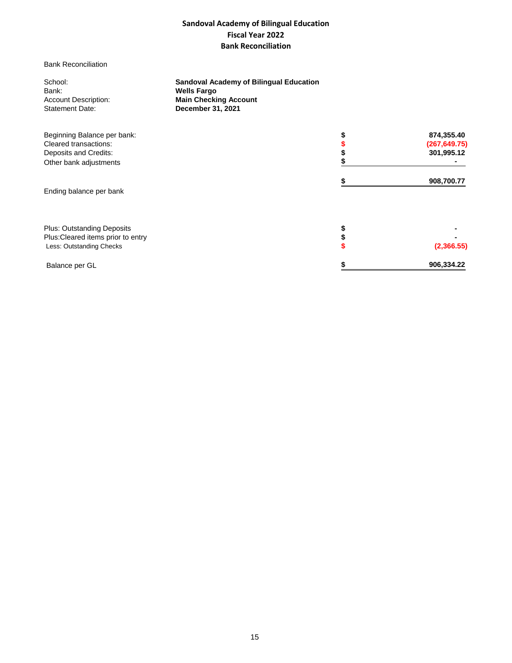## **Sandoval Academy of Bilingual Education Fiscal Year 2022 Bank Reconciliation**

## Bank Reconciliation

| School:                              | <b>Sandoval Academy of Bilingual Education</b>     |                  |
|--------------------------------------|----------------------------------------------------|------------------|
| Bank:<br><b>Account Description:</b> | <b>Wells Fargo</b><br><b>Main Checking Account</b> |                  |
| <b>Statement Date:</b>               | December 31, 2021                                  |                  |
| Beginning Balance per bank:          |                                                    | 874,355.40       |
| Cleared transactions:                |                                                    | (267, 649.75)    |
| Deposits and Credits:                |                                                    | 301,995.12       |
| Other bank adjustments               |                                                    |                  |
|                                      |                                                    | 908,700.77       |
| Ending balance per bank              |                                                    |                  |
|                                      |                                                    |                  |
| <b>Plus: Outstanding Deposits</b>    |                                                    |                  |
| Plus: Cleared items prior to entry   |                                                    |                  |
| Less: Outstanding Checks             |                                                    | (2,366.55)       |
| Balance per GL                       |                                                    | \$<br>906,334.22 |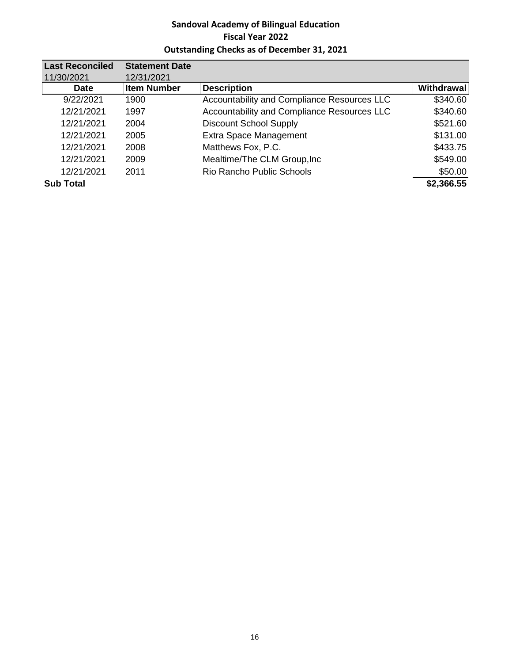## **Sandoval Academy of Bilingual Education Fiscal Year 2022 Outstanding Checks as of December 31, 2021**

| <b>Last Reconciled</b> | <b>Statement Date</b> |                                             |                   |
|------------------------|-----------------------|---------------------------------------------|-------------------|
| 11/30/2021             | 12/31/2021            |                                             |                   |
| <b>Date</b>            | <b>Item Number</b>    | <b>Description</b>                          | <b>Withdrawal</b> |
| 9/22/2021              | 1900                  | Accountability and Compliance Resources LLC | \$340.60          |
| 12/21/2021             | 1997                  | Accountability and Compliance Resources LLC | \$340.60          |
| 12/21/2021             | 2004                  | <b>Discount School Supply</b>               | \$521.60          |
| 12/21/2021             | 2005                  | <b>Extra Space Management</b>               | \$131.00          |
| 12/21/2021             | 2008                  | Matthews Fox, P.C.                          | \$433.75          |
| 12/21/2021             | 2009                  | Mealtime/The CLM Group, Inc                 | \$549.00          |
| 12/21/2021             | 2011                  | Rio Rancho Public Schools                   | \$50.00           |
| <b>Sub Total</b>       |                       |                                             | \$2,366.55        |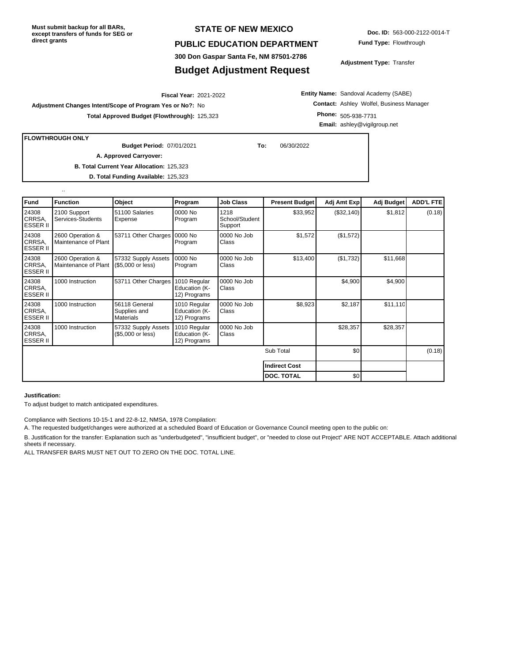## **STATE OF NEW MEXICO**

## **PUBLIC EDUCATION DEPARTMENT**

**300 Don Gaspar Santa Fe, NM 87501-2786**

## **Budget Adjustment Request**

**Doc. ID:** 563-000-2122-0014-T **Fund Type:** Flowthrough

**Adjustment Type:** Transfer

2021-2022 **Fiscal Year: Adjustment Changes Intent/Scope of Program Yes or No?:** No **Total Approved Budget (Flowthrough):** 125,323

**Entity Name:** Sandoval Academy (SABE) **Contact:** Ashley Wolfel, Business Manager **Phone:** 505-938-7731 **Email:** ashley@vigilgroup.net

**FLOWTHROUGH ONLY**

..

07/01/2021 **To:** 06/30/2022 **Budget Period:**

**B. Total Current Year Allocation:** 125,323 **A. Approved Carryover:** 

**D. Total Funding Available:** 125,323

| Fund                               | <b>Function</b>                          | Object                                            | Program                                       | <b>Job Class</b>                  | <b>Present Budget</b> | Adj Amt Exp | Adj Budget | <b>ADD'L FTE</b> |
|------------------------------------|------------------------------------------|---------------------------------------------------|-----------------------------------------------|-----------------------------------|-----------------------|-------------|------------|------------------|
| 24308<br>CRRSA.<br><b>ESSER II</b> | 2100 Support<br>Services-Students        | 51100 Salaries<br>Expense                         | 0000 No<br>Program                            | 1218<br>School/Student<br>Support | \$33,952              | (\$32,140)  | \$1,812    | (0.18)           |
| 24308<br>CRRSA.<br><b>ESSER II</b> | 2600 Operation &<br>Maintenance of Plant | 53711 Other Charges                               | 0000 No<br>Program                            | 0000 No Job<br>Class              | \$1,572               | (\$1,572)   |            |                  |
| 24308<br>CRRSA,<br><b>ESSER II</b> | 2600 Operation &<br>Maintenance of Plant | 57332 Supply Assets<br>(\$5,000 or less)          | 0000 No<br>Program                            | 0000 No Job<br>Class              | \$13,400              | (\$1,732)   | \$11,668   |                  |
| 24308<br>CRRSA,<br><b>ESSER II</b> | 1000 Instruction                         | 53711 Other Charges                               | 1010 Regular<br>Education (K-<br>12) Programs | 0000 No Job<br>Class              |                       | \$4,900     | \$4,900    |                  |
| 24308<br>CRRSA.<br><b>ESSER II</b> | 1000 Instruction                         | 56118 General<br>Supplies and<br><b>Materials</b> | 1010 Regular<br>Education (K-<br>12) Programs | 0000 No Job<br>Class              | \$8,923               | \$2,187     | \$11,110   |                  |
| 24308<br>CRRSA.<br><b>ESSER II</b> | 1000 Instruction                         | 57332 Supply Assets<br>(\$5,000 or less)          | 1010 Regular<br>Education (K-<br>12) Programs | 0000 No Job<br>Class              |                       | \$28,357    | \$28,357   |                  |
|                                    |                                          |                                                   |                                               |                                   | Sub Total             | \$0         |            | (0.18)           |
|                                    |                                          |                                                   |                                               |                                   | <b>Indirect Cost</b>  |             |            |                  |
|                                    |                                          |                                                   |                                               |                                   | <b>DOC. TOTAL</b>     | \$0         |            |                  |

#### **Justification:**

To adjust budget to match anticipated expenditures.

Compliance with Sections 10-15-1 and 22-8-12, NMSA, 1978 Compilation:

A. The requested budget/changes were authorized at a scheduled Board of Education or Governance Council meeting open to the public on:

B. Justification for the transfer: Explanation such as "underbudgeted", "insufficient budget", or "needed to close out Project" ARE NOT ACCEPTABLE. Attach additional sheets if necessary.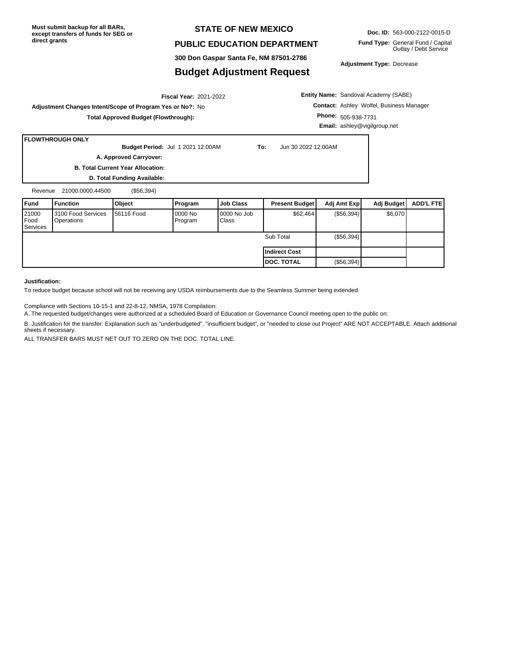## **STATE OF NEW MEXICO**

## **PUBLIC EDUCATION DEPARTMENT**

**Doc. ID:** 563-000-2122-0015-D **Fund Type:** General Fund / Capital Outlay / Debt Service

**300 Don Gaspar Santa Fe, NM 87501-2786**

## **Budget Adjustment Request**

**Adjustment Type:** Decrease

2021-2022 **Fiscal Year: Adjustment Changes Intent/Scope of Program Yes or No?:** No **Total Approved Budget (Flowthrough):**

**Entity Name:** Sandoval Academy (SABE) **Contact:** Ashley Wolfel, Business Manager **Phone:** 505-938-7731 **Email:** ashley@vigilgroup.net

### **FLOWTHROUGH ONLY**

**Budget Period:** Jul 1 2021 12:00AM **To:** Jun 30 2022 12:00AM **A. Approved Carryover:** 

**B. Total Current Year Allocation: D. Total Funding Available:**

Revenue 21000.0000.44500 (\$56,394)

| Fund                      | l Function                       | Object             | Program             | <b>IJob Class</b>       | <b>Present Budget</b> | Adj Amt Expl | Adj Budget | <b>ADD'L FTEI</b> |
|---------------------------|----------------------------------|--------------------|---------------------|-------------------------|-----------------------|--------------|------------|-------------------|
| 21000<br>Food<br>Services | 3100 Food Services<br>Operations | <b>156116 Food</b> | 10000 No<br>Program | $10000$ No Job<br>Class | \$62,464              | (S56, 394)   | \$6,070    |                   |
|                           |                                  |                    |                     |                         | Sub Total             | (S56, 394)   |            |                   |
|                           |                                  |                    |                     |                         | l Indirect Cost       |              |            |                   |
|                           |                                  |                    |                     |                         | <b>IDOC. TOTAL</b>    | (\$56,394)   |            |                   |

### **Justification:**

To reduce budget because school will not be receiving any USDA reimbursements due to the Seamless Summer being extended.

Compliance with Sections 10-15-1 and 22-8-12, NMSA, 1978 Compilation:

A. The requested budget/changes were authorized at a scheduled Board of Education or Governance Council meeting open to the public on:

B. Justification for the transfer: Explanation such as "underbudgeted", "insufficient budget", or "needed to close out Project" ARE NOT ACCEPTABLE. Attach additional sheets if necessary.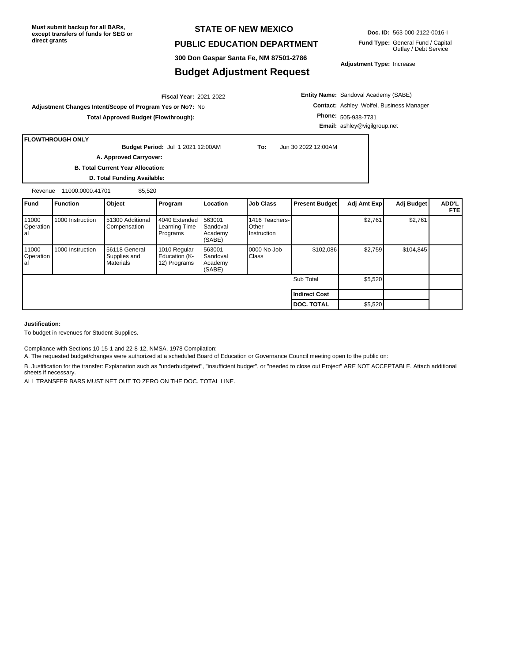## **STATE OF NEW MEXICO**

### **PUBLIC EDUCATION DEPARTMENT**

**300 Don Gaspar Santa Fe, NM 87501-2786**

## **Budget Adjustment Request**

**Doc. ID:** 563-000-2122-0016-I

**Fund Type:** General Fund / Capital Outlay / Debt Service

**Adjustment Type:** Increase

**Entity Name:** Sandoval Academy (SABE) **Contact:** Ashley Wolfel, Business Manager **Phone:** 505-938-7731 **Email:** ashley@vigilgroup.net

**Adjustment Changes Intent/Scope of Program Yes or No?:** No **Total Approved Budget (Flowthrough):**

## **FLOWTHROUGH ONLY**

**Budget Period:** Jul 1 2021 12:00AM **To:** Jun 30 2022 12:00AM **A. Approved Carryover:** 

2021-2022 **Fiscal Year:**

**B. Total Current Year Allocation:**

**D. Total Funding Available:**

Revenue 11000.0000.41701 \$5,520

| <b>Fund</b>               | <b>Function</b>  | Object                                            | Program                                       | Location                                | <b>Job Class</b>                       | <b>Present Budget</b> | Adj Amt Exp | Adj Budget | ADD'L<br><b>FTE</b> |
|---------------------------|------------------|---------------------------------------------------|-----------------------------------------------|-----------------------------------------|----------------------------------------|-----------------------|-------------|------------|---------------------|
| 11000<br>Operation<br>lal | 1000 Instruction | 51300 Additional<br>Compensation                  | 4040 Extended<br>Learning Time<br>Programs    | 563001<br>Sandoval<br>Academy<br>(SABE) | 1416 Teachers-<br>Other<br>Instruction |                       | \$2,761     | \$2,761    |                     |
| 11000<br>Operation<br>lal | 1000 Instruction | 56118 General<br>Supplies and<br><b>Materials</b> | 1010 Regular<br>Education (K-<br>12) Programs | 563001<br>Sandoval<br>Academy<br>(SABE) | 0000 No Job<br>Class                   | \$102,086             | \$2,759     | \$104,845  |                     |
|                           |                  |                                                   |                                               |                                         |                                        | Sub Total             | \$5,520     |            |                     |
|                           |                  |                                                   |                                               |                                         |                                        | Indirect Cost         |             |            |                     |
|                           |                  |                                                   |                                               |                                         |                                        | <b>IDOC. TOTAL</b>    | \$5,520     |            |                     |

#### **Justification:**

To budget in revenues for Student Supplies.

Compliance with Sections 10-15-1 and 22-8-12, NMSA, 1978 Compilation:

A. The requested budget/changes were authorized at a scheduled Board of Education or Governance Council meeting open to the public on:

B. Justification for the transfer: Explanation such as "underbudgeted", "insufficient budget", or "needed to close out Project" ARE NOT ACCEPTABLE. Attach additional sheets if necessary.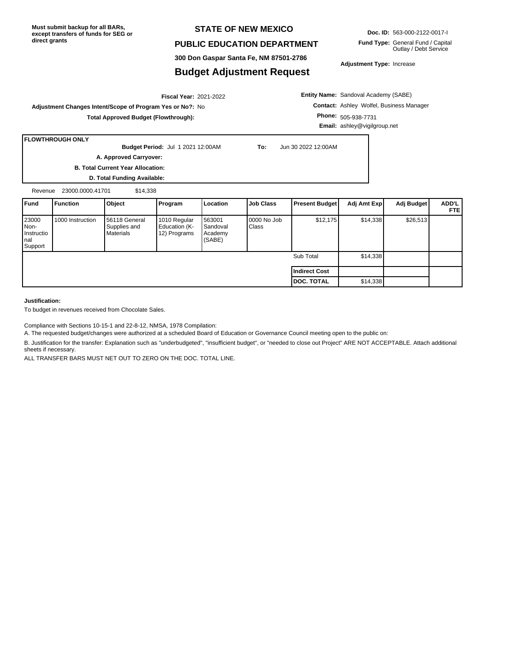## **STATE OF NEW MEXICO**

## **PUBLIC EDUCATION DEPARTMENT**

**300 Don Gaspar Santa Fe, NM 87501-2786**

## **Budget Adjustment Request**

**Doc. ID:** 563-000-2122-0017-I

**Fund Type:** General Fund / Capital Outlay / Debt Service

**Adjustment Type:** Increase

**Entity Name:** Sandoval Academy (SABE) **Contact:** Ashley Wolfel, Business Manager **Phone:** 505-938-7731 **Email:** ashley@vigilgroup.net

**Adjustment Changes Intent/Scope of Program Yes or No?:** No **Total Approved Budget (Flowthrough):**

## **FLOWTHROUGH ONLY**

**Budget Period:** Jul 1 2021 12:00AM **To:** Jun 30 2022 12:00AM

2021-2022 **Fiscal Year:**

**A. Approved Carryover:** 

**B. Total Current Year Allocation: D. Total Funding Available:**

Revenue 23000.0000.41701 \$14,338

| <b>Fund</b>                                     | Function         | Object                                            | Program                                       | Location                                | Job Class            | <b>Present Budget</b> | Adj Amt Exp | Adj Budget | ADD'L<br><b>FTEI</b> |
|-------------------------------------------------|------------------|---------------------------------------------------|-----------------------------------------------|-----------------------------------------|----------------------|-----------------------|-------------|------------|----------------------|
| 23000<br>INon-<br>Instructio<br>Inal<br>Support | 1000 Instruction | 56118 General<br>Supplies and<br><b>Materials</b> | 1010 Regular<br>Education (K-<br>12) Programs | 563001<br>Sandoval<br>Academy<br>(SABE) | 0000 No Job<br>Class | \$12,175              | \$14,338    | \$26,513   |                      |
|                                                 |                  |                                                   |                                               |                                         |                      | Sub Total             | \$14,338    |            |                      |
|                                                 |                  |                                                   |                                               |                                         |                      | <b>Indirect Cost</b>  |             |            |                      |
|                                                 |                  |                                                   |                                               |                                         |                      | <b>DOC. TOTAL</b>     | \$14,338    |            |                      |

**Justification:**

To budget in revenues received from Chocolate Sales.

Compliance with Sections 10-15-1 and 22-8-12, NMSA, 1978 Compilation:

A. The requested budget/changes were authorized at a scheduled Board of Education or Governance Council meeting open to the public on:

B. Justification for the transfer: Explanation such as "underbudgeted", "insufficient budget", or "needed to close out Project" ARE NOT ACCEPTABLE. Attach additional sheets if necessary.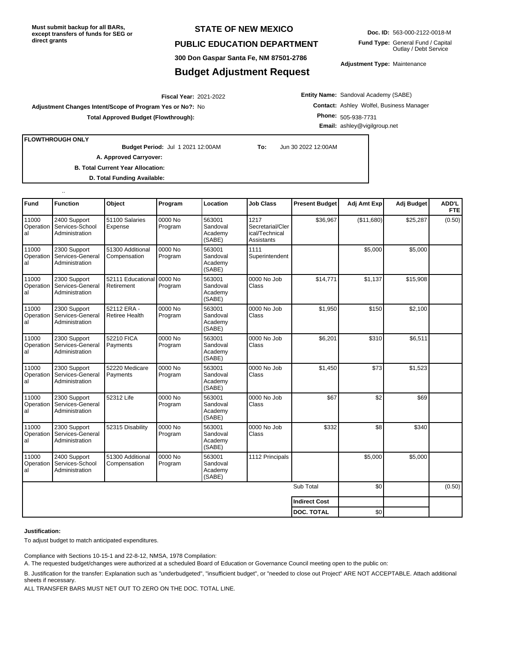## **STATE OF NEW MEXICO**

## **PUBLIC EDUCATION DEPARTMENT**

**300 Don Gaspar Santa Fe, NM 87501-2786**

## **Budget Adjustment Request**

**Doc. ID:** 563-000-2122-0018-M **Fund Type:** General Fund / Capital

Outlay / Debt Service

**Adjustment Type:** Maintenance

2021-2022 **Fiscal Year:**

**Adjustment Changes Intent/Scope of Program Yes or No?:** No **Total Approved Budget (Flowthrough):**

**Entity Name:** Sandoval Academy (SABE) **Contact:** Ashley Wolfel, Business Manager **Phone:** 505-938-7731 **Email:** ashley@vigilgroup.net

**FLOWTHROUGH ONLY**

..

**Budget Period:** Jul 1 2021 12:00AM **To:** Jun 30 2022 12:00AM

**A. Approved Carryover:** 

**B. Total Current Year Allocation:**

**D. Total Funding Available:**

| <b>Fund</b>              | <b>Function</b>                                             | Object                               | Program            | Location                                | <b>Job Class</b>                                         | <b>Present Budget</b> | Adj Amt Exp | Adj Budget | ADD'L<br><b>FTE</b> |
|--------------------------|-------------------------------------------------------------|--------------------------------------|--------------------|-----------------------------------------|----------------------------------------------------------|-----------------------|-------------|------------|---------------------|
| 11000<br>Operation<br>al | 2400 Support<br>Services-School<br>Administration           | 51100 Salaries<br>Expense            | 0000 No<br>Program | 563001<br>Sandoval<br>Academy<br>(SABE) | 1217<br>Secretarial/Cler<br>ical/Technical<br>Assistants | \$36,967              | (\$11,680)  | \$25,287   | (0.50)              |
| 11000<br>Operation<br>al | 2300 Support<br>Services-General<br>Administration          | 51300 Additional<br>Compensation     | 0000 No<br>Program | 563001<br>Sandoval<br>Academy<br>(SABE) | 1111<br>Superintendent                                   |                       | \$5,000     | \$5,000    |                     |
| 11000<br>Operation<br>al | 2300 Support<br>Services-General<br>Administration          | 52111 Educational<br>Retirement      | 0000 No<br>Program | 563001<br>Sandoval<br>Academy<br>(SABE) | 0000 No Job<br>Class                                     | \$14,771              | \$1,137     | \$15,908   |                     |
| 11000<br>Operation<br>al | 2300 Support<br>Services-General<br>Administration          | 52112 ERA -<br><b>Retiree Health</b> | 0000 No<br>Program | 563001<br>Sandoval<br>Academy<br>(SABE) | 0000 No Job<br>Class                                     | \$1,950               | \$150       | \$2,100    |                     |
| 11000<br>Operation<br>al | 2300 Support<br>Services-General<br>Administration          | 52210 FICA<br>Payments               | 0000 No<br>Program | 563001<br>Sandoval<br>Academy<br>(SABE) | 0000 No Job<br>Class                                     | \$6,201               | \$310       | \$6,511    |                     |
| 11000<br>Operation<br>al | 2300 Support<br>Services-General<br>Administration          | 52220 Medicare<br>Payments           | 0000 No<br>Program | 563001<br>Sandoval<br>Academy<br>(SABE) | 0000 No Job<br>Class                                     | \$1,450               | \$73        | \$1,523    |                     |
| 11000<br>Operation<br>al | 2300 Support<br>Services-General<br>Administration          | 52312 Life                           | 0000 No<br>Program | 563001<br>Sandoval<br>Academy<br>(SABE) | 0000 No Job<br>Class                                     | \$67                  | \$2         | \$69       |                     |
| 11000<br>Operation<br>al | 2300 Support<br>Services-General<br>Administration          | 52315 Disability                     | 0000 No<br>Program | 563001<br>Sandoval<br>Academy<br>(SABE) | 0000 No Job<br>Class                                     | \$332                 | \$8         | \$340      |                     |
| 11000<br>al              | 2400 Support<br>Operation Services-School<br>Administration | 51300 Additional<br>Compensation     | 0000 No<br>Program | 563001<br>Sandoval<br>Academy<br>(SABE) | 1112 Principals                                          |                       | \$5,000     | \$5,000    |                     |
|                          |                                                             |                                      |                    |                                         |                                                          | Sub Total             | \$0         |            | (0.50)              |
|                          |                                                             |                                      |                    |                                         |                                                          | <b>Indirect Cost</b>  |             |            |                     |
|                          |                                                             |                                      |                    |                                         |                                                          | <b>DOC. TOTAL</b>     | \$0         |            |                     |

#### **Justification:**

To adjust budget to match anticipated expenditures.

Compliance with Sections 10-15-1 and 22-8-12, NMSA, 1978 Compilation:

A. The requested budget/changes were authorized at a scheduled Board of Education or Governance Council meeting open to the public on:

B. Justification for the transfer: Explanation such as "underbudgeted", "insufficient budget", or "needed to close out Project" ARE NOT ACCEPTABLE. Attach additional sheets if necessary.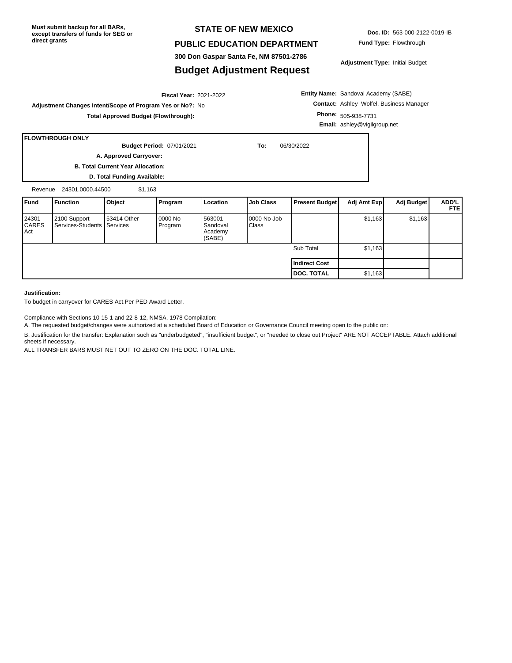## **STATE OF NEW MEXICO**

## **PUBLIC EDUCATION DEPARTMENT**

**300 Don Gaspar Santa Fe, NM 87501-2786**

## **Budget Adjustment Request**

**Fund Type:** Flowthrough

**Adjustment Type:** Initial Budget

**Entity Name:** Sandoval Academy (SABE) **Contact:** Ashley Wolfel, Business Manager **Phone:** 505-938-7731 **Email:** ashley@vigilgroup.net

2021-2022 **Fiscal Year: Adjustment Changes Intent/Scope of Program Yes or No?:** No **Total Approved Budget (Flowthrough):**

**A. Approved Carryover:** 

**B. Total Current Year Allocation:**

**D. Total Funding Available:**

Revenue 24301.0000.44500 \$1,163

| <b>IFund</b>                          | Function                                   | Object      | Program             | Location                                | Job Class            | <b>Present Budget</b> | Adj Amt Exp | Adj Budget | ADD'L<br><b>FTEI</b> |
|---------------------------------------|--------------------------------------------|-------------|---------------------|-----------------------------------------|----------------------|-----------------------|-------------|------------|----------------------|
| 24301<br><b>CARES</b><br><b>I</b> Act | 2100 Support<br>Services-Students Services | 53414 Other | 10000 No<br>Program | 563001<br>Sandoval<br>Academy<br>(SABE) | 0000 No Job<br>Class |                       | \$1,163     | \$1,163    |                      |
|                                       |                                            |             |                     |                                         |                      | Sub Total             | \$1,163     |            |                      |
|                                       |                                            |             |                     |                                         |                      | Indirect Cost         |             |            |                      |
|                                       |                                            |             |                     |                                         |                      | <b>DOC. TOTAL</b>     | \$1,163     |            |                      |

#### **Justification:**

**FLOWTHROUGH ONLY**

To budget in carryover for CARES Act.Per PED Award Letter.

Compliance with Sections 10-15-1 and 22-8-12, NMSA, 1978 Compilation:

A. The requested budget/changes were authorized at a scheduled Board of Education or Governance Council meeting open to the public on:

B. Justification for the transfer: Explanation such as "underbudgeted", "insufficient budget", or "needed to close out Project" ARE NOT ACCEPTABLE. Attach additional sheets if necessary.

ALL TRANSFER BARS MUST NET OUT TO ZERO ON THE DOC. TOTAL LINE.

**Doc. ID:** 563-000-2122-0019-IB

07/01/2021 **To:** 06/30/2022 **Budget Period:**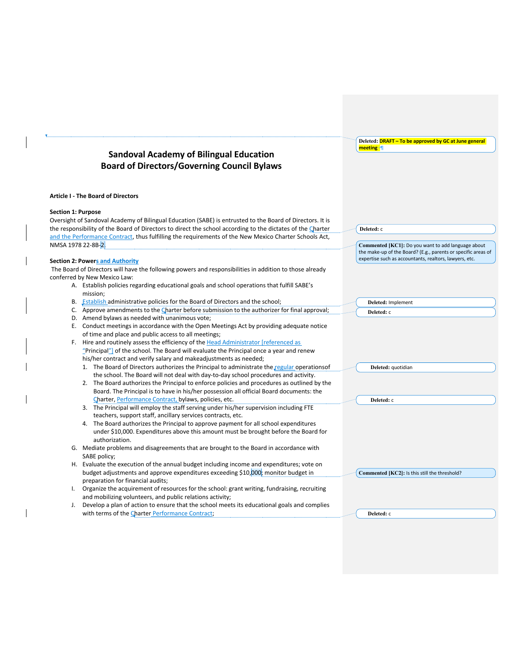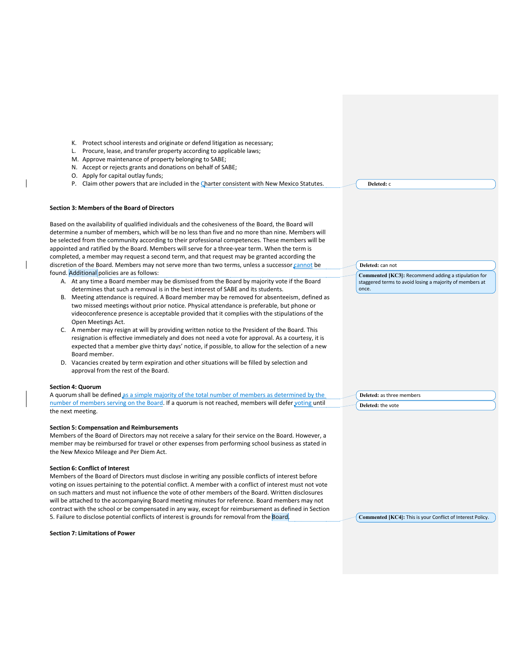- K. Protect school interests and originate or defend litigation as necessary;
- L. Procure, lease, and transfer property according to applicable laws;
- M. Approve maintenance of property belonging to SABE;
- N. Accept or rejects grants and donations on behalf of SABE;
- O. Apply for capital outlay funds;
- P. Claim other powers that are included in the Charter consistent with New Mexico Statutes.

#### **Section 3: Members of the Board of Directors**

Based on the availability of qualified individuals and the cohesiveness of the Board, the Board will determine a number of members, which will be no less than five and no more than nine. Members will be selected from the community according to their professional competences. These members will be appointed and ratified by the Board. Members will serve for a three-year term. When the term is completed, a member may request a second term, and that request may be granted according the discretion of the Board. Members may not serve more than two terms, unless a successor cannot be found. Additional policies are as follows:

- A. At any time a Board member may be dismissed from the Board by majority vote if the Board determines that such a removal is in the best interest of SABE and its students.
- B. Meeting attendance is required. A Board member may be removed for absenteeism, defined as two missed meetings without prior notice. Physical attendance is preferable, but phone or videoconference presence is acceptable provided that it complies with the stipulations of the Open Meetings Act.
- C. A member may resign at will by providing written notice to the President of the Board. This resignation is effective immediately and does not need a vote for approval. As a courtesy, it is expected that a member give thirty days' notice, if possible, to allow for the selection of a new Board member.
- D. Vacancies created by term expiration and other situations will be filled by selection and approval from the rest of the Board.

#### **Section 4: Quorum**

A quorum shall be defined as a simple majority of the total number of members as determined by the number of members serving on the Board. If a quorum is not reached, members will defer voting until the next meeting.

#### **Section 5: Compensation and Reimbursements**

Members of the Board of Directors may not receive a salary for their service on the Board. However, a member may be reimbursed for travel or other expenses from performing school business as stated in the New Mexico Mileage and Per Diem Act.

#### **Section 6: Conflict of Interest**

Members of the Board of Directors must disclose in writing any possible conflicts of interest before voting on issues pertaining to the potential conflict. A member with a conflict of interest must not vote on such matters and must not influence the vote of other members of the Board. Written disclosures will be attached to the accompanying Board meeting minutes for reference. Board members may not contract with the school or be compensated in any way, except for reimbursement as defined in Section 5. Failure to disclose potential conflicts of interest is grounds for removal from the Board.

### **Section 7: Limitations of Power**

**Deleted:** c

**Deleted:** can not

**Commented [KC3]:** Recommend adding a stipulation for staggered terms to avoid losing a majority of members at once.

**Deleted:** as three members **Deleted:** the vote

**Commented [KC4]:** This is your Conflict of Interest Policy.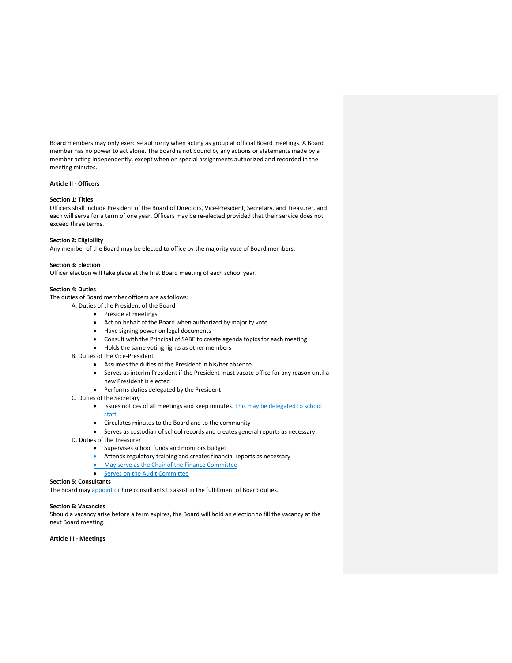Board members may only exercise authority when acting as group at official Board meetings. A Board member has no power to act alone. The Board is not bound by any actions or statements made by a member acting independently, except when on special assignments authorized and recorded in the meeting minutes.

### **Article II - Officers**

#### **Section 1: Titles**

Officers shall include President of the Board of Directors, Vice-President, Secretary, and Treasurer, and each will serve for a term of one year. Officers may be re-elected provided that their service does not exceed three terms.

#### **Section 2: Eligibility**

Any member of the Board may be elected to office by the majority vote of Board members.

#### **Section 3: Election**

Officer election will take place at the first Board meeting of each school year.

#### **Section 4: Duties**

The duties of Board member officers are as follows:

- A. Duties of the President of the Board
	- Preside at meetings
	- Act on behalf of the Board when authorized by majority vote
	- Have signing power on legal documents
	- Consult with the Principal of SABE to create agenda topics for each meeting
	- Holds the same voting rights as other members

B. Duties of the Vice-President

- Assumes the duties of the President in his/her absence
- Serves as interim President if the President must vacate office for any reason until a new President is elected
- Performs duties delegated by the President
- C. Duties of the Secretary
	- Issues notices of all meetings and keep minutes. This may be delegated to school staff.
	- Circulates minutes to the Board and to the community
	- Serves as custodian of school records and creates general reports as necessary
- D. Duties of the Treasurer
	- Supervises school funds and monitors budget
	- Attends regulatory training and creates financial reports as necessary
	- May serve as the Chair of the Finance Committee
	- Serves on the Audit Committee

#### **Section 5: Consultants**

The Board may appoint or hire consultants to assist in the fulfillment of Board duties.

#### **Section 6: Vacancies**

Should a vacancy arise before a term expires, the Board will hold an election to fill the vacancy at the next Board meeting.

#### **Article III - Meetings**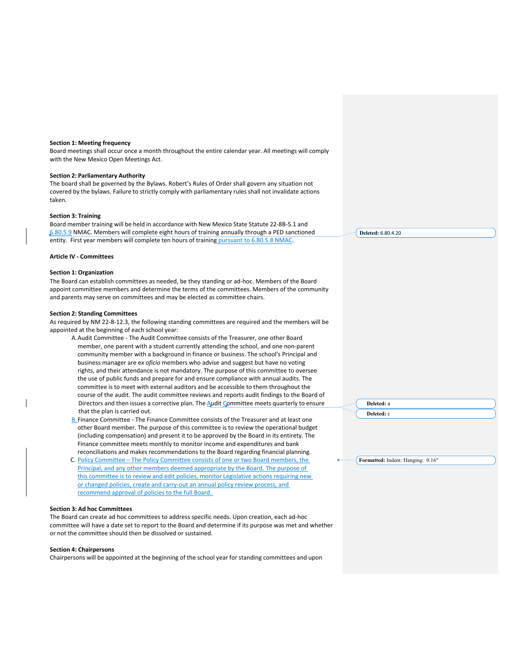#### **Section 1: Meeting frequency**

Board meetings shall occur once a month throughout the entire calendar year. All meetings will comply with the New Mexico Open Meetings Act.

#### **Section 2: Parliamentary Authority**

The board shall be governed by the Bylaws. Robert's Rules of Order shall govern any situation not covered by the bylaws. Failure to strictly comply with parliamentary rules shall not invalidate actions taken.

#### **Section 3: Training**

Board member training will be held in accordance with New Mexico State Statute 22-8B-5.1 and 6.80.5.9 NMAC. Members will complete eight hours of training annually through a PED sanctioned entity. First year members will complete ten hours of training pursuant to 6.80.5.8 NMAC.

### **Article IV - Committees**

#### **Section 1: Organization**

The Board can establish committees as needed, be they standing or ad-hoc. Members of the Board appoint committee members and determine the terms of the committees. Members of the community and parents may serve on committees and may be elected as committee chairs.

#### **Section 2: Standing Committees**

As required by NM 22-8-12.3, the following standing committees are required and the members will be appointed at the beginning of each school year:

- A.Audit Committee The Audit Committee consists of the Treasurer, one other Board member, one parent with a student currently attending the school, and one non-parent community member with a background in finance or business. The school's Principal and business manager are e*x oficio* members who advise and suggest but have no voting rights, and their attendance is not mandatory. The purpose of this committee to oversee the use of public funds and prepare for and ensure compliance with annual audits. The committee is to meet with external auditors and be accessible to them throughout the course of the audit. The audit committee reviews and reports audit findings to the Board of Directors and then issues a corrective plan. The  $\Delta$ udit  $\Delta$ ommittee meets quarterly to ensure that the plan is carried out.
- B. Finance Committee The Finance Committee consists of the Treasurer and at least one other Board member. The purpose of this committee is to review the operational budget (including compensation) and present it to be approved by the Board in its entirety. The Finance committee meets monthly to monitor income and expenditures and bank reconciliations and makes recommendations to the Board regarding financial planning.
- C. Policy Committee The Policy Committee consists of one or two Board members, the Principal, and any other members deemed appropriate by the Board. The purpose of this committee is to review and edit policies, monitor Legislative actions requiring new or changed policies, create and carry-out an annual policy review process, and recommend approval of policies to the full Board.

#### **Section 3: Ad hoc Committees**

The Board can create ad hoc committees to address specific needs. Upon creation, each ad-hoc committee will have a date set to report to the Board and determine if its purpose was met and whether or not the committee should then be dissolved or sustained.

#### **Section 4: Chairpersons**

Chairpersons will be appointed at the beginning of the school year for standing committees and upon

**Deleted:** 6.80.4.20

**Deleted:** a **Deleted:** c

**Formatted:** Indent: Hanging: 0.16"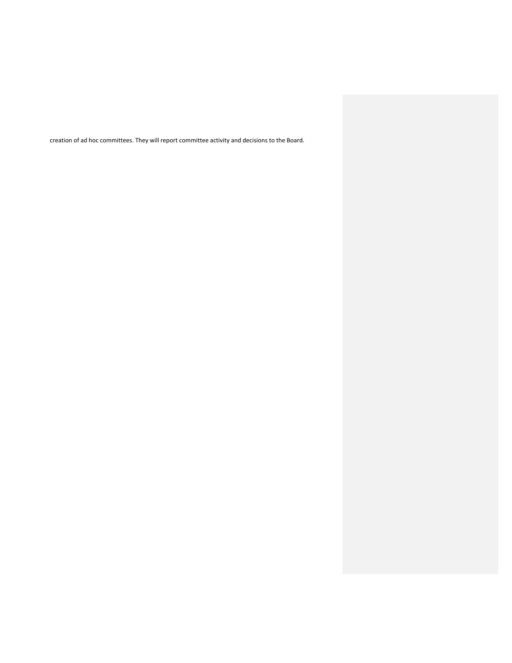creation of ad hoc committees. They will report committee activity and decisions to the Board.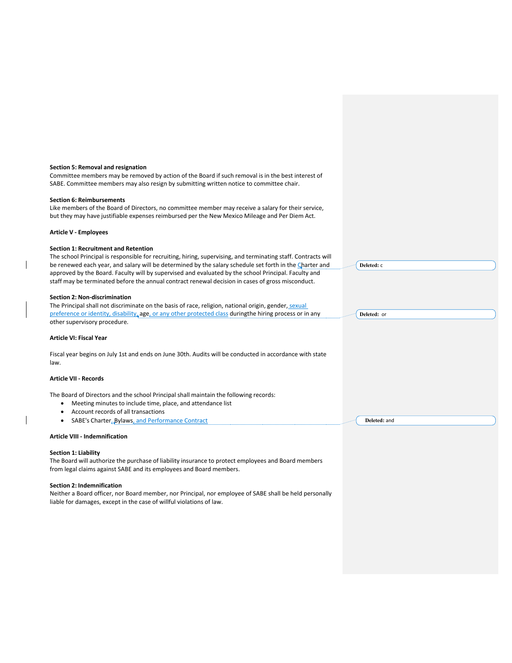| Section 5: Removal and resignation<br>Committee members may be removed by action of the Board if such removal is in the best interest of                                                                                                                                                                             |              |
|----------------------------------------------------------------------------------------------------------------------------------------------------------------------------------------------------------------------------------------------------------------------------------------------------------------------|--------------|
| SABE. Committee members may also resign by submitting written notice to committee chair.                                                                                                                                                                                                                             |              |
| <b>Section 6: Reimbursements</b>                                                                                                                                                                                                                                                                                     |              |
| Like members of the Board of Directors, no committee member may receive a salary for their service,<br>but they may have justifiable expenses reimbursed per the New Mexico Mileage and Per Diem Act.                                                                                                                |              |
| <b>Article V - Employees</b>                                                                                                                                                                                                                                                                                         |              |
| <b>Section 1: Recruitment and Retention</b>                                                                                                                                                                                                                                                                          |              |
| The school Principal is responsible for recruiting, hiring, supervising, and terminating staff. Contracts will                                                                                                                                                                                                       |              |
| be renewed each year, and salary will be determined by the salary schedule set forth in the Charter and<br>approved by the Board. Faculty will by supervised and evaluated by the school Principal. Faculty and<br>staff may be terminated before the annual contract renewal decision in cases of gross misconduct. | Deleted: c   |
| <b>Section 2: Non-discrimination</b>                                                                                                                                                                                                                                                                                 |              |
| The Principal shall not discriminate on the basis of race, religion, national origin, gender, sexual                                                                                                                                                                                                                 |              |
| preference or identity, disability, age, or any other protected class during the hiring process or in any<br>other supervisory procedure.                                                                                                                                                                            | Deleted: or  |
| <b>Article VI: Fiscal Year</b>                                                                                                                                                                                                                                                                                       |              |
| Fiscal year begins on July 1st and ends on June 30th. Audits will be conducted in accordance with state<br>law.                                                                                                                                                                                                      |              |
| <b>Article VII - Records</b>                                                                                                                                                                                                                                                                                         |              |
| The Board of Directors and the school Principal shall maintain the following records:                                                                                                                                                                                                                                |              |
| Meeting minutes to include time, place, and attendance list                                                                                                                                                                                                                                                          |              |
| Account records of all transactions                                                                                                                                                                                                                                                                                  |              |
| SABE's Charter, Bylaws, and Performance Contract                                                                                                                                                                                                                                                                     | Deleted: and |
| <b>Article VIII - Indemnification</b>                                                                                                                                                                                                                                                                                |              |
| <b>Section 1: Liability</b>                                                                                                                                                                                                                                                                                          |              |
| The Board will authorize the purchase of liability insurance to protect employees and Board members<br>from legal claims against SABE and its employees and Board members.                                                                                                                                           |              |
| <b>Section 2: Indemnification</b>                                                                                                                                                                                                                                                                                    |              |
| Neither a Board officer, nor Board member, nor Principal, nor employee of SABE shall be held personally<br>liable for damages, except in the case of willful violations of law.                                                                                                                                      |              |

 $\overline{\phantom{a}}$ 

 $\overline{\phantom{a}}$